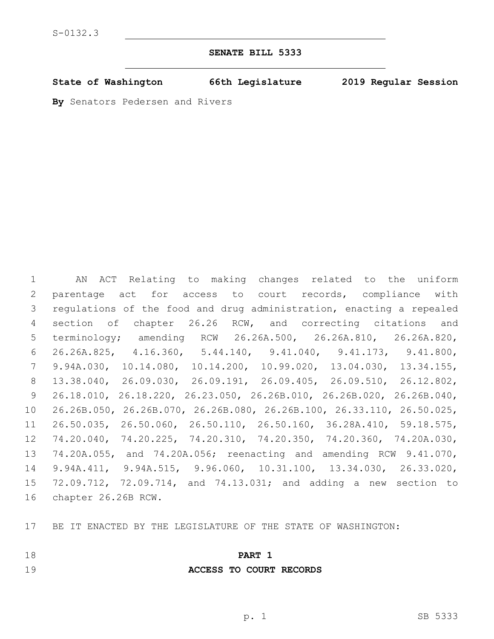### **SENATE BILL 5333**

**State of Washington 66th Legislature 2019 Regular Session**

**By** Senators Pedersen and Rivers

 AN ACT Relating to making changes related to the uniform parentage act for access to court records, compliance with regulations of the food and drug administration, enacting a repealed section of chapter 26.26 RCW, and correcting citations and terminology; amending RCW 26.26A.500, 26.26A.810, 26.26A.820, 26.26A.825, 4.16.360, 5.44.140, 9.41.040, 9.41.173, 9.41.800, 9.94A.030, 10.14.080, 10.14.200, 10.99.020, 13.04.030, 13.34.155, 13.38.040, 26.09.030, 26.09.191, 26.09.405, 26.09.510, 26.12.802, 26.18.010, 26.18.220, 26.23.050, 26.26B.010, 26.26B.020, 26.26B.040, 26.26B.050, 26.26B.070, 26.26B.080, 26.26B.100, 26.33.110, 26.50.025, 26.50.035, 26.50.060, 26.50.110, 26.50.160, 36.28A.410, 59.18.575, 74.20.040, 74.20.225, 74.20.310, 74.20.350, 74.20.360, 74.20A.030, 74.20A.055, and 74.20A.056; reenacting and amending RCW 9.41.070, 9.94A.411, 9.94A.515, 9.96.060, 10.31.100, 13.34.030, 26.33.020, 72.09.712, 72.09.714, and 74.13.031; and adding a new section to 16 chapter 26.26B RCW.

BE IT ENACTED BY THE LEGISLATURE OF THE STATE OF WASHINGTON:

## **PART 1**

# **ACCESS TO COURT RECORDS**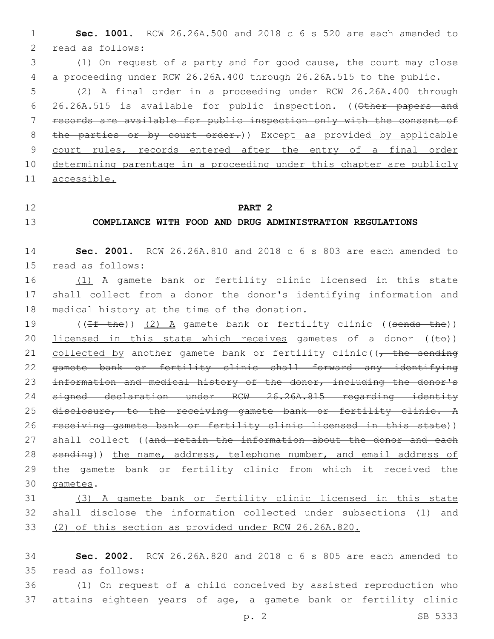1 **Sec. 1001.** RCW 26.26A.500 and 2018 c 6 s 520 are each amended to 2 read as follows:

3 (1) On request of a party and for good cause, the court may close 4 a proceeding under RCW 26.26A.400 through 26.26A.515 to the public.

 (2) A final order in a proceeding under RCW 26.26A.400 through 26.26A.515 is available for public inspection. ((Other papers and records are available for public inspection only with the consent of 8 the parties or by court order.)) Except as provided by applicable court rules, records entered after the entry of a final order 10 determining parentage in a proceeding under this chapter are publicly accessible.

#### 12 **PART 2**

### 13 **COMPLIANCE WITH FOOD AND DRUG ADMINISTRATION REGULATIONS**

14 **Sec. 2001.** RCW 26.26A.810 and 2018 c 6 s 803 are each amended to 15 read as follows:

16 (1) A gamete bank or fertility clinic licensed in this state 17 shall collect from a donor the donor's identifying information and 18 medical history at the time of the donation.

19 ((<del>If the</del>)) (2) A gamete bank or fertility clinic ((sends the)) 20 licensed in this state which receives gametes of a donor  $((\pm e))$ 21 collected by another gamete bank or fertility clinic((, the sending 22 gamete bank or fertility clinic shall forward any identifying 23 information and medical history of the donor, including the donor's 24 signed declaration under RCW 26.26A.815 regarding identity 25 disclosure, to the receiving gamete bank or fertility clinic. A 26 receiving gamete bank or fertility clinic licensed in this state)) 27 shall collect ((and retain the information about the donor and each 28 sending)) the name, address, telephone number, and email address of 29 the gamete bank or fertility clinic from which it received the 30 gametes.

31 (3) A gamete bank or fertility clinic licensed in this state 32 shall disclose the information collected under subsections (1) and 33 (2) of this section as provided under RCW 26.26A.820.

34 **Sec. 2002.** RCW 26.26A.820 and 2018 c 6 s 805 are each amended to 35 read as follows:

36 (1) On request of a child conceived by assisted reproduction who 37 attains eighteen years of age, a gamete bank or fertility clinic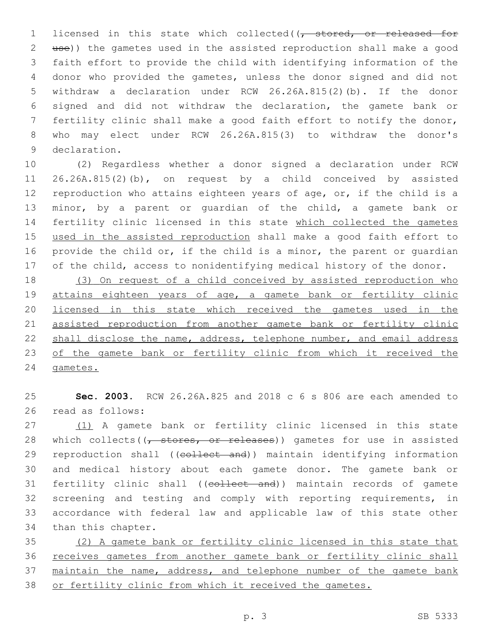1 licensed in this state which collected((, stored, or released for use)) the gametes used in the assisted reproduction shall make a good faith effort to provide the child with identifying information of the donor who provided the gametes, unless the donor signed and did not withdraw a declaration under RCW 26.26A.815(2)(b). If the donor signed and did not withdraw the declaration, the gamete bank or fertility clinic shall make a good faith effort to notify the donor, who may elect under RCW 26.26A.815(3) to withdraw the donor's 9 declaration.

 (2) Regardless whether a donor signed a declaration under RCW 26.26A.815(2)(b), on request by a child conceived by assisted reproduction who attains eighteen years of age, or, if the child is a minor, by a parent or guardian of the child, a gamete bank or 14 fertility clinic licensed in this state which collected the gametes used in the assisted reproduction shall make a good faith effort to provide the child or, if the child is a minor, the parent or guardian of the child, access to nonidentifying medical history of the donor.

 (3) On request of a child conceived by assisted reproduction who attains eighteen years of age, a gamete bank or fertility clinic licensed in this state which received the gametes used in the 21 assisted reproduction from another gamete bank or fertility clinic shall disclose the name, address, telephone number, and email address 23 of the gamete bank or fertility clinic from which it received the gametes.

 **Sec. 2003.** RCW 26.26A.825 and 2018 c 6 s 806 are each amended to 26 read as follows:

 (1) A gamete bank or fertility clinic licensed in this state 28 which collects( $(\tau$  stores, or releases)) gametes for use in assisted 29 reproduction shall ((collect and)) maintain identifying information and medical history about each gamete donor. The gamete bank or 31 fertility clinic shall ((collect and)) maintain records of gamete screening and testing and comply with reporting requirements, in accordance with federal law and applicable law of this state other 34 than this chapter.

 (2) A gamete bank or fertility clinic licensed in this state that receives gametes from another gamete bank or fertility clinic shall 37 maintain the name, address, and telephone number of the gamete bank or fertility clinic from which it received the gametes.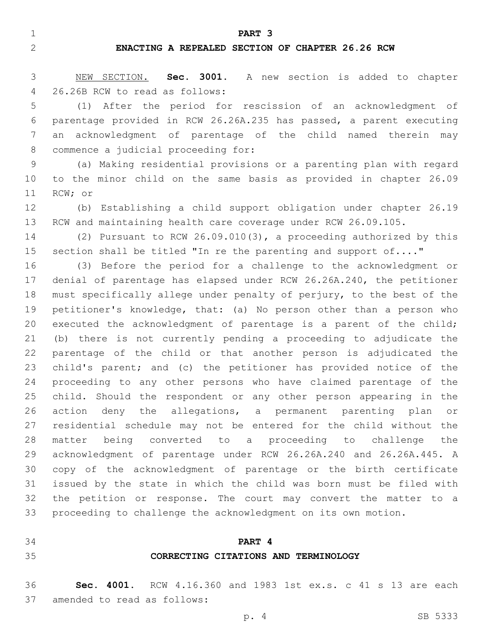**PART 3**

#### **ENACTING A REPEALED SECTION OF CHAPTER 26.26 RCW**

 NEW SECTION. **Sec. 3001.** A new section is added to chapter 26.26B RCW to read as follows:4

 (1) After the period for rescission of an acknowledgment of parentage provided in RCW 26.26A.235 has passed, a parent executing an acknowledgment of parentage of the child named therein may 8 commence a judicial proceeding for:

 (a) Making residential provisions or a parenting plan with regard to the minor child on the same basis as provided in chapter 26.09 11 RCW; or

 (b) Establishing a child support obligation under chapter 26.19 RCW and maintaining health care coverage under RCW 26.09.105.

 (2) Pursuant to RCW 26.09.010(3), a proceeding authorized by this 15 section shall be titled "In re the parenting and support of...."

 (3) Before the period for a challenge to the acknowledgment or denial of parentage has elapsed under RCW 26.26A.240, the petitioner must specifically allege under penalty of perjury, to the best of the petitioner's knowledge, that: (a) No person other than a person who 20 executed the acknowledgment of parentage is a parent of the child; (b) there is not currently pending a proceeding to adjudicate the parentage of the child or that another person is adjudicated the child's parent; and (c) the petitioner has provided notice of the proceeding to any other persons who have claimed parentage of the child. Should the respondent or any other person appearing in the action deny the allegations, a permanent parenting plan or residential schedule may not be entered for the child without the matter being converted to a proceeding to challenge the acknowledgment of parentage under RCW 26.26A.240 and 26.26A.445. A copy of the acknowledgment of parentage or the birth certificate issued by the state in which the child was born must be filed with the petition or response. The court may convert the matter to a proceeding to challenge the acknowledgment on its own motion.

### **PART 4**

#### **CORRECTING CITATIONS AND TERMINOLOGY**

 **Sec. 4001.** RCW 4.16.360 and 1983 1st ex.s. c 41 s 13 are each 37 amended to read as follows: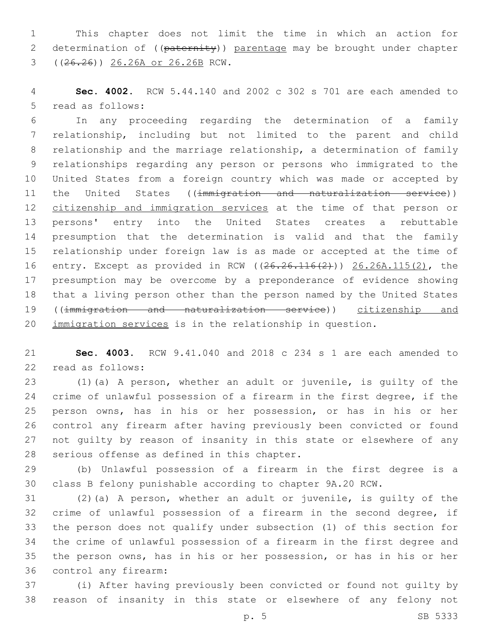This chapter does not limit the time in which an action for 2 determination of ((paternity)) parentage may be brought under chapter ((26.26)) 26.26A or 26.26B RCW.3

 **Sec. 4002.** RCW 5.44.140 and 2002 c 302 s 701 are each amended to 5 read as follows:

 In any proceeding regarding the determination of a family relationship, including but not limited to the parent and child relationship and the marriage relationship, a determination of family relationships regarding any person or persons who immigrated to the United States from a foreign country which was made or accepted by 11 the United States ((immigration and naturalization service)) 12 citizenship and immigration services at the time of that person or persons' entry into the United States creates a rebuttable presumption that the determination is valid and that the family relationship under foreign law is as made or accepted at the time of entry. Except as provided in RCW ((26.26.116(2))) 26.26A.115(2), the presumption may be overcome by a preponderance of evidence showing that a living person other than the person named by the United States ((immigration and naturalization service)) citizenship and immigration services is in the relationship in question.

 **Sec. 4003.** RCW 9.41.040 and 2018 c 234 s 1 are each amended to 22 read as follows:

 (1)(a) A person, whether an adult or juvenile, is guilty of the crime of unlawful possession of a firearm in the first degree, if the person owns, has in his or her possession, or has in his or her control any firearm after having previously been convicted or found not guilty by reason of insanity in this state or elsewhere of any 28 serious offense as defined in this chapter.

 (b) Unlawful possession of a firearm in the first degree is a class B felony punishable according to chapter 9A.20 RCW.

 (2)(a) A person, whether an adult or juvenile, is guilty of the crime of unlawful possession of a firearm in the second degree, if the person does not qualify under subsection (1) of this section for the crime of unlawful possession of a firearm in the first degree and the person owns, has in his or her possession, or has in his or her 36 control any firearm:

 (i) After having previously been convicted or found not guilty by reason of insanity in this state or elsewhere of any felony not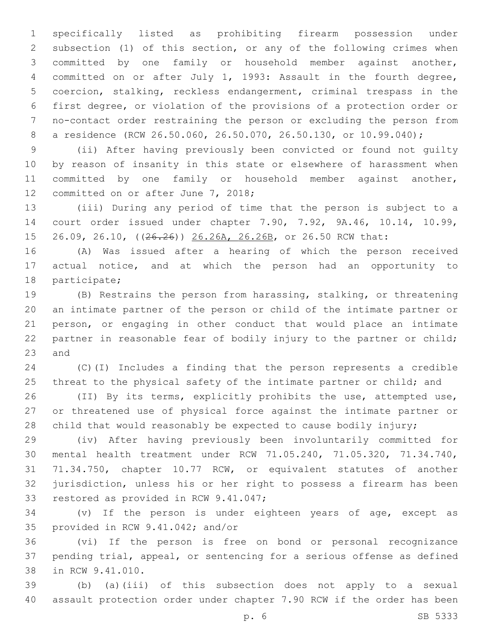specifically listed as prohibiting firearm possession under subsection (1) of this section, or any of the following crimes when committed by one family or household member against another, committed on or after July 1, 1993: Assault in the fourth degree, coercion, stalking, reckless endangerment, criminal trespass in the first degree, or violation of the provisions of a protection order or no-contact order restraining the person or excluding the person from a residence (RCW 26.50.060, 26.50.070, 26.50.130, or 10.99.040);

 (ii) After having previously been convicted or found not guilty by reason of insanity in this state or elsewhere of harassment when committed by one family or household member against another, 12 committed on or after June 7, 2018;

 (iii) During any period of time that the person is subject to a court order issued under chapter 7.90, 7.92, 9A.46, 10.14, 10.99, 15 26.09, 26.10, ((26.26)) 26.26A, 26.26B, or 26.50 RCW that:

 (A) Was issued after a hearing of which the person received actual notice, and at which the person had an opportunity to 18 participate;

 (B) Restrains the person from harassing, stalking, or threatening an intimate partner of the person or child of the intimate partner or person, or engaging in other conduct that would place an intimate partner in reasonable fear of bodily injury to the partner or child; 23 and

 (C)(I) Includes a finding that the person represents a credible 25 threat to the physical safety of the intimate partner or child; and

 (II) By its terms, explicitly prohibits the use, attempted use, or threatened use of physical force against the intimate partner or child that would reasonably be expected to cause bodily injury;

 (iv) After having previously been involuntarily committed for mental health treatment under RCW 71.05.240, 71.05.320, 71.34.740, 71.34.750, chapter 10.77 RCW, or equivalent statutes of another jurisdiction, unless his or her right to possess a firearm has been 33 restored as provided in RCW 9.41.047;

 (v) If the person is under eighteen years of age, except as 35 provided in RCW 9.41.042; and/or

 (vi) If the person is free on bond or personal recognizance pending trial, appeal, or sentencing for a serious offense as defined 38 in RCW 9.41.010.

 (b) (a)(iii) of this subsection does not apply to a sexual assault protection order under chapter 7.90 RCW if the order has been

p. 6 SB 5333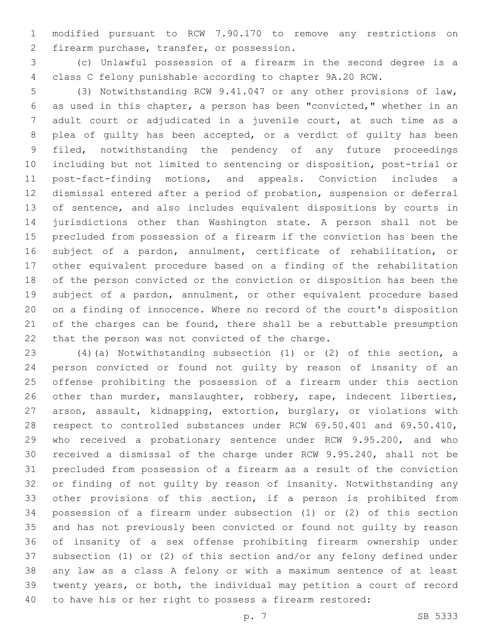modified pursuant to RCW 7.90.170 to remove any restrictions on 2 firearm purchase, transfer, or possession.

 (c) Unlawful possession of a firearm in the second degree is a class C felony punishable according to chapter 9A.20 RCW.

 (3) Notwithstanding RCW 9.41.047 or any other provisions of law, as used in this chapter, a person has been "convicted," whether in an adult court or adjudicated in a juvenile court, at such time as a plea of guilty has been accepted, or a verdict of guilty has been filed, notwithstanding the pendency of any future proceedings including but not limited to sentencing or disposition, post-trial or post-fact-finding motions, and appeals. Conviction includes a dismissal entered after a period of probation, suspension or deferral of sentence, and also includes equivalent dispositions by courts in jurisdictions other than Washington state. A person shall not be precluded from possession of a firearm if the conviction has been the subject of a pardon, annulment, certificate of rehabilitation, or other equivalent procedure based on a finding of the rehabilitation of the person convicted or the conviction or disposition has been the subject of a pardon, annulment, or other equivalent procedure based on a finding of innocence. Where no record of the court's disposition 21 of the charges can be found, there shall be a rebuttable presumption 22 that the person was not convicted of the charge.

 (4)(a) Notwithstanding subsection (1) or (2) of this section, a person convicted or found not guilty by reason of insanity of an offense prohibiting the possession of a firearm under this section other than murder, manslaughter, robbery, rape, indecent liberties, arson, assault, kidnapping, extortion, burglary, or violations with respect to controlled substances under RCW 69.50.401 and 69.50.410, who received a probationary sentence under RCW 9.95.200, and who received a dismissal of the charge under RCW 9.95.240, shall not be precluded from possession of a firearm as a result of the conviction or finding of not guilty by reason of insanity. Notwithstanding any other provisions of this section, if a person is prohibited from possession of a firearm under subsection (1) or (2) of this section and has not previously been convicted or found not guilty by reason of insanity of a sex offense prohibiting firearm ownership under subsection (1) or (2) of this section and/or any felony defined under any law as a class A felony or with a maximum sentence of at least twenty years, or both, the individual may petition a court of record to have his or her right to possess a firearm restored: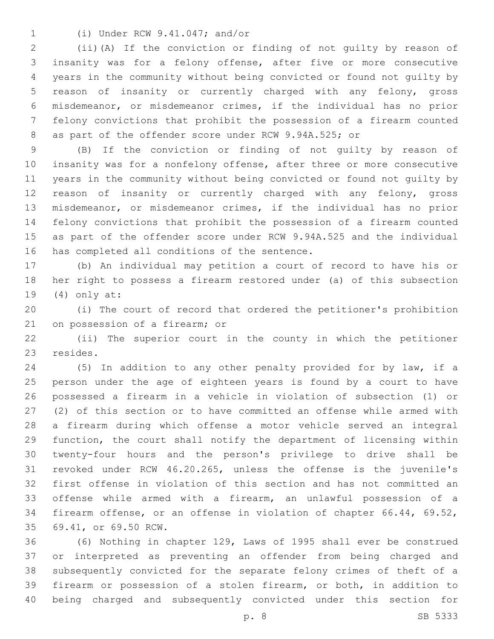(i) Under RCW 9.41.047; and/or1

 (ii)(A) If the conviction or finding of not guilty by reason of insanity was for a felony offense, after five or more consecutive years in the community without being convicted or found not guilty by reason of insanity or currently charged with any felony, gross misdemeanor, or misdemeanor crimes, if the individual has no prior felony convictions that prohibit the possession of a firearm counted as part of the offender score under RCW 9.94A.525; or

 (B) If the conviction or finding of not guilty by reason of insanity was for a nonfelony offense, after three or more consecutive years in the community without being convicted or found not guilty by reason of insanity or currently charged with any felony, gross misdemeanor, or misdemeanor crimes, if the individual has no prior felony convictions that prohibit the possession of a firearm counted as part of the offender score under RCW 9.94A.525 and the individual 16 has completed all conditions of the sentence.

 (b) An individual may petition a court of record to have his or her right to possess a firearm restored under (a) of this subsection (4) only at:19

 (i) The court of record that ordered the petitioner's prohibition 21 on possession of a firearm; or

 (ii) The superior court in the county in which the petitioner 23 resides.

 (5) In addition to any other penalty provided for by law, if a person under the age of eighteen years is found by a court to have possessed a firearm in a vehicle in violation of subsection (1) or (2) of this section or to have committed an offense while armed with a firearm during which offense a motor vehicle served an integral function, the court shall notify the department of licensing within twenty-four hours and the person's privilege to drive shall be revoked under RCW 46.20.265, unless the offense is the juvenile's first offense in violation of this section and has not committed an offense while armed with a firearm, an unlawful possession of a firearm offense, or an offense in violation of chapter 66.44, 69.52, 69.41, or 69.50 RCW.35

 (6) Nothing in chapter 129, Laws of 1995 shall ever be construed or interpreted as preventing an offender from being charged and subsequently convicted for the separate felony crimes of theft of a firearm or possession of a stolen firearm, or both, in addition to being charged and subsequently convicted under this section for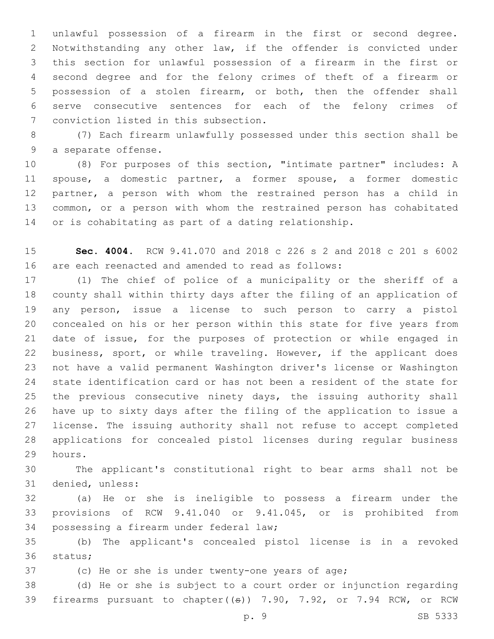unlawful possession of a firearm in the first or second degree. Notwithstanding any other law, if the offender is convicted under this section for unlawful possession of a firearm in the first or second degree and for the felony crimes of theft of a firearm or possession of a stolen firearm, or both, then the offender shall serve consecutive sentences for each of the felony crimes of 7 conviction listed in this subsection.

 (7) Each firearm unlawfully possessed under this section shall be 9 a separate offense.

 (8) For purposes of this section, "intimate partner" includes: A spouse, a domestic partner, a former spouse, a former domestic partner, a person with whom the restrained person has a child in common, or a person with whom the restrained person has cohabitated or is cohabitating as part of a dating relationship.

 **Sec. 4004.** RCW 9.41.070 and 2018 c 226 s 2 and 2018 c 201 s 6002 are each reenacted and amended to read as follows:

 (1) The chief of police of a municipality or the sheriff of a county shall within thirty days after the filing of an application of any person, issue a license to such person to carry a pistol concealed on his or her person within this state for five years from date of issue, for the purposes of protection or while engaged in business, sport, or while traveling. However, if the applicant does not have a valid permanent Washington driver's license or Washington state identification card or has not been a resident of the state for the previous consecutive ninety days, the issuing authority shall have up to sixty days after the filing of the application to issue a license. The issuing authority shall not refuse to accept completed applications for concealed pistol licenses during regular business 29 hours.

 The applicant's constitutional right to bear arms shall not be 31 denied, unless:

 (a) He or she is ineligible to possess a firearm under the provisions of RCW 9.41.040 or 9.41.045, or is prohibited from 34 possessing a firearm under federal law;

 (b) The applicant's concealed pistol license is in a revoked 36 status;

(c) He or she is under twenty-one years of age;

 (d) He or she is subject to a court order or injunction regarding firearms pursuant to chapter((s)) 7.90, 7.92, or 7.94 RCW, or RCW

p. 9 SB 5333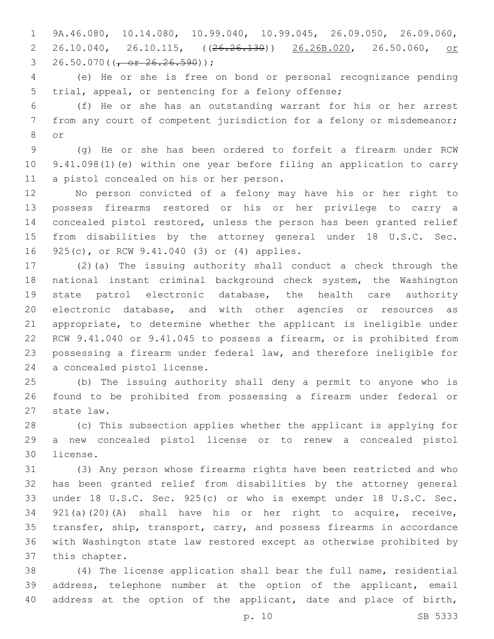9A.46.080, 10.14.080, 10.99.040, 10.99.045, 26.09.050, 26.09.060, 2 26.10.040, 26.10.115, ((<del>26.26.130</del>)) 26.26B.020, 26.50.060, or 3 26.50.070( $\left(\frac{\pi}{6} - \frac{26.26.590}{\pi}\right)$ );

 (e) He or she is free on bond or personal recognizance pending 5 trial, appeal, or sentencing for a felony offense;

 (f) He or she has an outstanding warrant for his or her arrest from any court of competent jurisdiction for a felony or misdemeanor; or8

 (g) He or she has been ordered to forfeit a firearm under RCW 9.41.098(1)(e) within one year before filing an application to carry 11 a pistol concealed on his or her person.

 No person convicted of a felony may have his or her right to possess firearms restored or his or her privilege to carry a concealed pistol restored, unless the person has been granted relief from disabilities by the attorney general under 18 U.S.C. Sec. 16 925(c), or RCW 9.41.040 (3) or (4) applies.

 (2)(a) The issuing authority shall conduct a check through the national instant criminal background check system, the Washington state patrol electronic database, the health care authority electronic database, and with other agencies or resources as appropriate, to determine whether the applicant is ineligible under RCW 9.41.040 or 9.41.045 to possess a firearm, or is prohibited from possessing a firearm under federal law, and therefore ineligible for 24 a concealed pistol license.

 (b) The issuing authority shall deny a permit to anyone who is found to be prohibited from possessing a firearm under federal or 27 state law.

 (c) This subsection applies whether the applicant is applying for a new concealed pistol license or to renew a concealed pistol 30 license.

 (3) Any person whose firearms rights have been restricted and who has been granted relief from disabilities by the attorney general under 18 U.S.C. Sec. 925(c) or who is exempt under 18 U.S.C. Sec. 921(a)(20)(A) shall have his or her right to acquire, receive, transfer, ship, transport, carry, and possess firearms in accordance with Washington state law restored except as otherwise prohibited by 37 this chapter.

 (4) The license application shall bear the full name, residential address, telephone number at the option of the applicant, email 40 address at the option of the applicant, date and place of birth,

p. 10 SB 5333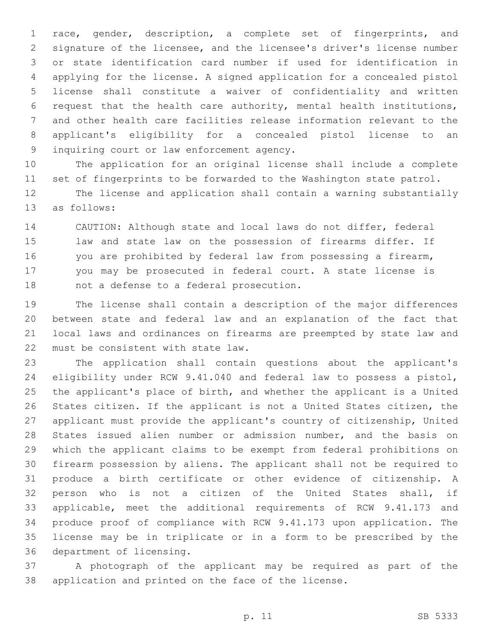race, gender, description, a complete set of fingerprints, and signature of the licensee, and the licensee's driver's license number or state identification card number if used for identification in applying for the license. A signed application for a concealed pistol license shall constitute a waiver of confidentiality and written request that the health care authority, mental health institutions, and other health care facilities release information relevant to the applicant's eligibility for a concealed pistol license to an 9 inquiring court or law enforcement agency.

 The application for an original license shall include a complete set of fingerprints to be forwarded to the Washington state patrol.

 The license and application shall contain a warning substantially 13 as follows:

 CAUTION: Although state and local laws do not differ, federal law and state law on the possession of firearms differ. If you are prohibited by federal law from possessing a firearm, you may be prosecuted in federal court. A state license is 18 mot a defense to a federal prosecution.

 The license shall contain a description of the major differences between state and federal law and an explanation of the fact that local laws and ordinances on firearms are preempted by state law and 22 must be consistent with state law.

 The application shall contain questions about the applicant's eligibility under RCW 9.41.040 and federal law to possess a pistol, the applicant's place of birth, and whether the applicant is a United States citizen. If the applicant is not a United States citizen, the applicant must provide the applicant's country of citizenship, United States issued alien number or admission number, and the basis on which the applicant claims to be exempt from federal prohibitions on firearm possession by aliens. The applicant shall not be required to produce a birth certificate or other evidence of citizenship. A person who is not a citizen of the United States shall, if applicable, meet the additional requirements of RCW 9.41.173 and produce proof of compliance with RCW 9.41.173 upon application. The license may be in triplicate or in a form to be prescribed by the 36 department of licensing.

 A photograph of the applicant may be required as part of the application and printed on the face of the license.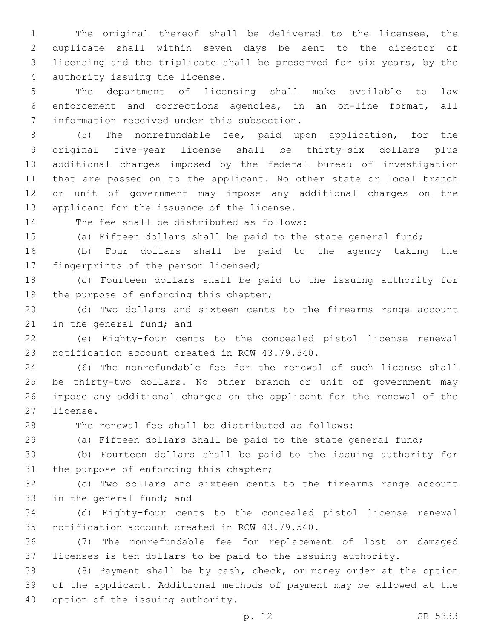The original thereof shall be delivered to the licensee, the duplicate shall within seven days be sent to the director of licensing and the triplicate shall be preserved for six years, by the 4 authority issuing the license.

 The department of licensing shall make available to law enforcement and corrections agencies, in an on-line format, all 7 information received under this subsection.

 (5) The nonrefundable fee, paid upon application, for the original five-year license shall be thirty-six dollars plus additional charges imposed by the federal bureau of investigation that are passed on to the applicant. No other state or local branch or unit of government may impose any additional charges on the 13 applicant for the issuance of the license.

14 The fee shall be distributed as follows:

(a) Fifteen dollars shall be paid to the state general fund;

 (b) Four dollars shall be paid to the agency taking the 17 fingerprints of the person licensed;

 (c) Fourteen dollars shall be paid to the issuing authority for 19 the purpose of enforcing this chapter;

 (d) Two dollars and sixteen cents to the firearms range account 21 in the general fund; and

 (e) Eighty-four cents to the concealed pistol license renewal 23 notification account created in RCW 43.79.540.

 (6) The nonrefundable fee for the renewal of such license shall be thirty-two dollars. No other branch or unit of government may impose any additional charges on the applicant for the renewal of the 27 license.

The renewal fee shall be distributed as follows:

(a) Fifteen dollars shall be paid to the state general fund;

 (b) Fourteen dollars shall be paid to the issuing authority for 31 the purpose of enforcing this chapter;

 (c) Two dollars and sixteen cents to the firearms range account 33 in the general fund; and

 (d) Eighty-four cents to the concealed pistol license renewal 35 notification account created in RCW 43.79.540.

 (7) The nonrefundable fee for replacement of lost or damaged licenses is ten dollars to be paid to the issuing authority.

 (8) Payment shall be by cash, check, or money order at the option of the applicant. Additional methods of payment may be allowed at the 40 option of the issuing authority.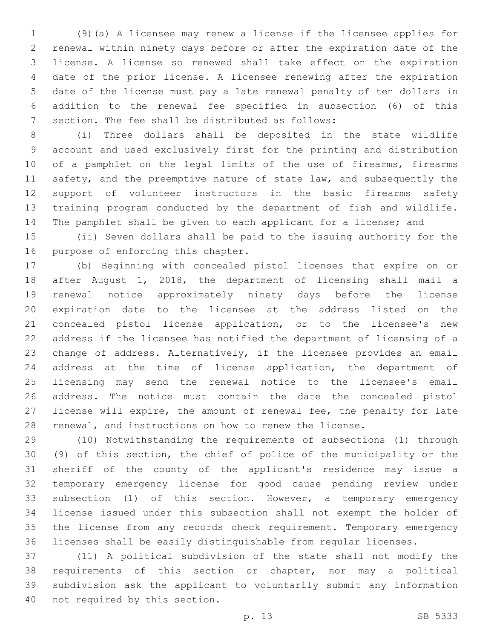(9)(a) A licensee may renew a license if the licensee applies for renewal within ninety days before or after the expiration date of the license. A license so renewed shall take effect on the expiration date of the prior license. A licensee renewing after the expiration date of the license must pay a late renewal penalty of ten dollars in addition to the renewal fee specified in subsection (6) of this 7 section. The fee shall be distributed as follows:

 (i) Three dollars shall be deposited in the state wildlife account and used exclusively first for the printing and distribution 10 of a pamphlet on the legal limits of the use of firearms, firearms 11 safety, and the preemptive nature of state law, and subsequently the support of volunteer instructors in the basic firearms safety training program conducted by the department of fish and wildlife. The pamphlet shall be given to each applicant for a license; and

 (ii) Seven dollars shall be paid to the issuing authority for the 16 purpose of enforcing this chapter.

 (b) Beginning with concealed pistol licenses that expire on or after August 1, 2018, the department of licensing shall mail a renewal notice approximately ninety days before the license expiration date to the licensee at the address listed on the concealed pistol license application, or to the licensee's new address if the licensee has notified the department of licensing of a change of address. Alternatively, if the licensee provides an email address at the time of license application, the department of licensing may send the renewal notice to the licensee's email address. The notice must contain the date the concealed pistol license will expire, the amount of renewal fee, the penalty for late renewal, and instructions on how to renew the license.

 (10) Notwithstanding the requirements of subsections (1) through (9) of this section, the chief of police of the municipality or the sheriff of the county of the applicant's residence may issue a temporary emergency license for good cause pending review under subsection (1) of this section. However, a temporary emergency license issued under this subsection shall not exempt the holder of the license from any records check requirement. Temporary emergency licenses shall be easily distinguishable from regular licenses.

 (11) A political subdivision of the state shall not modify the requirements of this section or chapter, nor may a political subdivision ask the applicant to voluntarily submit any information 40 not required by this section.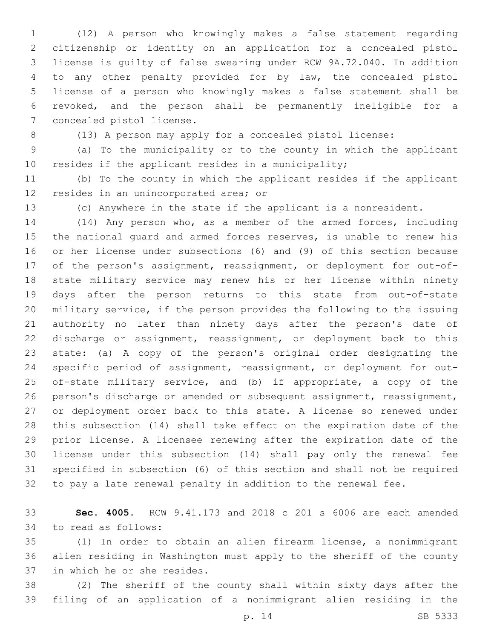(12) A person who knowingly makes a false statement regarding citizenship or identity on an application for a concealed pistol license is guilty of false swearing under RCW 9A.72.040. In addition to any other penalty provided for by law, the concealed pistol license of a person who knowingly makes a false statement shall be revoked, and the person shall be permanently ineligible for a 7 concealed pistol license.

(13) A person may apply for a concealed pistol license:

 (a) To the municipality or to the county in which the applicant resides if the applicant resides in a municipality;

 (b) To the county in which the applicant resides if the applicant 12 resides in an unincorporated area; or

(c) Anywhere in the state if the applicant is a nonresident.

 (14) Any person who, as a member of the armed forces, including the national guard and armed forces reserves, is unable to renew his or her license under subsections (6) and (9) of this section because of the person's assignment, reassignment, or deployment for out-of- state military service may renew his or her license within ninety days after the person returns to this state from out-of-state military service, if the person provides the following to the issuing authority no later than ninety days after the person's date of discharge or assignment, reassignment, or deployment back to this state: (a) A copy of the person's original order designating the specific period of assignment, reassignment, or deployment for out- of-state military service, and (b) if appropriate, a copy of the person's discharge or amended or subsequent assignment, reassignment, or deployment order back to this state. A license so renewed under this subsection (14) shall take effect on the expiration date of the prior license. A licensee renewing after the expiration date of the license under this subsection (14) shall pay only the renewal fee specified in subsection (6) of this section and shall not be required to pay a late renewal penalty in addition to the renewal fee.

 **Sec. 4005.** RCW 9.41.173 and 2018 c 201 s 6006 are each amended 34 to read as follows:

 (1) In order to obtain an alien firearm license, a nonimmigrant alien residing in Washington must apply to the sheriff of the county 37 in which he or she resides.

 (2) The sheriff of the county shall within sixty days after the filing of an application of a nonimmigrant alien residing in the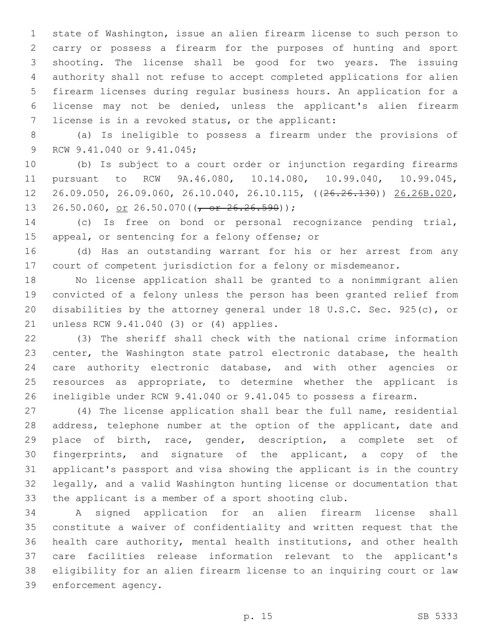state of Washington, issue an alien firearm license to such person to carry or possess a firearm for the purposes of hunting and sport shooting. The license shall be good for two years. The issuing authority shall not refuse to accept completed applications for alien firearm licenses during regular business hours. An application for a license may not be denied, unless the applicant's alien firearm 7 license is in a revoked status, or the applicant:

 (a) Is ineligible to possess a firearm under the provisions of 9 RCW 9.41.040 or 9.41.045;

 (b) Is subject to a court order or injunction regarding firearms pursuant to RCW 9A.46.080, 10.14.080, 10.99.040, 10.99.045, 26.09.050, 26.09.060, 26.10.040, 26.10.115, ((26.26.130)) 26.26B.020, 13 26.50.060, <u>or</u> 26.50.070( $(\sqrt{or} 26.26.590)$ );

 (c) Is free on bond or personal recognizance pending trial, 15 appeal, or sentencing for a felony offense; or

 (d) Has an outstanding warrant for his or her arrest from any court of competent jurisdiction for a felony or misdemeanor.

 No license application shall be granted to a nonimmigrant alien convicted of a felony unless the person has been granted relief from disabilities by the attorney general under 18 U.S.C. Sec. 925(c), or 21 unless RCW 9.41.040 (3) or (4) applies.

 (3) The sheriff shall check with the national crime information center, the Washington state patrol electronic database, the health care authority electronic database, and with other agencies or resources as appropriate, to determine whether the applicant is ineligible under RCW 9.41.040 or 9.41.045 to possess a firearm.

 (4) The license application shall bear the full name, residential 28 address, telephone number at the option of the applicant, date and place of birth, race, gender, description, a complete set of fingerprints, and signature of the applicant, a copy of the applicant's passport and visa showing the applicant is in the country legally, and a valid Washington hunting license or documentation that the applicant is a member of a sport shooting club.

 A signed application for an alien firearm license shall constitute a waiver of confidentiality and written request that the health care authority, mental health institutions, and other health care facilities release information relevant to the applicant's eligibility for an alien firearm license to an inquiring court or law 39 enforcement agency.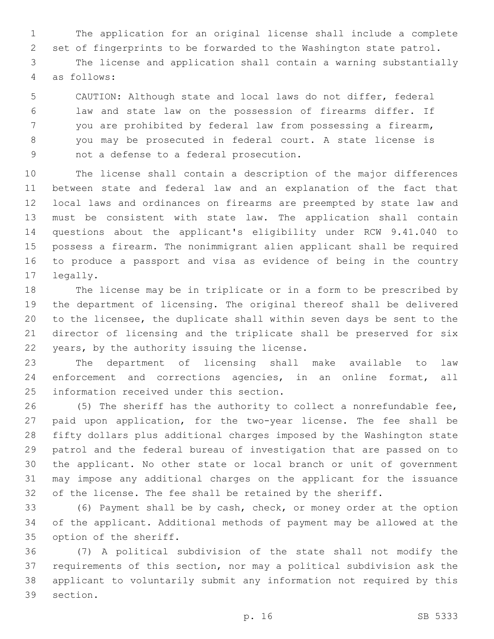The application for an original license shall include a complete set of fingerprints to be forwarded to the Washington state patrol. The license and application shall contain a warning substantially 4 as follows:

 CAUTION: Although state and local laws do not differ, federal law and state law on the possession of firearms differ. If you are prohibited by federal law from possessing a firearm, you may be prosecuted in federal court. A state license is 9 not a defense to a federal prosecution.

 The license shall contain a description of the major differences between state and federal law and an explanation of the fact that local laws and ordinances on firearms are preempted by state law and must be consistent with state law. The application shall contain questions about the applicant's eligibility under RCW 9.41.040 to possess a firearm. The nonimmigrant alien applicant shall be required to produce a passport and visa as evidence of being in the country 17 legally.

 The license may be in triplicate or in a form to be prescribed by the department of licensing. The original thereof shall be delivered to the licensee, the duplicate shall within seven days be sent to the director of licensing and the triplicate shall be preserved for six 22 years, by the authority issuing the license.

 The department of licensing shall make available to law enforcement and corrections agencies, in an online format, all 25 information received under this section.

 (5) The sheriff has the authority to collect a nonrefundable fee, paid upon application, for the two-year license. The fee shall be fifty dollars plus additional charges imposed by the Washington state patrol and the federal bureau of investigation that are passed on to the applicant. No other state or local branch or unit of government may impose any additional charges on the applicant for the issuance of the license. The fee shall be retained by the sheriff.

 (6) Payment shall be by cash, check, or money order at the option of the applicant. Additional methods of payment may be allowed at the 35 option of the sheriff.

 (7) A political subdivision of the state shall not modify the requirements of this section, nor may a political subdivision ask the applicant to voluntarily submit any information not required by this 39 section.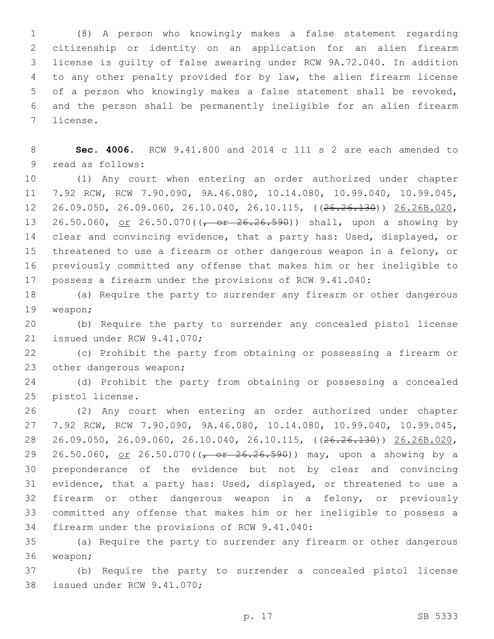(8) A person who knowingly makes a false statement regarding citizenship or identity on an application for an alien firearm license is guilty of false swearing under RCW 9A.72.040. In addition to any other penalty provided for by law, the alien firearm license of a person who knowingly makes a false statement shall be revoked, and the person shall be permanently ineligible for an alien firearm 7 license.

 **Sec. 4006.** RCW 9.41.800 and 2014 c 111 s 2 are each amended to 9 read as follows:

 (1) Any court when entering an order authorized under chapter 7.92 RCW, RCW 7.90.090, 9A.46.080, 10.14.080, 10.99.040, 10.99.045, 26.09.050, 26.09.060, 26.10.040, 26.10.115, ((26.26.130)) 26.26B.020, 13 26.50.060, <u>or</u> 26.50.070((<del>, or 26.26.590</del>)) shall, upon a showing by clear and convincing evidence, that a party has: Used, displayed, or threatened to use a firearm or other dangerous weapon in a felony, or previously committed any offense that makes him or her ineligible to possess a firearm under the provisions of RCW 9.41.040:

 (a) Require the party to surrender any firearm or other dangerous 19 weapon;

 (b) Require the party to surrender any concealed pistol license 21 issued under RCW 9.41.070;

 (c) Prohibit the party from obtaining or possessing a firearm or 23 other dangerous weapon;

 (d) Prohibit the party from obtaining or possessing a concealed 25 pistol license.

 (2) Any court when entering an order authorized under chapter 7.92 RCW, RCW 7.90.090, 9A.46.080, 10.14.080, 10.99.040, 10.99.045, 26.09.050, 26.09.060, 26.10.040, 26.10.115, ((26.26.130)) 26.26B.020, 29 26.50.060, <u>or</u> 26.50.070((<del>, or 26.26.590</del>)) may, upon a showing by a preponderance of the evidence but not by clear and convincing evidence, that a party has: Used, displayed, or threatened to use a firearm or other dangerous weapon in a felony, or previously committed any offense that makes him or her ineligible to possess a 34 firearm under the provisions of RCW 9.41.040:

 (a) Require the party to surrender any firearm or other dangerous 36 weapon;

 (b) Require the party to surrender a concealed pistol license 38 issued under RCW 9.41.070;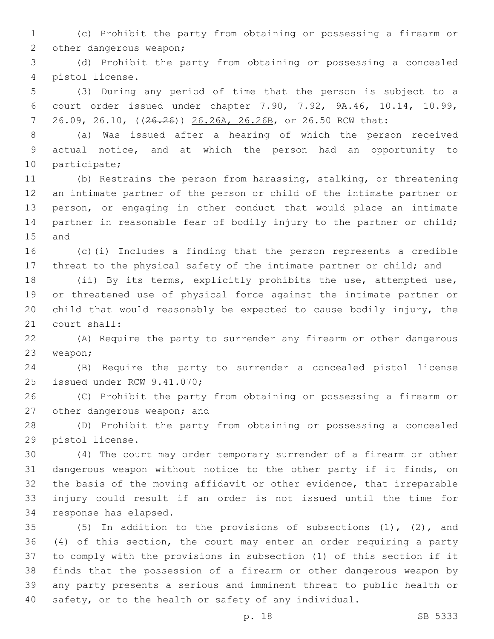(c) Prohibit the party from obtaining or possessing a firearm or 2 other dangerous weapon;

 (d) Prohibit the party from obtaining or possessing a concealed 4 pistol license.

 (3) During any period of time that the person is subject to a court order issued under chapter 7.90, 7.92, 9A.46, 10.14, 10.99, 26.09, 26.10, ((26.26)) 26.26A, 26.26B, or 26.50 RCW that:

 (a) Was issued after a hearing of which the person received actual notice, and at which the person had an opportunity to 10 participate;

 (b) Restrains the person from harassing, stalking, or threatening an intimate partner of the person or child of the intimate partner or person, or engaging in other conduct that would place an intimate partner in reasonable fear of bodily injury to the partner or child; 15 and

 (c)(i) Includes a finding that the person represents a credible threat to the physical safety of the intimate partner or child; and

 (ii) By its terms, explicitly prohibits the use, attempted use, or threatened use of physical force against the intimate partner or child that would reasonably be expected to cause bodily injury, the 21 court shall:

 (A) Require the party to surrender any firearm or other dangerous 23 weapon;

 (B) Require the party to surrender a concealed pistol license 25 issued under RCW 9.41.070;

 (C) Prohibit the party from obtaining or possessing a firearm or 27 other dangerous weapon; and

 (D) Prohibit the party from obtaining or possessing a concealed 29 pistol license.

 (4) The court may order temporary surrender of a firearm or other dangerous weapon without notice to the other party if it finds, on the basis of the moving affidavit or other evidence, that irreparable injury could result if an order is not issued until the time for 34 response has elapsed.

 (5) In addition to the provisions of subsections (1), (2), and (4) of this section, the court may enter an order requiring a party to comply with the provisions in subsection (1) of this section if it finds that the possession of a firearm or other dangerous weapon by any party presents a serious and imminent threat to public health or safety, or to the health or safety of any individual.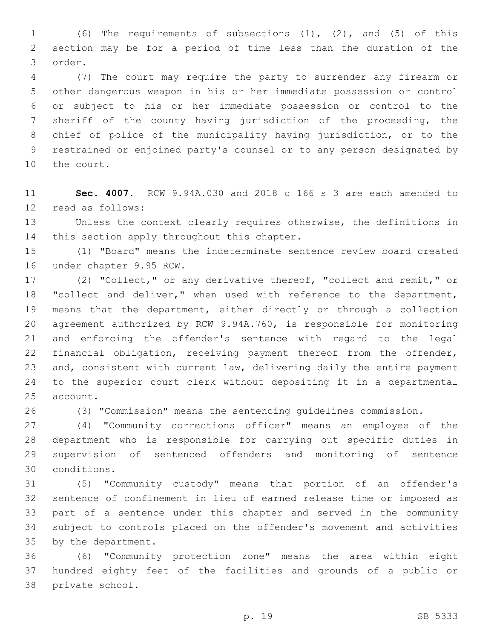(6) The requirements of subsections (1), (2), and (5) of this section may be for a period of time less than the duration of the order.3

 (7) The court may require the party to surrender any firearm or other dangerous weapon in his or her immediate possession or control or subject to his or her immediate possession or control to the sheriff of the county having jurisdiction of the proceeding, the chief of police of the municipality having jurisdiction, or to the restrained or enjoined party's counsel or to any person designated by 10 the court.

 **Sec. 4007.** RCW 9.94A.030 and 2018 c 166 s 3 are each amended to 12 read as follows:

 Unless the context clearly requires otherwise, the definitions in 14 this section apply throughout this chapter.

 (1) "Board" means the indeterminate sentence review board created 16 under chapter 9.95 RCW.

 (2) "Collect," or any derivative thereof, "collect and remit," or 18 "collect and deliver," when used with reference to the department, means that the department, either directly or through a collection agreement authorized by RCW 9.94A.760, is responsible for monitoring and enforcing the offender's sentence with regard to the legal financial obligation, receiving payment thereof from the offender, and, consistent with current law, delivering daily the entire payment to the superior court clerk without depositing it in a departmental 25 account.

(3) "Commission" means the sentencing guidelines commission.

 (4) "Community corrections officer" means an employee of the department who is responsible for carrying out specific duties in supervision of sentenced offenders and monitoring of sentence conditions.30

 (5) "Community custody" means that portion of an offender's sentence of confinement in lieu of earned release time or imposed as part of a sentence under this chapter and served in the community subject to controls placed on the offender's movement and activities 35 by the department.

 (6) "Community protection zone" means the area within eight hundred eighty feet of the facilities and grounds of a public or 38 private school.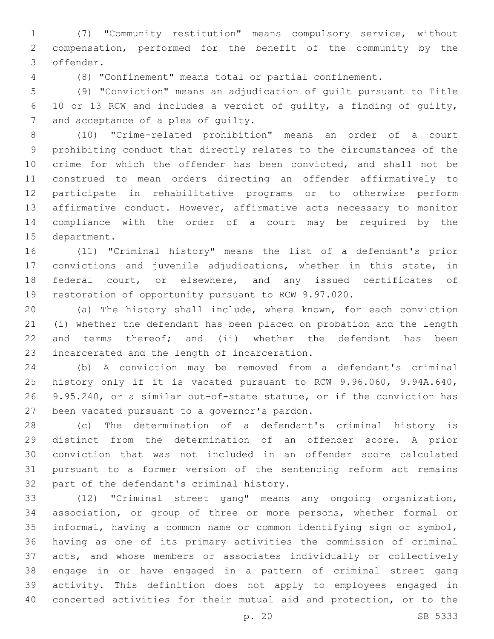(7) "Community restitution" means compulsory service, without compensation, performed for the benefit of the community by the offender.3

(8) "Confinement" means total or partial confinement.

 (9) "Conviction" means an adjudication of guilt pursuant to Title 10 or 13 RCW and includes a verdict of guilty, a finding of guilty, 7 and acceptance of a plea of quilty.

 (10) "Crime-related prohibition" means an order of a court prohibiting conduct that directly relates to the circumstances of the crime for which the offender has been convicted, and shall not be construed to mean orders directing an offender affirmatively to participate in rehabilitative programs or to otherwise perform affirmative conduct. However, affirmative acts necessary to monitor compliance with the order of a court may be required by the 15 department.

 (11) "Criminal history" means the list of a defendant's prior convictions and juvenile adjudications, whether in this state, in federal court, or elsewhere, and any issued certificates of restoration of opportunity pursuant to RCW 9.97.020.

 (a) The history shall include, where known, for each conviction (i) whether the defendant has been placed on probation and the length 22 and terms thereof; and (ii) whether the defendant has been 23 incarcerated and the length of incarceration.

 (b) A conviction may be removed from a defendant's criminal history only if it is vacated pursuant to RCW 9.96.060, 9.94A.640, 9.95.240, or a similar out-of-state statute, or if the conviction has 27 been vacated pursuant to a governor's pardon.

 (c) The determination of a defendant's criminal history is distinct from the determination of an offender score. A prior conviction that was not included in an offender score calculated pursuant to a former version of the sentencing reform act remains 32 part of the defendant's criminal history.

 (12) "Criminal street gang" means any ongoing organization, association, or group of three or more persons, whether formal or informal, having a common name or common identifying sign or symbol, having as one of its primary activities the commission of criminal acts, and whose members or associates individually or collectively engage in or have engaged in a pattern of criminal street gang activity. This definition does not apply to employees engaged in concerted activities for their mutual aid and protection, or to the

p. 20 SB 5333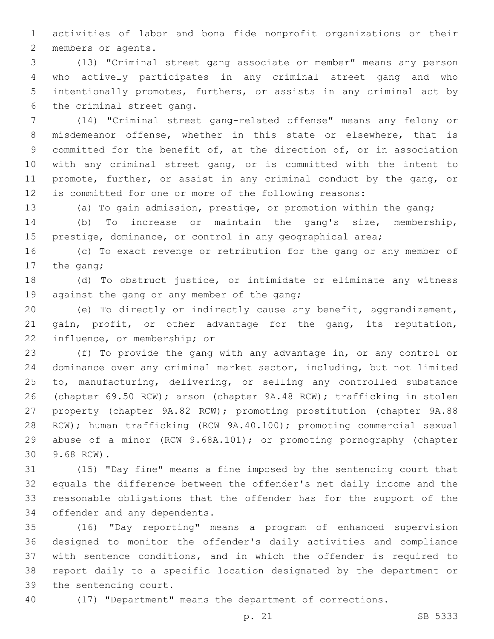activities of labor and bona fide nonprofit organizations or their 2 members or agents.

 (13) "Criminal street gang associate or member" means any person who actively participates in any criminal street gang and who intentionally promotes, furthers, or assists in any criminal act by 6 the criminal street gang.

 (14) "Criminal street gang-related offense" means any felony or misdemeanor offense, whether in this state or elsewhere, that is committed for the benefit of, at the direction of, or in association with any criminal street gang, or is committed with the intent to promote, further, or assist in any criminal conduct by the gang, or is committed for one or more of the following reasons:

(a) To gain admission, prestige, or promotion within the gang;

 (b) To increase or maintain the gang's size, membership, 15 prestige, dominance, or control in any geographical area;

 (c) To exact revenge or retribution for the gang or any member of 17 the gang;

 (d) To obstruct justice, or intimidate or eliminate any witness 19 against the gang or any member of the gang;

 (e) To directly or indirectly cause any benefit, aggrandizement, gain, profit, or other advantage for the gang, its reputation, 22 influence, or membership; or

 (f) To provide the gang with any advantage in, or any control or dominance over any criminal market sector, including, but not limited to, manufacturing, delivering, or selling any controlled substance (chapter 69.50 RCW); arson (chapter 9A.48 RCW); trafficking in stolen property (chapter 9A.82 RCW); promoting prostitution (chapter 9A.88 RCW); human trafficking (RCW 9A.40.100); promoting commercial sexual abuse of a minor (RCW 9.68A.101); or promoting pornography (chapter 9.68 RCW).30

 (15) "Day fine" means a fine imposed by the sentencing court that equals the difference between the offender's net daily income and the reasonable obligations that the offender has for the support of the 34 offender and any dependents.

 (16) "Day reporting" means a program of enhanced supervision designed to monitor the offender's daily activities and compliance with sentence conditions, and in which the offender is required to report daily to a specific location designated by the department or 39 the sentencing court.

(17) "Department" means the department of corrections.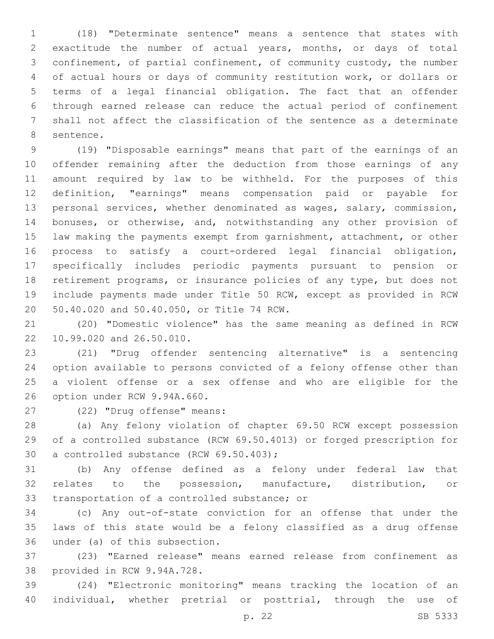(18) "Determinate sentence" means a sentence that states with exactitude the number of actual years, months, or days of total confinement, of partial confinement, of community custody, the number of actual hours or days of community restitution work, or dollars or terms of a legal financial obligation. The fact that an offender through earned release can reduce the actual period of confinement shall not affect the classification of the sentence as a determinate 8 sentence.

 (19) "Disposable earnings" means that part of the earnings of an offender remaining after the deduction from those earnings of any amount required by law to be withheld. For the purposes of this definition, "earnings" means compensation paid or payable for personal services, whether denominated as wages, salary, commission, bonuses, or otherwise, and, notwithstanding any other provision of law making the payments exempt from garnishment, attachment, or other process to satisfy a court-ordered legal financial obligation, specifically includes periodic payments pursuant to pension or retirement programs, or insurance policies of any type, but does not include payments made under Title 50 RCW, except as provided in RCW 20 50.40.020 and 50.40.050, or Title 74 RCW.

 (20) "Domestic violence" has the same meaning as defined in RCW 22 10.99.020 and 26.50.010.

 (21) "Drug offender sentencing alternative" is a sentencing option available to persons convicted of a felony offense other than a violent offense or a sex offense and who are eligible for the 26 option under RCW 9.94A.660.

(22) "Drug offense" means:27

 (a) Any felony violation of chapter 69.50 RCW except possession of a controlled substance (RCW 69.50.4013) or forged prescription for 30 a controlled substance (RCW 69.50.403);

 (b) Any offense defined as a felony under federal law that relates to the possession, manufacture, distribution, or 33 transportation of a controlled substance; or

 (c) Any out-of-state conviction for an offense that under the laws of this state would be a felony classified as a drug offense 36 under (a) of this subsection.

 (23) "Earned release" means earned release from confinement as 38 provided in RCW 9.94A.728.

 (24) "Electronic monitoring" means tracking the location of an individual, whether pretrial or posttrial, through the use of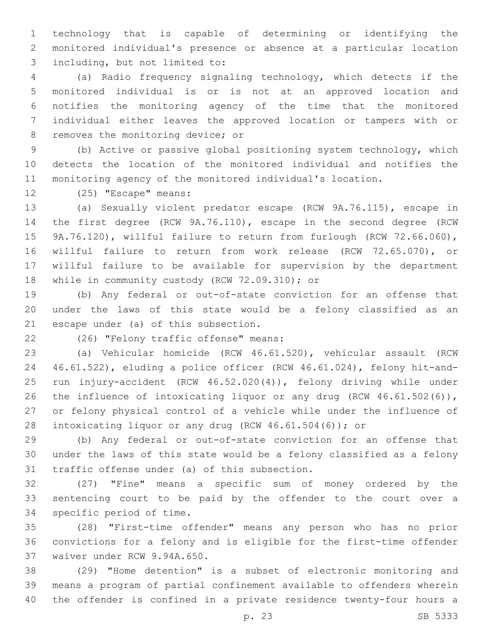technology that is capable of determining or identifying the monitored individual's presence or absence at a particular location including, but not limited to:3

 (a) Radio frequency signaling technology, which detects if the monitored individual is or is not at an approved location and notifies the monitoring agency of the time that the monitored individual either leaves the approved location or tampers with or 8 removes the monitoring device; or

 (b) Active or passive global positioning system technology, which detects the location of the monitored individual and notifies the monitoring agency of the monitored individual's location.

12 (25) "Escape" means:

 (a) Sexually violent predator escape (RCW 9A.76.115), escape in the first degree (RCW 9A.76.110), escape in the second degree (RCW 9A.76.120), willful failure to return from furlough (RCW 72.66.060), willful failure to return from work release (RCW 72.65.070), or willful failure to be available for supervision by the department 18 while in community custody (RCW 72.09.310); or

 (b) Any federal or out-of-state conviction for an offense that under the laws of this state would be a felony classified as an 21 escape under (a) of this subsection.

(26) "Felony traffic offense" means:22

 (a) Vehicular homicide (RCW 46.61.520), vehicular assault (RCW 46.61.522), eluding a police officer (RCW 46.61.024), felony hit-and- run injury-accident (RCW 46.52.020(4)), felony driving while under 26 the influence of intoxicating liquor or any drug (RCW 46.61.502(6)), or felony physical control of a vehicle while under the influence of intoxicating liquor or any drug (RCW 46.61.504(6)); or

 (b) Any federal or out-of-state conviction for an offense that under the laws of this state would be a felony classified as a felony 31 traffic offense under (a) of this subsection.

 (27) "Fine" means a specific sum of money ordered by the sentencing court to be paid by the offender to the court over a 34 specific period of time.

 (28) "First-time offender" means any person who has no prior convictions for a felony and is eligible for the first-time offender 37 waiver under RCW 9.94A.650.

 (29) "Home detention" is a subset of electronic monitoring and means a program of partial confinement available to offenders wherein the offender is confined in a private residence twenty-four hours a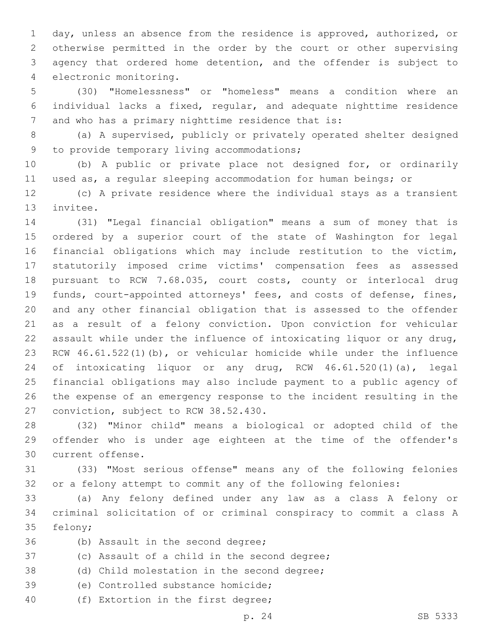day, unless an absence from the residence is approved, authorized, or otherwise permitted in the order by the court or other supervising agency that ordered home detention, and the offender is subject to 4 electronic monitoring.

 (30) "Homelessness" or "homeless" means a condition where an individual lacks a fixed, regular, and adequate nighttime residence 7 and who has a primary nighttime residence that is:

 (a) A supervised, publicly or privately operated shelter designed 9 to provide temporary living accommodations;

 (b) A public or private place not designed for, or ordinarily used as, a regular sleeping accommodation for human beings; or

 (c) A private residence where the individual stays as a transient 13 invitee.

 (31) "Legal financial obligation" means a sum of money that is ordered by a superior court of the state of Washington for legal financial obligations which may include restitution to the victim, statutorily imposed crime victims' compensation fees as assessed pursuant to RCW 7.68.035, court costs, county or interlocal drug funds, court-appointed attorneys' fees, and costs of defense, fines, and any other financial obligation that is assessed to the offender as a result of a felony conviction. Upon conviction for vehicular assault while under the influence of intoxicating liquor or any drug, RCW 46.61.522(1)(b), or vehicular homicide while under the influence of intoxicating liquor or any drug, RCW 46.61.520(1)(a), legal financial obligations may also include payment to a public agency of the expense of an emergency response to the incident resulting in the 27 conviction, subject to RCW 38.52.430.

 (32) "Minor child" means a biological or adopted child of the offender who is under age eighteen at the time of the offender's 30 current offense.

 (33) "Most serious offense" means any of the following felonies or a felony attempt to commit any of the following felonies:

 (a) Any felony defined under any law as a class A felony or criminal solicitation of or criminal conspiracy to commit a class A 35 felony;

36 (b) Assault in the second degree;

- 37 (c) Assault of a child in the second degree;
- (d) Child molestation in the second degree;
- 39 (e) Controlled substance homicide;
- 40 (f) Extortion in the first degree;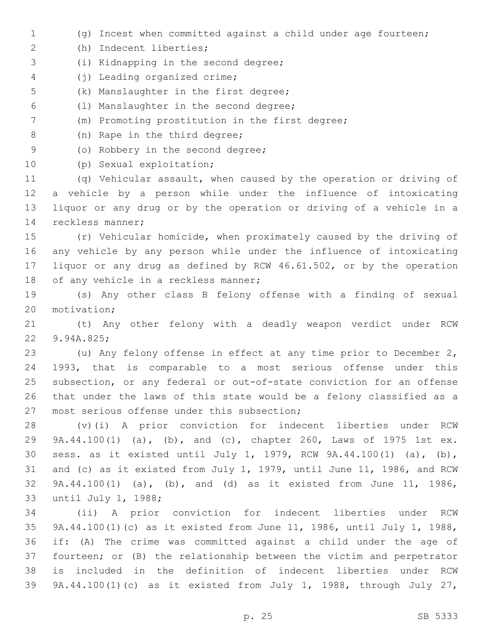(g) Incest when committed against a child under age fourteen; (h) Indecent liberties;2 3 (i) Kidnapping in the second degree; (j) Leading organized crime;4 5 (k) Manslaughter in the first degree; (l) Manslaughter in the second degree;6 (m) Promoting prostitution in the first degree; 8 (n) Rape in the third degree; 9 (o) Robbery in the second degree; 10 (p) Sexual exploitation; (q) Vehicular assault, when caused by the operation or driving of a vehicle by a person while under the influence of intoxicating liquor or any drug or by the operation or driving of a vehicle in a 14 reckless manner; (r) Vehicular homicide, when proximately caused by the driving of any vehicle by any person while under the influence of intoxicating liquor or any drug as defined by RCW 46.61.502, or by the operation 18 of any vehicle in a reckless manner; (s) Any other class B felony offense with a finding of sexual 20 motivation; (t) Any other felony with a deadly weapon verdict under RCW 22 9.94A.825; (u) Any felony offense in effect at any time prior to December 2, 1993, that is comparable to a most serious offense under this subsection, or any federal or out-of-state conviction for an offense that under the laws of this state would be a felony classified as a 27 most serious offense under this subsection; (v)(i) A prior conviction for indecent liberties under RCW 9A.44.100(1) (a), (b), and (c), chapter 260, Laws of 1975 1st ex. sess. as it existed until July 1, 1979, RCW 9A.44.100(1) (a), (b), and (c) as it existed from July 1, 1979, until June 11, 1986, and RCW 9A.44.100(1) (a), (b), and (d) as it existed from June 11, 1986, 33 until July 1, 1988; (ii) A prior conviction for indecent liberties under RCW 9A.44.100(1)(c) as it existed from June 11, 1986, until July 1, 1988, if: (A) The crime was committed against a child under the age of fourteen; or (B) the relationship between the victim and perpetrator is included in the definition of indecent liberties under RCW 9A.44.100(1)(c) as it existed from July 1, 1988, through July 27,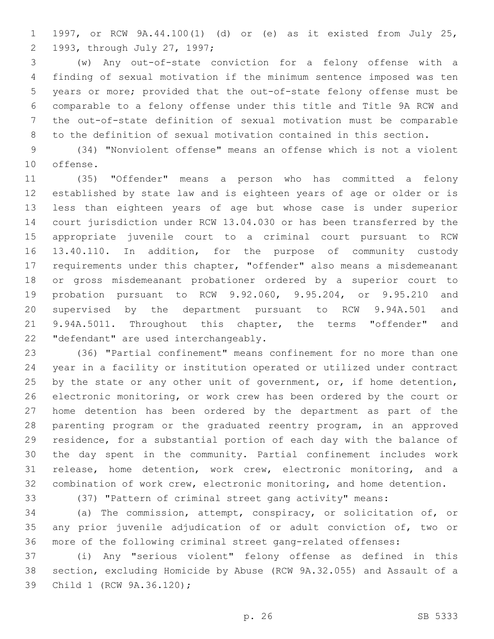1997, or RCW 9A.44.100(1) (d) or (e) as it existed from July 25, 1993, through July 27, 1997;2

 (w) Any out-of-state conviction for a felony offense with a finding of sexual motivation if the minimum sentence imposed was ten years or more; provided that the out-of-state felony offense must be comparable to a felony offense under this title and Title 9A RCW and the out-of-state definition of sexual motivation must be comparable to the definition of sexual motivation contained in this section.

 (34) "Nonviolent offense" means an offense which is not a violent 10 offense.

 (35) "Offender" means a person who has committed a felony established by state law and is eighteen years of age or older or is less than eighteen years of age but whose case is under superior court jurisdiction under RCW 13.04.030 or has been transferred by the appropriate juvenile court to a criminal court pursuant to RCW 13.40.110. In addition, for the purpose of community custody requirements under this chapter, "offender" also means a misdemeanant or gross misdemeanant probationer ordered by a superior court to probation pursuant to RCW 9.92.060, 9.95.204, or 9.95.210 and supervised by the department pursuant to RCW 9.94A.501 and 9.94A.5011. Throughout this chapter, the terms "offender" and 22 "defendant" are used interchangeably.

 (36) "Partial confinement" means confinement for no more than one year in a facility or institution operated or utilized under contract 25 by the state or any other unit of government, or, if home detention, electronic monitoring, or work crew has been ordered by the court or home detention has been ordered by the department as part of the parenting program or the graduated reentry program, in an approved residence, for a substantial portion of each day with the balance of the day spent in the community. Partial confinement includes work release, home detention, work crew, electronic monitoring, and a combination of work crew, electronic monitoring, and home detention.

(37) "Pattern of criminal street gang activity" means:

 (a) The commission, attempt, conspiracy, or solicitation of, or any prior juvenile adjudication of or adult conviction of, two or more of the following criminal street gang-related offenses:

 (i) Any "serious violent" felony offense as defined in this section, excluding Homicide by Abuse (RCW 9A.32.055) and Assault of a 39 Child 1 (RCW 9A.36.120);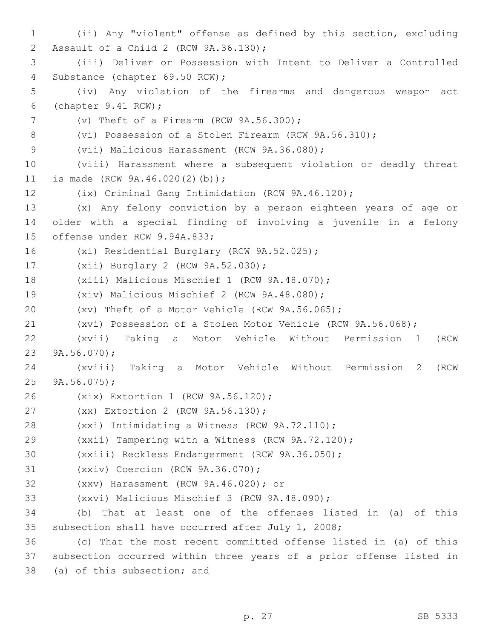1 (ii) Any "violent" offense as defined by this section, excluding 2 Assault of a Child 2 (RCW 9A.36.130); 3 (iii) Deliver or Possession with Intent to Deliver a Controlled 4 Substance (chapter 69.50 RCW); 5 (iv) Any violation of the firearms and dangerous weapon act (chapter 9.41 RCW);6 7 (v) Theft of a Firearm (RCW 9A.56.300); 8 (vi) Possession of a Stolen Firearm (RCW 9A.56.310); 9 (vii) Malicious Harassment (RCW 9A.36.080); 10 (viii) Harassment where a subsequent violation or deadly threat 11 is made (RCW 9A.46.020(2)(b)); 12 (ix) Criminal Gang Intimidation (RCW 9A.46.120); 13 (x) Any felony conviction by a person eighteen years of age or 14 older with a special finding of involving a juvenile in a felony 15 offense under RCW 9.94A.833; 16 (xi) Residential Burglary (RCW 9A.52.025); 17 (xii) Burglary 2 (RCW 9A.52.030); 18 (xiii) Malicious Mischief 1 (RCW 9A.48.070); 19 (xiv) Malicious Mischief 2 (RCW 9A.48.080); 20 (xv) Theft of a Motor Vehicle (RCW 9A.56.065); 21 (xvi) Possession of a Stolen Motor Vehicle (RCW 9A.56.068); 22 (xvii) Taking a Motor Vehicle Without Permission 1 (RCW 23  $9A.56.070$ ; 24 (xviii) Taking a Motor Vehicle Without Permission 2 (RCW 25  $9A.56.075$ ; 26 (xix) Extortion 1 (RCW 9A.56.120); 27 (xx) Extortion 2 (RCW 9A.56.130); 28 (xxi) Intimidating a Witness (RCW 9A.72.110); 29 (xxii) Tampering with a Witness (RCW 9A.72.120); 30 (xxiii) Reckless Endangerment (RCW 9A.36.050); 31 (xxiv) Coercion (RCW 9A.36.070); (xxv) Harassment (RCW 9A.46.020); or32 33 (xxvi) Malicious Mischief 3 (RCW 9A.48.090); 34 (b) That at least one of the offenses listed in (a) of this 35 subsection shall have occurred after July 1, 2008; 36 (c) That the most recent committed offense listed in (a) of this 37 subsection occurred within three years of a prior offense listed in 38 (a) of this subsection; and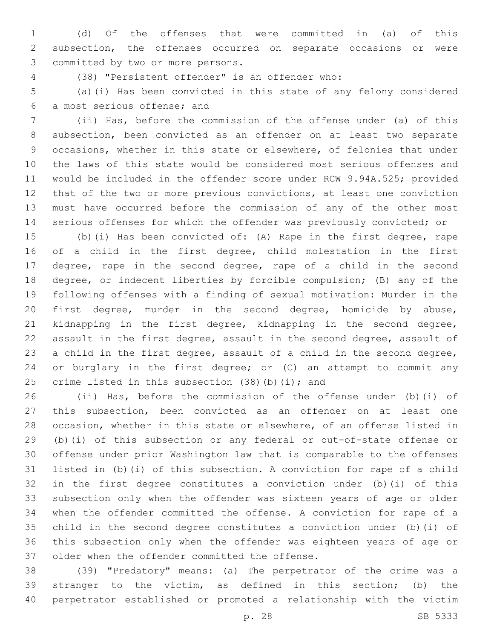(d) Of the offenses that were committed in (a) of this subsection, the offenses occurred on separate occasions or were 3 committed by two or more persons.

(38) "Persistent offender" is an offender who:4

 (a)(i) Has been convicted in this state of any felony considered 6 a most serious offense; and

 (ii) Has, before the commission of the offense under (a) of this subsection, been convicted as an offender on at least two separate occasions, whether in this state or elsewhere, of felonies that under the laws of this state would be considered most serious offenses and would be included in the offender score under RCW 9.94A.525; provided that of the two or more previous convictions, at least one conviction must have occurred before the commission of any of the other most serious offenses for which the offender was previously convicted; or

 (b)(i) Has been convicted of: (A) Rape in the first degree, rape of a child in the first degree, child molestation in the first degree, rape in the second degree, rape of a child in the second degree, or indecent liberties by forcible compulsion; (B) any of the following offenses with a finding of sexual motivation: Murder in the first degree, murder in the second degree, homicide by abuse, kidnapping in the first degree, kidnapping in the second degree, assault in the first degree, assault in the second degree, assault of a child in the first degree, assault of a child in the second degree, or burglary in the first degree; or (C) an attempt to commit any 25 crime listed in this subsection  $(38)(b)(i)$ ; and

 (ii) Has, before the commission of the offense under (b)(i) of this subsection, been convicted as an offender on at least one occasion, whether in this state or elsewhere, of an offense listed in (b)(i) of this subsection or any federal or out-of-state offense or offense under prior Washington law that is comparable to the offenses listed in (b)(i) of this subsection. A conviction for rape of a child in the first degree constitutes a conviction under (b)(i) of this subsection only when the offender was sixteen years of age or older when the offender committed the offense. A conviction for rape of a child in the second degree constitutes a conviction under (b)(i) of this subsection only when the offender was eighteen years of age or 37 older when the offender committed the offense.

 (39) "Predatory" means: (a) The perpetrator of the crime was a stranger to the victim, as defined in this section; (b) the perpetrator established or promoted a relationship with the victim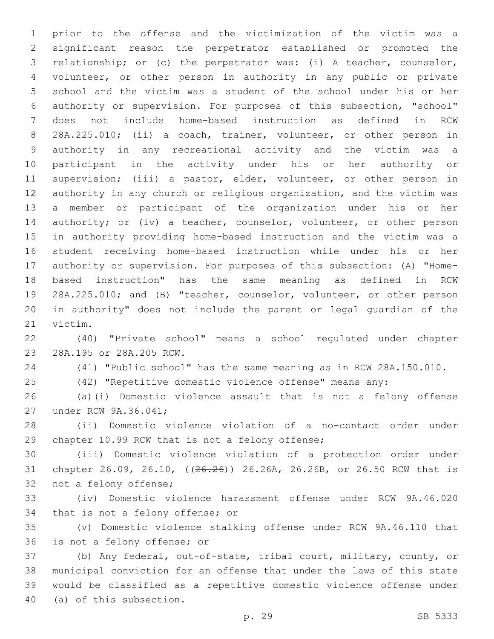prior to the offense and the victimization of the victim was a significant reason the perpetrator established or promoted the relationship; or (c) the perpetrator was: (i) A teacher, counselor, volunteer, or other person in authority in any public or private school and the victim was a student of the school under his or her authority or supervision. For purposes of this subsection, "school" does not include home-based instruction as defined in RCW 28A.225.010; (ii) a coach, trainer, volunteer, or other person in authority in any recreational activity and the victim was a participant in the activity under his or her authority or supervision; (iii) a pastor, elder, volunteer, or other person in authority in any church or religious organization, and the victim was a member or participant of the organization under his or her 14 authority; or (iv) a teacher, counselor, volunteer, or other person in authority providing home-based instruction and the victim was a student receiving home-based instruction while under his or her authority or supervision. For purposes of this subsection: (A) "Home- based instruction" has the same meaning as defined in RCW 28A.225.010; and (B) "teacher, counselor, volunteer, or other person in authority" does not include the parent or legal guardian of the 21 victim.

 (40) "Private school" means a school regulated under chapter 23 28A.195 or 28A.205 RCW.

(41) "Public school" has the same meaning as in RCW 28A.150.010.

(42) "Repetitive domestic violence offense" means any:

 (a)(i) Domestic violence assault that is not a felony offense 27 under RCW 9A.36.041;

 (ii) Domestic violence violation of a no-contact order under 29 chapter 10.99 RCW that is not a felony offense;

 (iii) Domestic violence violation of a protection order under chapter 26.09, 26.10, ((26.26)) 26.26A, 26.26B, or 26.50 RCW that is 32 not a felony offense;

 (iv) Domestic violence harassment offense under RCW 9A.46.020 34 that is not a felony offense; or

 (v) Domestic violence stalking offense under RCW 9A.46.110 that 36 is not a felony offense; or

 (b) Any federal, out-of-state, tribal court, military, county, or municipal conviction for an offense that under the laws of this state would be classified as a repetitive domestic violence offense under 40 (a) of this subsection.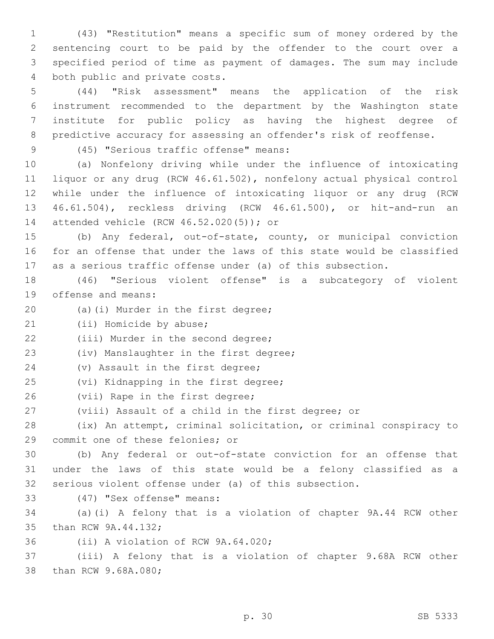(43) "Restitution" means a specific sum of money ordered by the sentencing court to be paid by the offender to the court over a specified period of time as payment of damages. The sum may include 4 both public and private costs.

 (44) "Risk assessment" means the application of the risk instrument recommended to the department by the Washington state institute for public policy as having the highest degree of predictive accuracy for assessing an offender's risk of reoffense.

(45) "Serious traffic offense" means:9

 (a) Nonfelony driving while under the influence of intoxicating liquor or any drug (RCW 46.61.502), nonfelony actual physical control while under the influence of intoxicating liquor or any drug (RCW 46.61.504), reckless driving (RCW 46.61.500), or hit-and-run an 14 attended vehicle (RCW 46.52.020(5)); or

15 (b) Any federal, out-of-state, county, or municipal conviction 16 for an offense that under the laws of this state would be classified 17 as a serious traffic offense under (a) of this subsection.

18 (46) "Serious violent offense" is a subcategory of violent 19 offense and means:

- 20 (a)(i) Murder in the first degree;
- 21 (ii) Homicide by abuse;

22 (iii) Murder in the second degree;

23 (iv) Manslaughter in the first degree;

- 24 (v) Assault in the first degree;
- 25 (vi) Kidnapping in the first degree;
- 26 (vii) Rape in the first degree;
- 27 (viii) Assault of a child in the first degree; or

28 (ix) An attempt, criminal solicitation, or criminal conspiracy to 29 commit one of these felonies; or

30 (b) Any federal or out-of-state conviction for an offense that 31 under the laws of this state would be a felony classified as a 32 serious violent offense under (a) of this subsection.

(47) "Sex offense" means:33

34 (a)(i) A felony that is a violation of chapter 9A.44 RCW other 35 than RCW 9A.44.132;

36 (ii) A violation of RCW 9A.64.020;

37 (iii) A felony that is a violation of chapter 9.68A RCW other 38 than RCW 9.68A.080;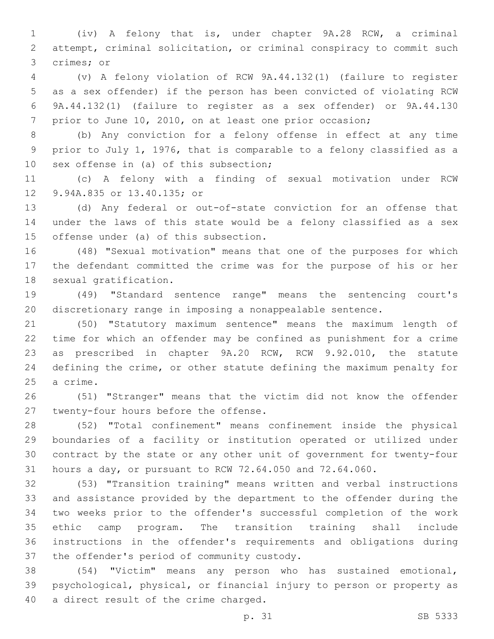(iv) A felony that is, under chapter 9A.28 RCW, a criminal attempt, criminal solicitation, or criminal conspiracy to commit such 3 crimes; or

 (v) A felony violation of RCW 9A.44.132(1) (failure to register as a sex offender) if the person has been convicted of violating RCW 9A.44.132(1) (failure to register as a sex offender) or 9A.44.130 prior to June 10, 2010, on at least one prior occasion;

 (b) Any conviction for a felony offense in effect at any time prior to July 1, 1976, that is comparable to a felony classified as a 10 sex offense in (a) of this subsection;

 (c) A felony with a finding of sexual motivation under RCW 12 9.94A.835 or 13.40.135; or

 (d) Any federal or out-of-state conviction for an offense that under the laws of this state would be a felony classified as a sex 15 offense under (a) of this subsection.

 (48) "Sexual motivation" means that one of the purposes for which the defendant committed the crime was for the purpose of his or her 18 sexual gratification.

 (49) "Standard sentence range" means the sentencing court's discretionary range in imposing a nonappealable sentence.

 (50) "Statutory maximum sentence" means the maximum length of time for which an offender may be confined as punishment for a crime as prescribed in chapter 9A.20 RCW, RCW 9.92.010, the statute defining the crime, or other statute defining the maximum penalty for 25 a crime.

 (51) "Stranger" means that the victim did not know the offender 27 twenty-four hours before the offense.

 (52) "Total confinement" means confinement inside the physical boundaries of a facility or institution operated or utilized under contract by the state or any other unit of government for twenty-four hours a day, or pursuant to RCW 72.64.050 and 72.64.060.

 (53) "Transition training" means written and verbal instructions and assistance provided by the department to the offender during the two weeks prior to the offender's successful completion of the work ethic camp program. The transition training shall include instructions in the offender's requirements and obligations during 37 the offender's period of community custody.

 (54) "Victim" means any person who has sustained emotional, psychological, physical, or financial injury to person or property as 40 a direct result of the crime charged.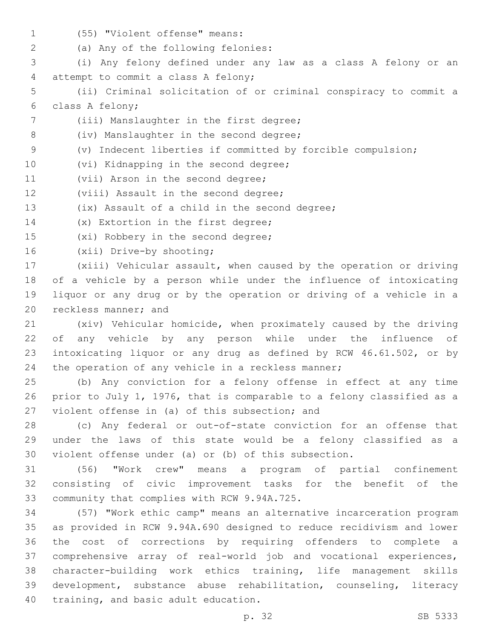- 
- (55) "Violent offense" means:1
- (a) Any of the following felonies:2

3 (i) Any felony defined under any law as a class A felony or an 4 attempt to commit a class A felony;

- 5 (ii) Criminal solicitation of or criminal conspiracy to commit a 6 class A felony;
- 7 (iii) Manslaughter in the first degree;
- 8 (iv) Manslaughter in the second degree;
- 9 (v) Indecent liberties if committed by forcible compulsion;
- 10 (vi) Kidnapping in the second degree;
- 11 (vii) Arson in the second degree;
- 12 (viii) Assault in the second degree;
- 13 (ix) Assault of a child in the second degree;
- 14 (x) Extortion in the first degree;
- 15 (xi) Robbery in the second degree;
- 16 (xii) Drive-by shooting;

 (xiii) Vehicular assault, when caused by the operation or driving of a vehicle by a person while under the influence of intoxicating liquor or any drug or by the operation or driving of a vehicle in a 20 reckless manner; and

 (xiv) Vehicular homicide, when proximately caused by the driving of any vehicle by any person while under the influence of intoxicating liquor or any drug as defined by RCW 46.61.502, or by 24 the operation of any vehicle in a reckless manner;

25 (b) Any conviction for a felony offense in effect at any time 26 prior to July 1, 1976, that is comparable to a felony classified as a 27 violent offense in (a) of this subsection; and

28 (c) Any federal or out-of-state conviction for an offense that 29 under the laws of this state would be a felony classified as a 30 violent offense under (a) or (b) of this subsection.

31 (56) "Work crew" means a program of partial confinement 32 consisting of civic improvement tasks for the benefit of the 33 community that complies with RCW 9.94A.725.

 (57) "Work ethic camp" means an alternative incarceration program as provided in RCW 9.94A.690 designed to reduce recidivism and lower the cost of corrections by requiring offenders to complete a comprehensive array of real-world job and vocational experiences, character-building work ethics training, life management skills development, substance abuse rehabilitation, counseling, literacy 40 training, and basic adult education.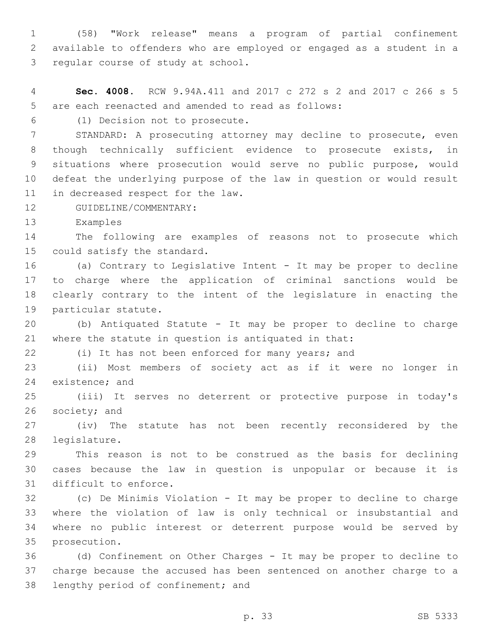(58) "Work release" means a program of partial confinement available to offenders who are employed or engaged as a student in a 3 regular course of study at school.

 **Sec. 4008.** RCW 9.94A.411 and 2017 c 272 s 2 and 2017 c 266 s 5 5 are each reenacted and amended to read as follows:

(1) Decision not to prosecute.6

 STANDARD: A prosecuting attorney may decline to prosecute, even though technically sufficient evidence to prosecute exists, in situations where prosecution would serve no public purpose, would defeat the underlying purpose of the law in question or would result 11 in decreased respect for the law.

12 GUIDELINE/COMMENTARY:

13 Examples

 The following are examples of reasons not to prosecute which 15 could satisfy the standard.

 (a) Contrary to Legislative Intent - It may be proper to decline to charge where the application of criminal sanctions would be clearly contrary to the intent of the legislature in enacting the 19 particular statute.

 (b) Antiquated Statute - It may be proper to decline to charge where the statute in question is antiquated in that:

(i) It has not been enforced for many years; and

 (ii) Most members of society act as if it were no longer in 24 existence; and

 (iii) It serves no deterrent or protective purpose in today's 26 society; and

 (iv) The statute has not been recently reconsidered by the 28 legislature.

 This reason is not to be construed as the basis for declining cases because the law in question is unpopular or because it is 31 difficult to enforce.

 (c) De Minimis Violation - It may be proper to decline to charge where the violation of law is only technical or insubstantial and where no public interest or deterrent purpose would be served by 35 prosecution.

 (d) Confinement on Other Charges - It may be proper to decline to charge because the accused has been sentenced on another charge to a 38 lengthy period of confinement; and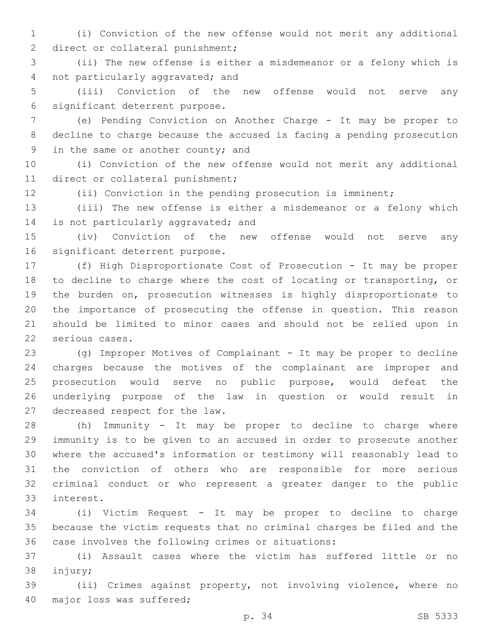(i) Conviction of the new offense would not merit any additional 2 direct or collateral punishment;

 (ii) The new offense is either a misdemeanor or a felony which is 4 not particularly aggravated; and

 (iii) Conviction of the new offense would not serve any 6 significant deterrent purpose.

 (e) Pending Conviction on Another Charge - It may be proper to decline to charge because the accused is facing a pending prosecution 9 in the same or another county; and

 (i) Conviction of the new offense would not merit any additional 11 direct or collateral punishment;

(ii) Conviction in the pending prosecution is imminent;

 (iii) The new offense is either a misdemeanor or a felony which 14 is not particularly aggravated; and

 (iv) Conviction of the new offense would not serve any 16 significant deterrent purpose.

 (f) High Disproportionate Cost of Prosecution - It may be proper to decline to charge where the cost of locating or transporting, or the burden on, prosecution witnesses is highly disproportionate to the importance of prosecuting the offense in question. This reason should be limited to minor cases and should not be relied upon in 22 serious cases.

 (g) Improper Motives of Complainant - It may be proper to decline charges because the motives of the complainant are improper and prosecution would serve no public purpose, would defeat the underlying purpose of the law in question or would result in 27 decreased respect for the law.

 (h) Immunity - It may be proper to decline to charge where immunity is to be given to an accused in order to prosecute another where the accused's information or testimony will reasonably lead to the conviction of others who are responsible for more serious criminal conduct or who represent a greater danger to the public 33 interest.

 (i) Victim Request - It may be proper to decline to charge because the victim requests that no criminal charges be filed and the 36 case involves the following crimes or situations:

 (i) Assault cases where the victim has suffered little or no 38 injury;

 (ii) Crimes against property, not involving violence, where no 40 major loss was suffered;

p. 34 SB 5333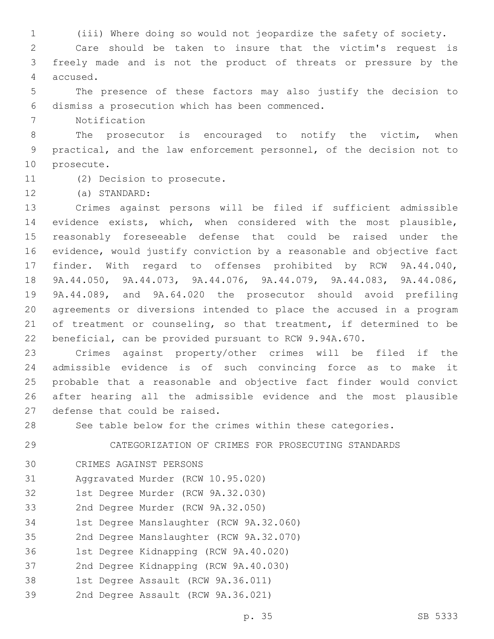1 (iii) Where doing so would not jeopardize the safety of society.

2 Care should be taken to insure that the victim's request is 3 freely made and is not the product of threats or pressure by the 4 accused.

5 The presence of these factors may also justify the decision to dismiss a prosecution which has been commenced.6

7 Notification

8 The prosecutor is encouraged to notify the victim, when 9 practical, and the law enforcement personnel, of the decision not to 10 prosecute.

11 (2) Decision to prosecute.

(a) STANDARD:12

 Crimes against persons will be filed if sufficient admissible evidence exists, which, when considered with the most plausible, reasonably foreseeable defense that could be raised under the evidence, would justify conviction by a reasonable and objective fact finder. With regard to offenses prohibited by RCW 9A.44.040, 9A.44.050, 9A.44.073, 9A.44.076, 9A.44.079, 9A.44.083, 9A.44.086, 9A.44.089, and 9A.64.020 the prosecutor should avoid prefiling agreements or diversions intended to place the accused in a program 21 of treatment or counseling, so that treatment, if determined to be beneficial, can be provided pursuant to RCW 9.94A.670.

 Crimes against property/other crimes will be filed if the admissible evidence is of such convincing force as to make it probable that a reasonable and objective fact finder would convict after hearing all the admissible evidence and the most plausible 27 defense that could be raised.

28 See table below for the crimes within these categories.

29 CATEGORIZATION OF CRIMES FOR PROSECUTING STANDARDS

- 30 CRIMES AGAINST PERSONS
- 31 Aggravated Murder (RCW 10.95.020)
- 32 1st Degree Murder (RCW 9A.32.030)
- 33 2nd Degree Murder (RCW 9A.32.050)
- 34 1st Degree Manslaughter (RCW 9A.32.060)
- 35 2nd Degree Manslaughter (RCW 9A.32.070)
- 36 1st Degree Kidnapping (RCW 9A.40.020)
- 37 2nd Degree Kidnapping (RCW 9A.40.030)
- 38 1st Degree Assault (RCW 9A.36.011)
- 39 2nd Degree Assault (RCW 9A.36.021)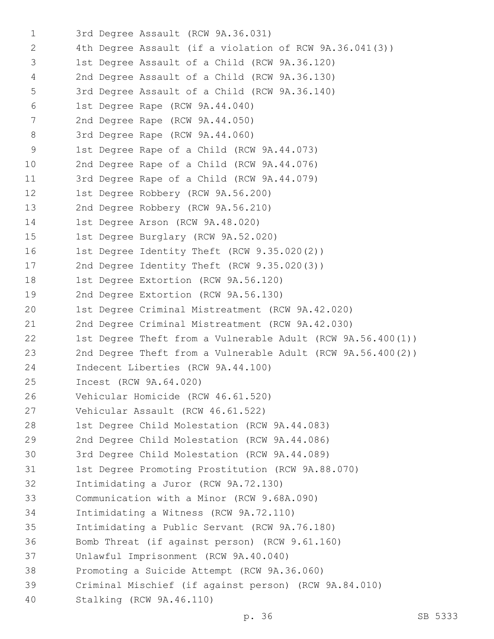1 3rd Degree Assault (RCW 9A.36.031) 2 4th Degree Assault (if a violation of RCW 9A.36.041(3)) 1st Degree Assault of a Child (RCW 9A.36.120)3 2nd Degree Assault of a Child (RCW 9A.36.130)4 5 3rd Degree Assault of a Child (RCW 9A.36.140) 6 1st Degree Rape (RCW 9A.44.040) 7 2nd Degree Rape (RCW 9A.44.050) 8 3rd Degree Rape (RCW 9A.44.060) 9 1st Degree Rape of a Child (RCW 9A.44.073) 10 2nd Degree Rape of a Child (RCW 9A.44.076) 11 3rd Degree Rape of a Child (RCW 9A.44.079) 12 1st Degree Robbery (RCW 9A.56.200) 13 2nd Degree Robbery (RCW 9A.56.210) 14 1st Degree Arson (RCW 9A.48.020) 15 1st Degree Burglary (RCW 9A.52.020) 16 1st Degree Identity Theft (RCW 9.35.020(2)) 17 2nd Degree Identity Theft (RCW 9.35.020(3)) 18 1st Degree Extortion (RCW 9A.56.120) 19 2nd Degree Extortion (RCW 9A.56.130) 20 1st Degree Criminal Mistreatment (RCW 9A.42.020) 21 2nd Degree Criminal Mistreatment (RCW 9A.42.030) 22 1st Degree Theft from a Vulnerable Adult (RCW 9A.56.400(1)) 23 2nd Degree Theft from a Vulnerable Adult (RCW 9A.56.400(2)) 24 Indecent Liberties (RCW 9A.44.100) 25 Incest (RCW 9A.64.020) 26 Vehicular Homicide (RCW 46.61.520) 27 Vehicular Assault (RCW 46.61.522) 28 1st Degree Child Molestation (RCW 9A.44.083) 29 2nd Degree Child Molestation (RCW 9A.44.086) 30 3rd Degree Child Molestation (RCW 9A.44.089) 31 1st Degree Promoting Prostitution (RCW 9A.88.070) 32 Intimidating a Juror (RCW 9A.72.130) 33 Communication with a Minor (RCW 9.68A.090) 34 Intimidating a Witness (RCW 9A.72.110) 35 Intimidating a Public Servant (RCW 9A.76.180) 36 Bomb Threat (if against person) (RCW 9.61.160) 37 Unlawful Imprisonment (RCW 9A.40.040) 38 Promoting a Suicide Attempt (RCW 9A.36.060) 39 Criminal Mischief (if against person) (RCW 9A.84.010) 40 Stalking (RCW 9A.46.110)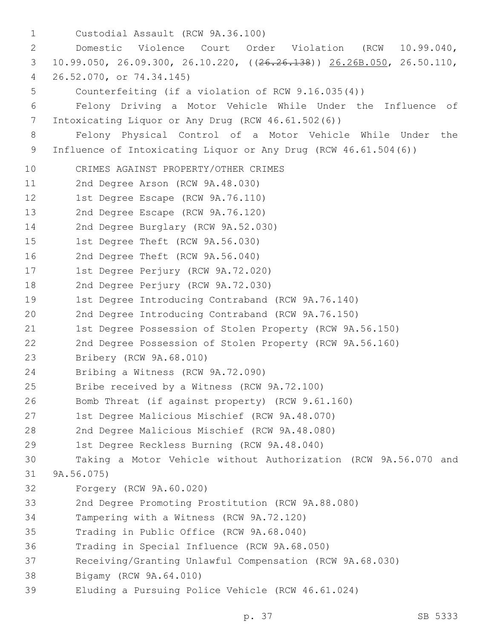Custodial Assault (RCW 9A.36.100)1 2 Domestic Violence Court Order Violation (RCW 10.99.040, 3 10.99.050, 26.09.300, 26.10.220, ((26.26.138)) 26.26B.050, 26.50.110, 26.52.070, or 74.34.145)4 5 Counterfeiting (if a violation of RCW 9.16.035(4)) 6 Felony Driving a Motor Vehicle While Under the Influence of Intoxicating Liquor or Any Drug (RCW 46.61.502(6))7 8 Felony Physical Control of a Motor Vehicle While Under the 9 Influence of Intoxicating Liquor or Any Drug (RCW 46.61.504(6)) 10 CRIMES AGAINST PROPERTY/OTHER CRIMES 11 2nd Degree Arson (RCW 9A.48.030) 12 1st Degree Escape (RCW 9A.76.110) 13 2nd Degree Escape (RCW 9A.76.120) 14 2nd Degree Burglary (RCW 9A.52.030) 15 1st Degree Theft (RCW 9A.56.030) 16 2nd Degree Theft (RCW 9A.56.040) 17 1st Degree Perjury (RCW 9A.72.020) 18 2nd Degree Perjury (RCW 9A.72.030) 19 1st Degree Introducing Contraband (RCW 9A.76.140) 20 2nd Degree Introducing Contraband (RCW 9A.76.150) 21 1st Degree Possession of Stolen Property (RCW 9A.56.150) 22 2nd Degree Possession of Stolen Property (RCW 9A.56.160) 23 Bribery (RCW 9A.68.010) 24 Bribing a Witness (RCW 9A.72.090) 25 Bribe received by a Witness (RCW 9A.72.100) 26 Bomb Threat (if against property) (RCW 9.61.160) 27 1st Degree Malicious Mischief (RCW 9A.48.070) 28 2nd Degree Malicious Mischief (RCW 9A.48.080) 29 1st Degree Reckless Burning (RCW 9A.48.040) 30 Taking a Motor Vehicle without Authorization (RCW 9A.56.070 and 31 9A.56.075) 32 Forgery (RCW 9A.60.020) 33 2nd Degree Promoting Prostitution (RCW 9A.88.080) 34 Tampering with a Witness (RCW 9A.72.120) 35 Trading in Public Office (RCW 9A.68.040) 36 Trading in Special Influence (RCW 9A.68.050) 37 Receiving/Granting Unlawful Compensation (RCW 9A.68.030) 38 Bigamy (RCW 9A.64.010) 39 Eluding a Pursuing Police Vehicle (RCW 46.61.024)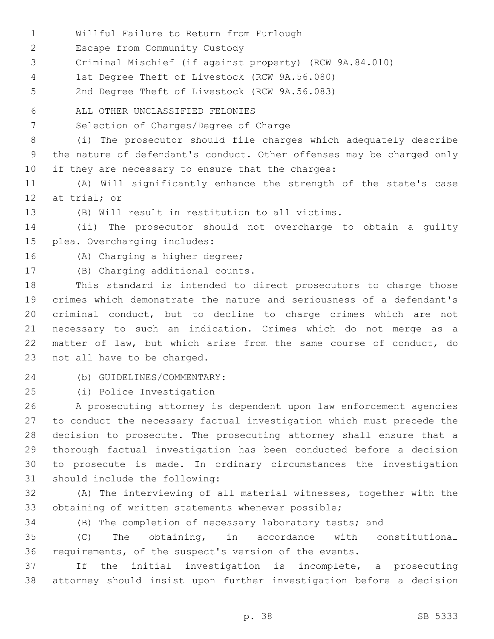- 1 Willful Failure to Return from Furlough
- 2 Escape from Community Custody
- 3 Criminal Mischief (if against property) (RCW 9A.84.010)
- 1st Degree Theft of Livestock (RCW 9A.56.080)4
- 5 2nd Degree Theft of Livestock (RCW 9A.56.083)
- ALL OTHER UNCLASSIFIED FELONIES6
- 7 Selection of Charges/Degree of Charge

8 (i) The prosecutor should file charges which adequately describe 9 the nature of defendant's conduct. Other offenses may be charged only 10 if they are necessary to ensure that the charges:

- 11 (A) Will significantly enhance the strength of the state's case 12 at trial; or
- 
- 13 (B) Will result in restitution to all victims.

14 (ii) The prosecutor should not overcharge to obtain a guilty 15 plea. Overcharging includes:

- 16 (A) Charging a higher degree;
- 
- 17 (B) Charging additional counts.

 This standard is intended to direct prosecutors to charge those crimes which demonstrate the nature and seriousness of a defendant's criminal conduct, but to decline to charge crimes which are not necessary to such an indication. Crimes which do not merge as a matter of law, but which arise from the same course of conduct, do 23 not all have to be charged.

(b) GUIDELINES/COMMENTARY:24

25 (i) Police Investigation

 A prosecuting attorney is dependent upon law enforcement agencies to conduct the necessary factual investigation which must precede the decision to prosecute. The prosecuting attorney shall ensure that a thorough factual investigation has been conducted before a decision to prosecute is made. In ordinary circumstances the investigation 31 should include the following:

32 (A) The interviewing of all material witnesses, together with the 33 obtaining of written statements whenever possible;

34 (B) The completion of necessary laboratory tests; and

35 (C) The obtaining, in accordance with constitutional 36 requirements, of the suspect's version of the events.

37 If the initial investigation is incomplete, a prosecuting 38 attorney should insist upon further investigation before a decision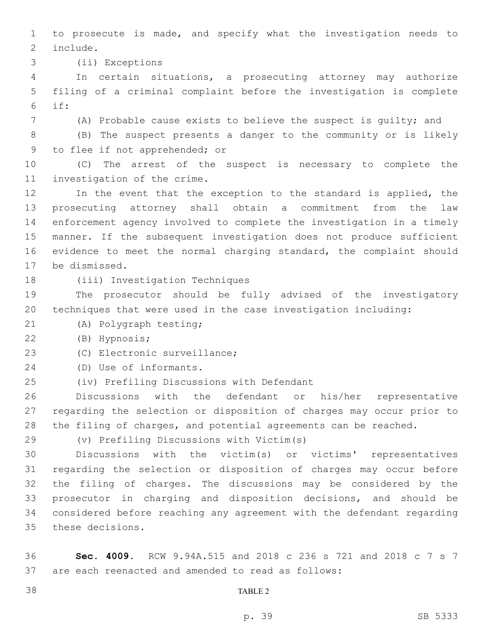to prosecute is made, and specify what the investigation needs to 2 include.

3 (ii) Exceptions

 In certain situations, a prosecuting attorney may authorize filing of a criminal complaint before the investigation is complete if:

(A) Probable cause exists to believe the suspect is guilty; and

 (B) The suspect presents a danger to the community or is likely 9 to flee if not apprehended; or

 (C) The arrest of the suspect is necessary to complete the 11 investigation of the crime.

 In the event that the exception to the standard is applied, the prosecuting attorney shall obtain a commitment from the law enforcement agency involved to complete the investigation in a timely manner. If the subsequent investigation does not produce sufficient evidence to meet the normal charging standard, the complaint should 17 be dismissed.

18 (iii) Investigation Techniques

 The prosecutor should be fully advised of the investigatory techniques that were used in the case investigation including:

21 (A) Polygraph testing;

(B) Hypnosis;22

23 (C) Electronic surveillance;

24 (D) Use of informants.

(iv) Prefiling Discussions with Defendant25

 Discussions with the defendant or his/her representative regarding the selection or disposition of charges may occur prior to the filing of charges, and potential agreements can be reached.

(v) Prefiling Discussions with Victim(s)

 Discussions with the victim(s) or victims' representatives regarding the selection or disposition of charges may occur before the filing of charges. The discussions may be considered by the prosecutor in charging and disposition decisions, and should be considered before reaching any agreement with the defendant regarding 35 these decisions.

 **Sec. 4009.** RCW 9.94A.515 and 2018 c 236 s 721 and 2018 c 7 s 7 are each reenacted and amended to read as follows:

TABLE 2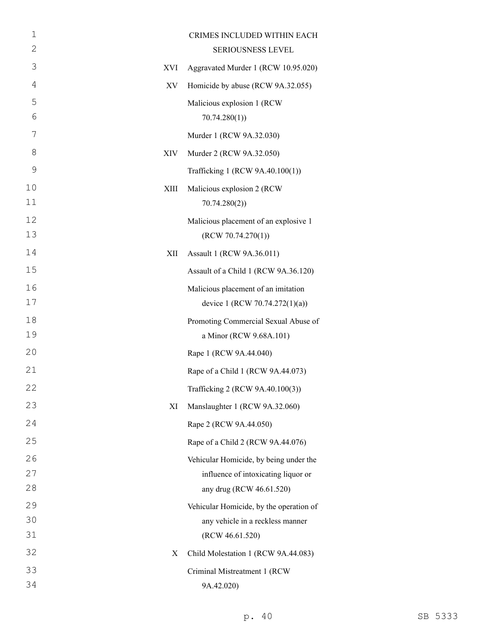| $\mathbf 1$    |      | CRIMES INCLUDED WITHIN EACH             |
|----------------|------|-----------------------------------------|
| $\overline{2}$ |      | SERIOUSNESS LEVEL                       |
| 3              | XVI  | Aggravated Murder 1 (RCW 10.95.020)     |
| $\overline{4}$ | XV   | Homicide by abuse (RCW 9A.32.055)       |
| 5              |      | Malicious explosion 1 (RCW              |
| 6              |      | 70.74.280(1)                            |
| 7              |      | Murder 1 (RCW 9A.32.030)                |
| 8              | XIV  | Murder 2 (RCW 9A.32.050)                |
| $\mathcal{G}$  |      | Trafficking 1 (RCW 9A.40.100(1))        |
| 10             | XIII | Malicious explosion 2 (RCW              |
| 11             |      | 70.74.280(2)                            |
| 12             |      | Malicious placement of an explosive 1   |
| 13             |      | (RCW 70.74.270(1))                      |
| 14             | XII  | Assault 1 (RCW 9A.36.011)               |
| 15             |      | Assault of a Child 1 (RCW 9A.36.120)    |
| 16             |      | Malicious placement of an imitation     |
| 17             |      | device 1 (RCW 70.74.272(1)(a))          |
| 18             |      | Promoting Commercial Sexual Abuse of    |
| 19             |      | a Minor (RCW 9.68A.101)                 |
| 20             |      | Rape 1 (RCW 9A.44.040)                  |
| 21             |      | Rape of a Child 1 (RCW 9A.44.073)       |
| 22             |      | Trafficking 2 (RCW 9A.40.100(3))        |
| 23             | XI   | Manslaughter 1 (RCW 9A.32.060)          |
| 24             |      | Rape 2 (RCW 9A.44.050)                  |
| 25             |      | Rape of a Child 2 (RCW 9A.44.076)       |
| 26             |      | Vehicular Homicide, by being under the  |
| 27             |      | influence of intoxicating liquor or     |
| 28             |      | any drug (RCW 46.61.520)                |
| 29             |      | Vehicular Homicide, by the operation of |
| 30             |      | any vehicle in a reckless manner        |
| 31             |      | (RCW 46.61.520)                         |
| 32             | X    | Child Molestation 1 (RCW 9A.44.083)     |
| 33             |      | Criminal Mistreatment 1 (RCW            |
| 34             |      | 9A.42.020)                              |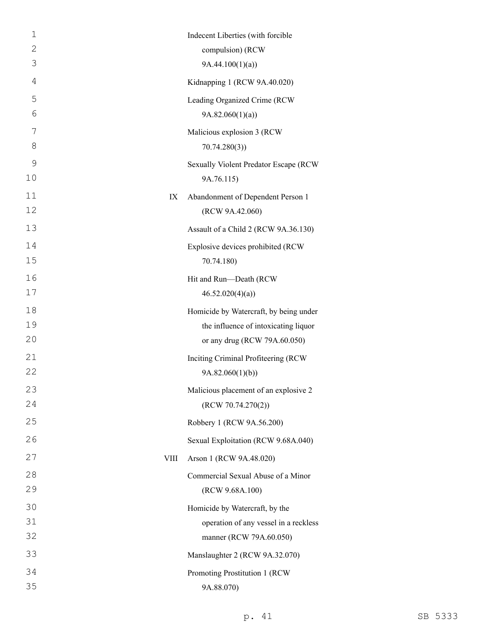| $\mathbf 1$ |             | Indecent Liberties (with forcible      |
|-------------|-------------|----------------------------------------|
| 2           |             | compulsion) (RCW                       |
| 3           |             | 9A.44.100(1)(a)                        |
| 4           |             | Kidnapping 1 (RCW 9A.40.020)           |
| 5           |             | Leading Organized Crime (RCW           |
| 6           |             | 9A.82.060(1)(a)                        |
| 7           |             | Malicious explosion 3 (RCW             |
| 8           |             | 70.74.280(3)                           |
| 9           |             | Sexually Violent Predator Escape (RCW  |
| 10          |             | 9A.76.115)                             |
| 11          | IX          | Abandonment of Dependent Person 1      |
| 12          |             | (RCW 9A.42.060)                        |
| 13          |             | Assault of a Child 2 (RCW 9A.36.130)   |
| 14          |             | Explosive devices prohibited (RCW      |
| 15          |             | 70.74.180)                             |
| 16          |             | Hit and Run-Death (RCW                 |
| 17          |             | 46.52.020(4)(a)                        |
| 18          |             | Homicide by Watercraft, by being under |
| 19          |             | the influence of intoxicating liquor   |
| 20          |             | or any drug (RCW 79A.60.050)           |
| 21          |             | Inciting Criminal Profiteering (RCW    |
| 22          |             | 9A.82.060(1)(b)                        |
| 23          |             | Malicious placement of an explosive 2  |
| 24          |             | (RCW 70.74.270(2))                     |
| 25          |             | Robbery 1 (RCW 9A.56.200)              |
| 26          |             | Sexual Exploitation (RCW 9.68A.040)    |
| 27          | <b>VIII</b> | Arson 1 (RCW 9A.48.020)                |
| 28          |             | Commercial Sexual Abuse of a Minor     |
| 29          |             | (RCW 9.68A.100)                        |
| 30          |             | Homicide by Watercraft, by the         |
| 31          |             | operation of any vessel in a reckless  |
| 32          |             | manner (RCW 79A.60.050)                |
| 33          |             | Manslaughter 2 (RCW 9A.32.070)         |
| 34          |             | Promoting Prostitution 1 (RCW          |
| 35          |             | 9A.88.070)                             |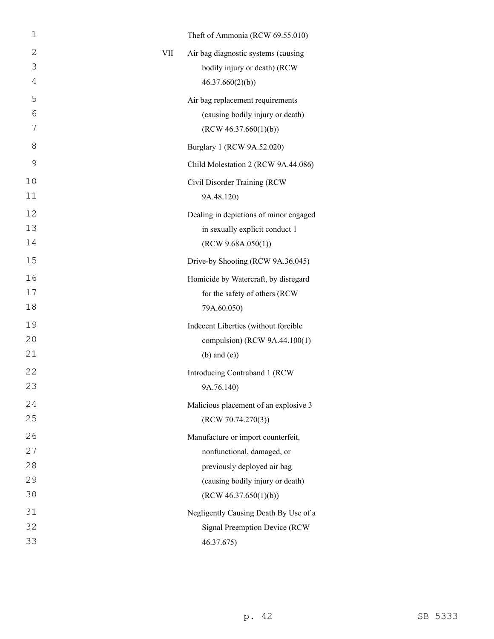| $\mathbf 1$ |     | Theft of Ammonia (RCW 69.55.010)       |
|-------------|-----|----------------------------------------|
| 2           | VII | Air bag diagnostic systems (causing    |
| 3           |     | bodily injury or death) (RCW           |
| 4           |     | 46.37.660(2)(b)                        |
| 5           |     | Air bag replacement requirements       |
| 6           |     | (causing bodily injury or death)       |
| 7           |     | (RCW 46.37.660(1)(b))                  |
| 8           |     | Burglary 1 (RCW 9A.52.020)             |
| 9           |     | Child Molestation 2 (RCW 9A.44.086)    |
| 10          |     | Civil Disorder Training (RCW           |
| 11          |     | 9A.48.120)                             |
| 12          |     | Dealing in depictions of minor engaged |
| 13          |     | in sexually explicit conduct 1         |
| 14          |     | (RCW 9.68A.050(1))                     |
| 15          |     | Drive-by Shooting (RCW 9A.36.045)      |
| 16          |     | Homicide by Watercraft, by disregard   |
| 17          |     | for the safety of others (RCW          |
| 18          |     | 79A.60.050)                            |
| 19          |     | Indecent Liberties (without forcible   |
| 20          |     | compulsion) (RCW 9A.44.100(1)          |
| 21          |     | $(b)$ and $(c)$ )                      |
| 22          |     | Introducing Contraband 1 (RCW          |
| 23          |     | 9A.76.140)                             |
| 24          |     | Malicious placement of an explosive 3  |
| 25          |     | (RCW 70.74.270(3))                     |
| 26          |     | Manufacture or import counterfeit,     |
| 27          |     | nonfunctional, damaged, or             |
| 28          |     | previously deployed air bag            |
| 29          |     | (causing bodily injury or death)       |
| 30          |     | (RCW 46.37.650(1)(b))                  |
| 31          |     | Negligently Causing Death By Use of a  |
| 32          |     | Signal Preemption Device (RCW          |
| 33          |     | 46.37.675)                             |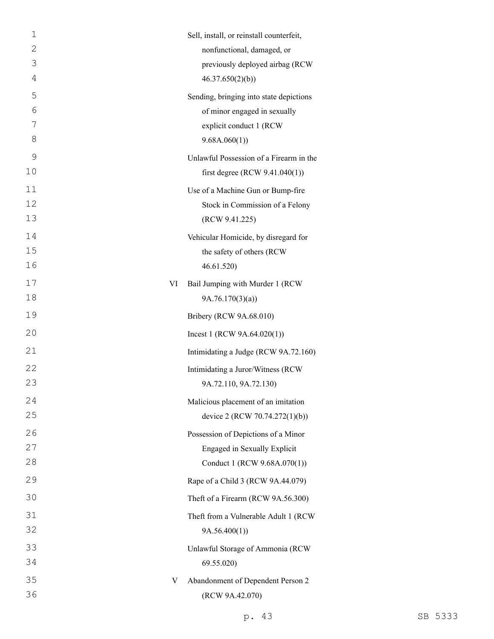| $\mathbf 1$<br>$\overline{2}$ |    | Sell, install, or reinstall counterfeit,<br>nonfunctional, damaged, or                                             |
|-------------------------------|----|--------------------------------------------------------------------------------------------------------------------|
| 3<br>4                        |    | previously deployed airbag (RCW<br>46.37.650(2)(b)                                                                 |
| 5<br>6<br>7<br>8              |    | Sending, bringing into state depictions<br>of minor engaged in sexually<br>explicit conduct 1 (RCW<br>9.68A.060(1) |
| 9<br>10                       |    | Unlawful Possession of a Firearm in the<br>first degree (RCW $9.41.040(1)$ )                                       |
| 11<br>12<br>13                |    | Use of a Machine Gun or Bump-fire<br>Stock in Commission of a Felony<br>(RCW 9.41.225)                             |
| 14<br>15<br>16                |    | Vehicular Homicide, by disregard for<br>the safety of others (RCW<br>46.61.520)                                    |
| 17<br>18                      | VI | Bail Jumping with Murder 1 (RCW<br>9A.76.170(3)(a)                                                                 |
| 19                            |    | Bribery (RCW 9A.68.010)                                                                                            |
| 20                            |    | Incest 1 (RCW $9A.64.020(1)$ )                                                                                     |
| 21                            |    | Intimidating a Judge (RCW 9A.72.160)                                                                               |
| 22<br>23                      |    | Intimidating a Juror/Witness (RCW<br>9A.72.110, 9A.72.130)                                                         |
| 24<br>25                      |    | Malicious placement of an imitation<br>device 2 (RCW 70.74.272(1)(b))                                              |
| 26<br>27<br>28                |    | Possession of Depictions of a Minor<br>Engaged in Sexually Explicit<br>Conduct 1 (RCW 9.68A.070(1))                |
| 29                            |    | Rape of a Child 3 (RCW 9A.44.079)                                                                                  |
| 30                            |    | Theft of a Firearm (RCW 9A.56.300)                                                                                 |
| 31<br>32                      |    | Theft from a Vulnerable Adult 1 (RCW<br>9A.56.400(1)                                                               |
| 33<br>34                      |    | Unlawful Storage of Ammonia (RCW<br>69.55.020)                                                                     |
| 35<br>36                      | V  | Abandonment of Dependent Person 2<br>(RCW 9A.42.070)                                                               |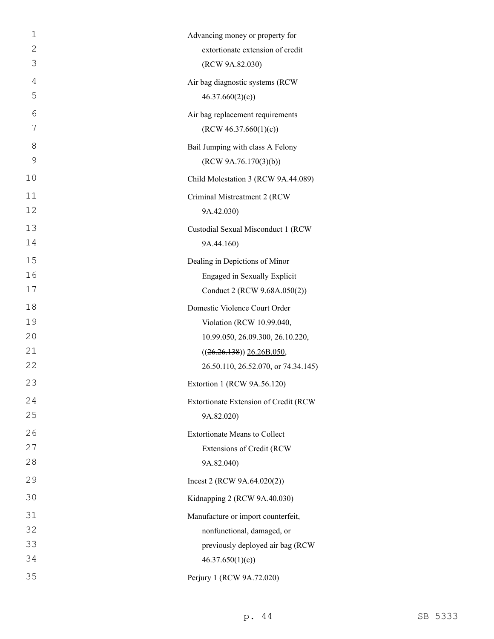| $\mathbf 1$    | Advancing money or property for       |
|----------------|---------------------------------------|
| $\overline{2}$ | extortionate extension of credit      |
| 3              | (RCW 9A.82.030)                       |
| $\overline{4}$ | Air bag diagnostic systems (RCW       |
| 5              | 46.37.660(2)(c)                       |
| 6              | Air bag replacement requirements      |
| 7              | (RCW 46.37.660(1)(c))                 |
| 8              | Bail Jumping with class A Felony      |
| 9              | (RCW 9A.76.170(3)(b))                 |
| 10             | Child Molestation 3 (RCW 9A.44.089)   |
| 11             | Criminal Mistreatment 2 (RCW          |
| 12             | 9A.42.030)                            |
| 13             | Custodial Sexual Misconduct 1 (RCW    |
| 14             | 9A.44.160)                            |
| 15             | Dealing in Depictions of Minor        |
| 16             | Engaged in Sexually Explicit          |
| 17             | Conduct 2 (RCW 9.68A.050(2))          |
| 18             | Domestic Violence Court Order         |
| 19             | Violation (RCW 10.99.040,             |
| 20             | 10.99.050, 26.09.300, 26.10.220,      |
| 21             | $((26.26.138))$ $26.26B.050$ ,        |
| 22             | 26.50.110, 26.52.070, or 74.34.145)   |
| 23             | Extortion 1 (RCW 9A.56.120)           |
| 24             | Extortionate Extension of Credit (RCW |
| 25             | 9A.82.020)                            |
| 26             | <b>Extortionate Means to Collect</b>  |
| 27             | Extensions of Credit (RCW             |
| 28             | 9A.82.040)                            |
| 29             | Incest 2 (RCW $9A.64.020(2)$ )        |
| 30             | Kidnapping 2 (RCW 9A.40.030)          |
| 31             | Manufacture or import counterfeit,    |
| 32             | nonfunctional, damaged, or            |
| 33             | previously deployed air bag (RCW      |
| 34             | 46.37.650(1)(c)                       |
| 35             | Perjury 1 (RCW 9A.72.020)             |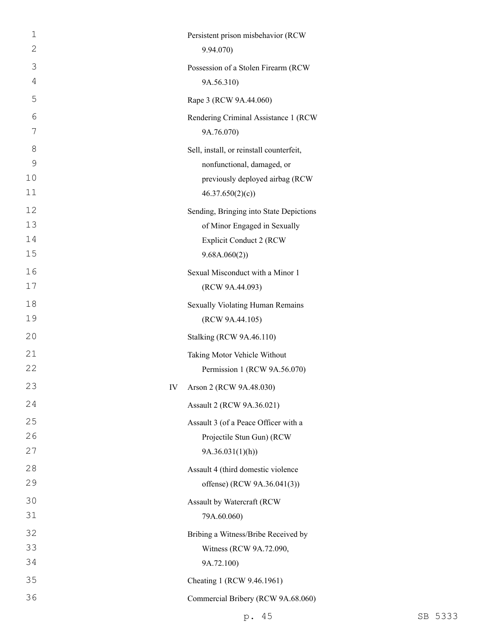| $\mathbf 1$  | Persistent prison misbehavior (RCW       |
|--------------|------------------------------------------|
| $\mathbf{2}$ | 9.94.070)                                |
| 3            | Possession of a Stolen Firearm (RCW      |
| 4            | 9A.56.310)                               |
| 5            | Rape 3 (RCW 9A.44.060)                   |
| 6            | Rendering Criminal Assistance 1 (RCW     |
| 7            | 9A.76.070)                               |
| 8            | Sell, install, or reinstall counterfeit, |
| 9            | nonfunctional, damaged, or               |
| 10           | previously deployed airbag (RCW          |
| 11           | 46.37.650(2)(c)                          |
| 12           | Sending, Bringing into State Depictions  |
| 13           | of Minor Engaged in Sexually             |
| 14           | <b>Explicit Conduct 2 (RCW</b>           |
| 15           | 9.68A.060(2))                            |
| 16           | Sexual Misconduct with a Minor 1         |
| 17           | (RCW 9A.44.093)                          |
| 18           | Sexually Violating Human Remains         |
| 19           | (RCW 9A.44.105)                          |
| 20           | <b>Stalking (RCW 9A.46.110)</b>          |
| 21           | Taking Motor Vehicle Without             |
| 22           | Permission 1 (RCW 9A.56.070)             |
| 23           | Arson 2 (RCW 9A.48.030)<br>IV            |
| 24           | Assault 2 (RCW 9A.36.021)                |
| 25           | Assault 3 (of a Peace Officer with a     |
| 26           | Projectile Stun Gun) (RCW                |
| 27           | 9A.36.031(1)(h)                          |
| 28           | Assault 4 (third domestic violence       |
| 29           | offense) (RCW 9A.36.041(3))              |
| 30           | Assault by Watercraft (RCW               |
| 31           | 79A.60.060)                              |
| 32           | Bribing a Witness/Bribe Received by      |
| 33           | Witness (RCW 9A.72.090,                  |
| 34           | 9A.72.100)                               |
| 35           | Cheating 1 (RCW 9.46.1961)               |
| 36           | Commercial Bribery (RCW 9A.68.060)       |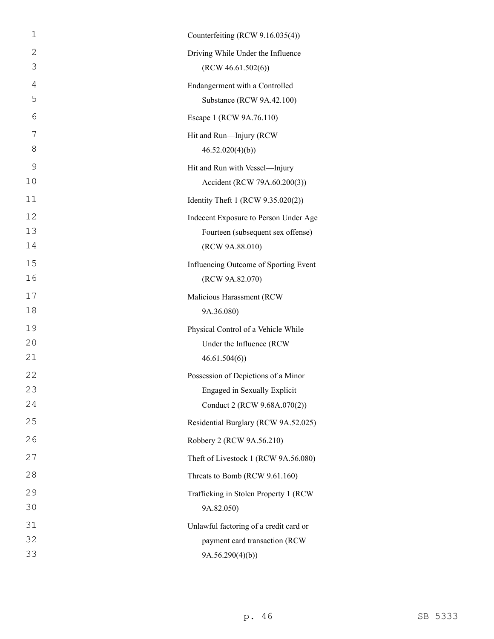| $\mathbf 1$ | Counterfeiting (RCW 9.16.035(4))       |
|-------------|----------------------------------------|
| 2           | Driving While Under the Influence      |
| 3           | (RCW 46.61.502(6))                     |
| 4           | Endangerment with a Controlled         |
| 5           | Substance (RCW 9A.42.100)              |
| 6           | Escape 1 (RCW 9A.76.110)               |
| 7           | Hit and Run-Injury (RCW                |
| 8           | 46.52.020(4)(b)                        |
| 9           | Hit and Run with Vessel-Injury         |
| 10          | Accident (RCW 79A.60.200(3))           |
| 11          | Identity Theft 1 (RCW 9.35.020(2))     |
| 12          | Indecent Exposure to Person Under Age  |
| 13          | Fourteen (subsequent sex offense)      |
| 14          | (RCW 9A.88.010)                        |
| 15          | Influencing Outcome of Sporting Event  |
| 16          | (RCW 9A.82.070)                        |
| 17          | Malicious Harassment (RCW              |
| 18          | 9A.36.080)                             |
| 19          | Physical Control of a Vehicle While    |
| 20          | Under the Influence (RCW               |
| 21          | 46.61.504(6)                           |
| 22          | Possession of Depictions of a Minor    |
| 23          | Engaged in Sexually Explicit           |
| 24          | Conduct 2 (RCW 9.68A.070(2))           |
| 25          | Residential Burglary (RCW 9A.52.025)   |
| 26          | Robbery 2 (RCW 9A.56.210)              |
| 27          | Theft of Livestock 1 (RCW 9A.56.080)   |
| 28          | Threats to Bomb (RCW 9.61.160)         |
| 29          | Trafficking in Stolen Property 1 (RCW  |
| 30          | 9A.82.050)                             |
| 31          | Unlawful factoring of a credit card or |
| 32          | payment card transaction (RCW          |
| 33          | 9A.56.290(4)(b)                        |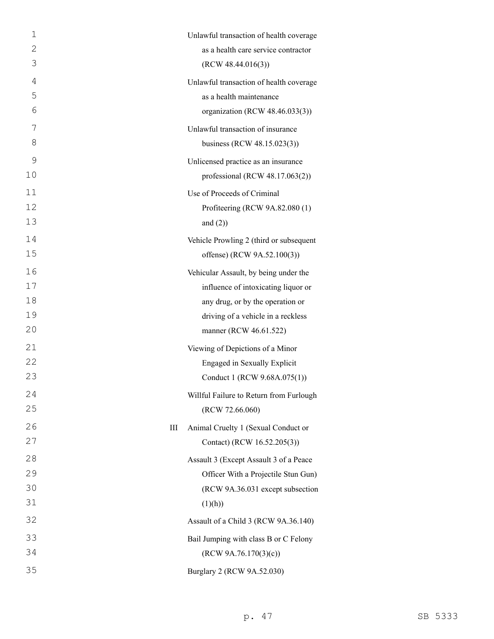| 1  |   | Unlawful transaction of health coverage |
|----|---|-----------------------------------------|
| 2  |   | as a health care service contractor     |
| 3  |   | (RCW 48.44.016(3))                      |
| 4  |   | Unlawful transaction of health coverage |
| 5  |   | as a health maintenance                 |
| 6  |   | organization (RCW 48.46.033(3))         |
| 7  |   | Unlawful transaction of insurance       |
| 8  |   | business (RCW 48.15.023(3))             |
| 9  |   | Unlicensed practice as an insurance     |
| 10 |   | professional (RCW $48.17.063(2)$ )      |
| 11 |   | Use of Proceeds of Criminal             |
| 12 |   | Profiteering (RCW 9A.82.080 (1)         |
| 13 |   | and $(2)$ )                             |
| 14 |   | Vehicle Prowling 2 (third or subsequent |
| 15 |   | offense) (RCW 9A.52.100(3))             |
| 16 |   | Vehicular Assault, by being under the   |
| 17 |   | influence of intoxicating liquor or     |
| 18 |   | any drug, or by the operation or        |
| 19 |   | driving of a vehicle in a reckless      |
| 20 |   | manner (RCW 46.61.522)                  |
| 21 |   | Viewing of Depictions of a Minor        |
| 22 |   | Engaged in Sexually Explicit            |
| 23 |   | Conduct 1 (RCW 9.68A.075(1))            |
| 24 |   | Willful Failure to Return from Furlough |
| 25 |   | (RCW 72.66.060)                         |
| 26 | Ш | Animal Cruelty 1 (Sexual Conduct or     |
| 27 |   | Contact) (RCW 16.52.205(3))             |
| 28 |   | Assault 3 (Except Assault 3 of a Peace  |
| 29 |   | Officer With a Projectile Stun Gun)     |
| 30 |   | (RCW 9A.36.031 except subsection        |
| 31 |   | (1)(h))                                 |
| 32 |   | Assault of a Child 3 (RCW 9A.36.140)    |
| 33 |   | Bail Jumping with class B or C Felony   |
| 34 |   | (RCW 9A.76.170(3)(c))                   |
| 35 |   | Burglary 2 (RCW 9A.52.030)              |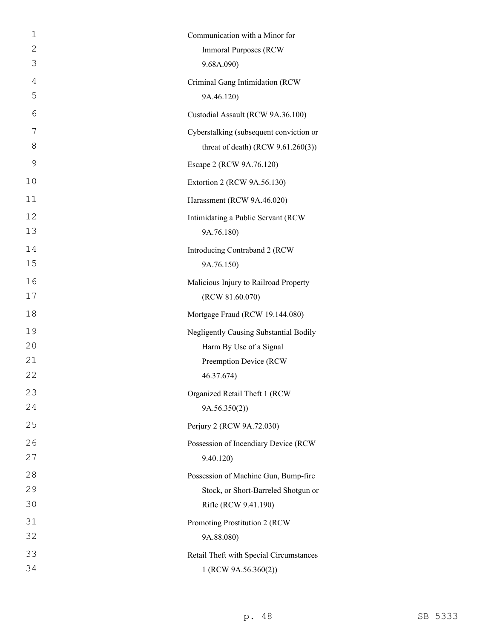| 1              | Communication with a Minor for          |
|----------------|-----------------------------------------|
| $\overline{2}$ | <b>Immoral Purposes (RCW)</b>           |
| 3              | 9.68A.090)                              |
| $\overline{4}$ | Criminal Gang Intimidation (RCW         |
| 5              | 9A.46.120)                              |
| 6              | Custodial Assault (RCW 9A.36.100)       |
| 7              | Cyberstalking (subsequent conviction or |
| 8              | threat of death) (RCW $9.61.260(3)$ )   |
| 9              | Escape 2 (RCW 9A.76.120)                |
| 10             | Extortion 2 (RCW 9A.56.130)             |
| 11             | Harassment (RCW 9A.46.020)              |
| 12             | Intimidating a Public Servant (RCW      |
| 13             | 9A.76.180)                              |
| 14             | Introducing Contraband 2 (RCW           |
| 15             | 9A.76.150)                              |
| 16             | Malicious Injury to Railroad Property   |
| 17             | (RCW 81.60.070)                         |
| 18             | Mortgage Fraud (RCW 19.144.080)         |
| 19             | Negligently Causing Substantial Bodily  |
| 20             | Harm By Use of a Signal                 |
| 21             | Preemption Device (RCW                  |
| 22             | 46.37.674)                              |
| 23             | Organized Retail Theft 1 (RCW           |
| 24             | 9A.56.350(2))                           |
| 25             | Perjury 2 (RCW 9A.72.030)               |
| 26             | Possession of Incendiary Device (RCW    |
| 27             | 9.40.120)                               |
| 28             | Possession of Machine Gun, Bump-fire    |
| 29             | Stock, or Short-Barreled Shotgun or     |
| 30             | Rifle (RCW 9.41.190)                    |
| 31             | Promoting Prostitution 2 (RCW           |
| 32             | 9A.88.080)                              |
| 33             | Retail Theft with Special Circumstances |
| 34             | 1 (RCW 9A.56.360(2))                    |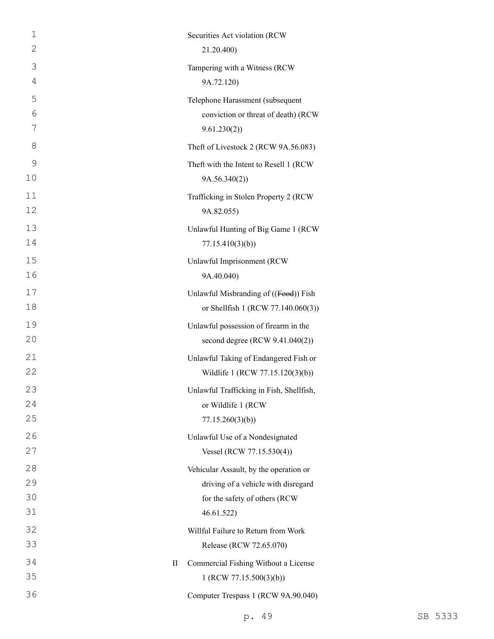| 1       | Securities Act violation (RCW            |  |
|---------|------------------------------------------|--|
| 2       | 21.20.400)                               |  |
| 3       | Tampering with a Witness (RCW            |  |
| 4       | 9A.72.120)                               |  |
| 5       | Telephone Harassment (subsequent         |  |
| 6       | conviction or threat of death) (RCW      |  |
| 7       | 9.61.230(2))                             |  |
| 8       | Theft of Livestock 2 (RCW 9A.56.083)     |  |
| 9       | Theft with the Intent to Resell 1 (RCW   |  |
| 10      | 9A.56.340(2))                            |  |
| 11      | Trafficking in Stolen Property 2 (RCW    |  |
| 12      | 9A.82.055)                               |  |
| 13      | Unlawful Hunting of Big Game 1 (RCW      |  |
| 14      | 77.15.410(3)(b)                          |  |
| 15      | Unlawful Imprisonment (RCW               |  |
| 16      | 9A.40.040)                               |  |
| 17      | Unlawful Misbranding of ((Food)) Fish    |  |
| 18      | or Shellfish 1 (RCW 77.140.060(3))       |  |
| 19      | Unlawful possession of firearm in the    |  |
| 20      | second degree (RCW 9.41.040(2))          |  |
| 21      | Unlawful Taking of Endangered Fish or    |  |
| 22      | Wildlife 1 (RCW 77.15.120(3)(b))         |  |
| 23      | Unlawful Trafficking in Fish, Shellfish, |  |
| 24      | or Wildlife 1 (RCW                       |  |
| 25      | 77.15.260(3)(b)                          |  |
| 26      | Unlawful Use of a Nondesignated          |  |
| 27      | Vessel (RCW 77.15.530(4))                |  |
| 28      | Vehicular Assault, by the operation or   |  |
| 29      | driving of a vehicle with disregard      |  |
| 30      | for the safety of others (RCW            |  |
| 31      | 46.61.522)                               |  |
| 32      | Willful Failure to Return from Work      |  |
| 33      | Release (RCW 72.65.070)                  |  |
| 34<br>П | Commercial Fishing Without a License     |  |
| 35      | 1 (RCW 77.15.500(3)(b))                  |  |
| 36      | Computer Trespass 1 (RCW 9A.90.040)      |  |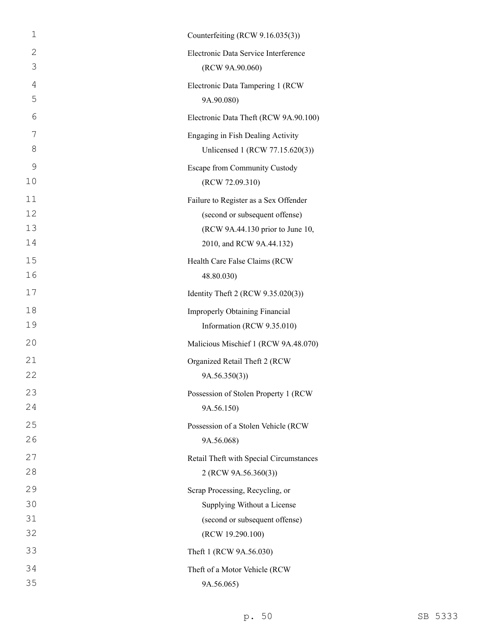| $\mathbf 1$    | Counterfeiting (RCW 9.16.035(3))        |
|----------------|-----------------------------------------|
| $\mathbf{2}$   | Electronic Data Service Interference    |
| 3              | (RCW 9A.90.060)                         |
| $\overline{4}$ | Electronic Data Tampering 1 (RCW        |
| 5              | 9A.90.080)                              |
| 6              | Electronic Data Theft (RCW 9A.90.100)   |
| 7              | Engaging in Fish Dealing Activity       |
| 8              | Unlicensed 1 (RCW 77.15.620(3))         |
| 9              | Escape from Community Custody           |
| 10             | (RCW 72.09.310)                         |
| 11             | Failure to Register as a Sex Offender   |
| 12             | (second or subsequent offense)          |
| 13             | (RCW 9A.44.130 prior to June 10,        |
| 14             | 2010, and RCW 9A.44.132)                |
| 15             | Health Care False Claims (RCW           |
| 16             | 48.80.030)                              |
| 17             | Identity Theft 2 (RCW 9.35.020(3))      |
| 18             | <b>Improperly Obtaining Financial</b>   |
| 19             | Information (RCW 9.35.010)              |
| 20             | Malicious Mischief 1 (RCW 9A.48.070)    |
| 21             | Organized Retail Theft 2 (RCW           |
| 22             | 9A.56.350(3)                            |
| 23             | Possession of Stolen Property 1 (RCW    |
| 24             | 9A.56.150)                              |
| 25             | Possession of a Stolen Vehicle (RCW     |
| 26             | 9A.56.068)                              |
| 27             | Retail Theft with Special Circumstances |
| 28             | 2 (RCW 9A.56.360(3))                    |
| 29             | Scrap Processing, Recycling, or         |
| 30             | Supplying Without a License             |
| 31             | (second or subsequent offense)          |
| 32             | (RCW 19.290.100)                        |
| 33             | Theft 1 (RCW 9A.56.030)                 |
| 34             | Theft of a Motor Vehicle (RCW           |
| 35             | 9A.56.065)                              |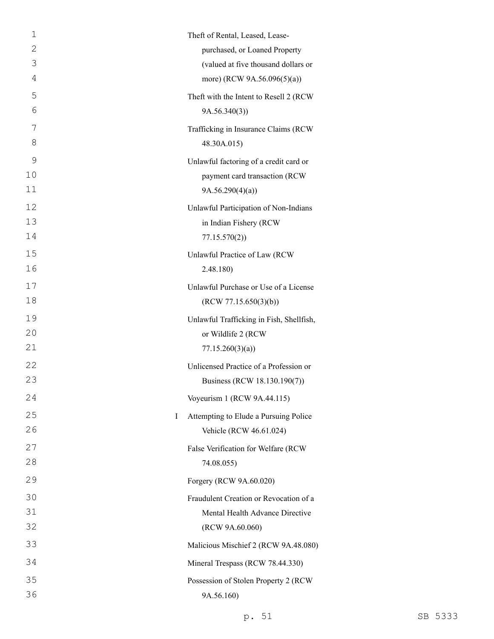| 1       | Theft of Rental, Leased, Lease-          |
|---------|------------------------------------------|
| 2       | purchased, or Loaned Property            |
| 3       | (valued at five thousand dollars or      |
| 4       | more) (RCW 9A.56.096(5)(a))              |
| 5       | Theft with the Intent to Resell 2 (RCW   |
| 6       | 9A.56.340(3)                             |
| 7       | Trafficking in Insurance Claims (RCW     |
| 8       | 48.30A.015)                              |
| 9       | Unlawful factoring of a credit card or   |
| 10      | payment card transaction (RCW            |
| 11      | 9A.56.290(4)(a)                          |
| 12      | Unlawful Participation of Non-Indians    |
| 13      | in Indian Fishery (RCW                   |
| 14      | 77.15.570(2)                             |
| 15      | Unlawful Practice of Law (RCW            |
| 16      | 2.48.180)                                |
| 17      | Unlawful Purchase or Use of a License    |
| 18      | (RCW 77.15.650(3)(b))                    |
| 19      | Unlawful Trafficking in Fish, Shellfish, |
| 20      | or Wildlife 2 (RCW                       |
| 21      | 77.15.260(3)(a)                          |
| 22      | Unlicensed Practice of a Profession or   |
| 23      | Business (RCW 18.130.190(7))             |
| 24      | Voyeurism 1 (RCW 9A.44.115)              |
| 25<br>I | Attempting to Elude a Pursuing Police    |
| 26      | Vehicle (RCW 46.61.024)                  |
| 27      | False Verification for Welfare (RCW      |
| 28      | 74.08.055)                               |
| 29      | Forgery (RCW 9A.60.020)                  |
| 30      | Fraudulent Creation or Revocation of a   |
| 31      | Mental Health Advance Directive          |
| 32      | (RCW 9A.60.060)                          |
| 33      | Malicious Mischief 2 (RCW 9A.48.080)     |
| 34      | Mineral Trespass (RCW 78.44.330)         |
| 35      | Possession of Stolen Property 2 (RCW     |
| 36      | 9A.56.160)                               |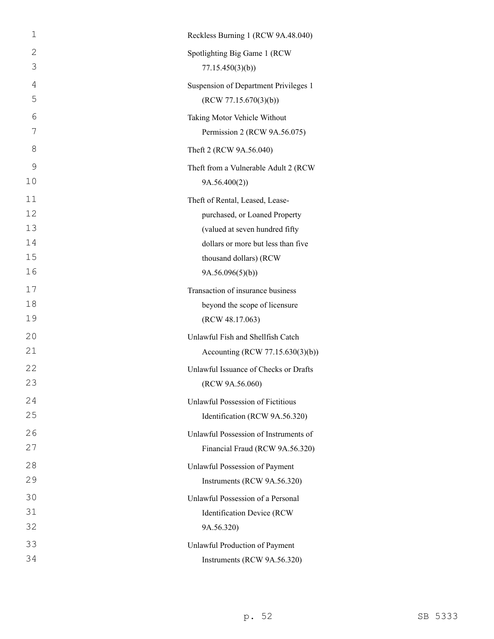| 1            | Reckless Burning 1 (RCW 9A.48.040)       |
|--------------|------------------------------------------|
| $\mathbf{2}$ | Spotlighting Big Game 1 (RCW             |
| 3            | 77.15.450(3)(b)                          |
| 4            | Suspension of Department Privileges 1    |
| 5            | (RCW 77.15.670(3)(b))                    |
| 6            | Taking Motor Vehicle Without             |
| 7            | Permission 2 (RCW 9A.56.075)             |
| 8            | Theft 2 (RCW 9A.56.040)                  |
| 9            | Theft from a Vulnerable Adult 2 (RCW     |
| 10           | 9A.56.400(2)                             |
| 11           | Theft of Rental, Leased, Lease-          |
| 12           | purchased, or Loaned Property            |
| 13           | (valued at seven hundred fifty           |
| 14           | dollars or more but less than five       |
| 15           | thousand dollars) (RCW                   |
| 16           | 9A.56.096(5)(b)                          |
| 17           | Transaction of insurance business        |
| 18           | beyond the scope of licensure            |
| 19           | (RCW 48.17.063)                          |
| 20           | Unlawful Fish and Shellfish Catch        |
| 21           | Accounting (RCW 77.15.630(3)(b))         |
| 22           | Unlawful Issuance of Checks or Drafts    |
| 23           | (RCW 9A.56.060)                          |
| 24           | <b>Unlawful Possession of Fictitious</b> |
| 25           | Identification (RCW 9A.56.320)           |
| 26           | Unlawful Possession of Instruments of    |
| 27           | Financial Fraud (RCW 9A.56.320)          |
| 28           | Unlawful Possession of Payment           |
| 29           | Instruments (RCW 9A.56.320)              |
| 30           | Unlawful Possession of a Personal        |
| 31           | Identification Device (RCW               |
| 32           | 9A.56.320)                               |
| 33           | Unlawful Production of Payment           |
| 34           | Instruments (RCW 9A.56.320)              |
|              |                                          |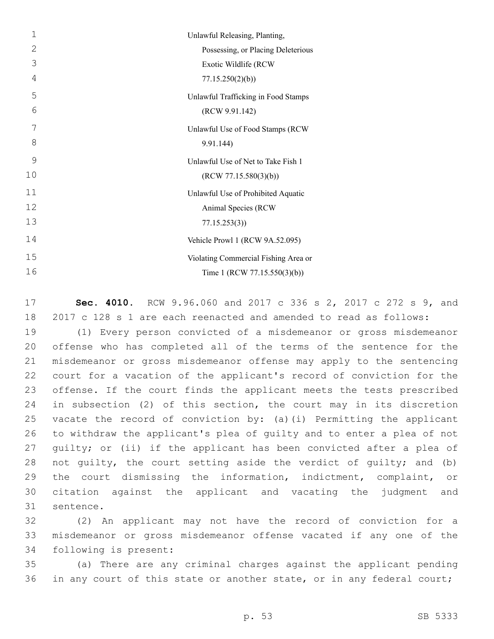| $\mathbf{1}$   | Unlawful Releasing, Planting,        |
|----------------|--------------------------------------|
| $\mathbf{2}$   | Possessing, or Placing Deleterious   |
| 3              | Exotic Wildlife (RCW                 |
| $\overline{4}$ | 77.15.250(2)(b)                      |
| 5              | Unlawful Trafficking in Food Stamps  |
| 6              | (RCW 9.91.142)                       |
| 7              | Unlawful Use of Food Stamps (RCW     |
| 8              | 9.91.144)                            |
| 9              | Unlawful Use of Net to Take Fish 1   |
| 10             | (RCW 77.15.580(3)(b))                |
| 11             | Unlawful Use of Prohibited Aquatic   |
| 12             | Animal Species (RCW                  |
| 13             | 77.15.253(3)                         |
| 14             | Vehicle Prowl 1 (RCW 9A.52.095)      |
| 15             | Violating Commercial Fishing Area or |
| 16             | Time 1 (RCW 77.15.550(3)(b))         |

 **Sec. 4010.** RCW 9.96.060 and 2017 c 336 s 2, 2017 c 272 s 9, and 2017 c 128 s 1 are each reenacted and amended to read as follows:

 (1) Every person convicted of a misdemeanor or gross misdemeanor offense who has completed all of the terms of the sentence for the misdemeanor or gross misdemeanor offense may apply to the sentencing court for a vacation of the applicant's record of conviction for the offense. If the court finds the applicant meets the tests prescribed in subsection (2) of this section, the court may in its discretion vacate the record of conviction by: (a)(i) Permitting the applicant to withdraw the applicant's plea of guilty and to enter a plea of not guilty; or (ii) if the applicant has been convicted after a plea of not guilty, the court setting aside the verdict of guilty; and (b) the court dismissing the information, indictment, complaint, or citation against the applicant and vacating the judgment and 31 sentence.

 (2) An applicant may not have the record of conviction for a misdemeanor or gross misdemeanor offense vacated if any one of the 34 following is present:

 (a) There are any criminal charges against the applicant pending 36 in any court of this state or another state, or in any federal court;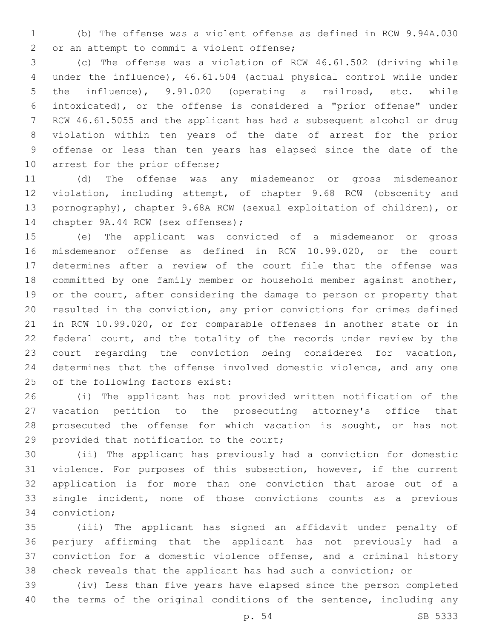(b) The offense was a violent offense as defined in RCW 9.94A.030 2 or an attempt to commit a violent offense;

 (c) The offense was a violation of RCW 46.61.502 (driving while under the influence), 46.61.504 (actual physical control while under the influence), 9.91.020 (operating a railroad, etc. while intoxicated), or the offense is considered a "prior offense" under RCW 46.61.5055 and the applicant has had a subsequent alcohol or drug violation within ten years of the date of arrest for the prior offense or less than ten years has elapsed since the date of the 10 arrest for the prior offense;

 (d) The offense was any misdemeanor or gross misdemeanor violation, including attempt, of chapter 9.68 RCW (obscenity and pornography), chapter 9.68A RCW (sexual exploitation of children), or 14 chapter 9A.44 RCW (sex offenses);

 (e) The applicant was convicted of a misdemeanor or gross misdemeanor offense as defined in RCW 10.99.020, or the court determines after a review of the court file that the offense was committed by one family member or household member against another, 19 or the court, after considering the damage to person or property that resulted in the conviction, any prior convictions for crimes defined in RCW 10.99.020, or for comparable offenses in another state or in 22 federal court, and the totality of the records under review by the court regarding the conviction being considered for vacation, determines that the offense involved domestic violence, and any one 25 of the following factors exist:

 (i) The applicant has not provided written notification of the vacation petition to the prosecuting attorney's office that 28 prosecuted the offense for which vacation is sought, or has not 29 provided that notification to the court;

 (ii) The applicant has previously had a conviction for domestic violence. For purposes of this subsection, however, if the current application is for more than one conviction that arose out of a single incident, none of those convictions counts as a previous 34 conviction;

 (iii) The applicant has signed an affidavit under penalty of perjury affirming that the applicant has not previously had a conviction for a domestic violence offense, and a criminal history check reveals that the applicant has had such a conviction; or

 (iv) Less than five years have elapsed since the person completed the terms of the original conditions of the sentence, including any

p. 54 SB 5333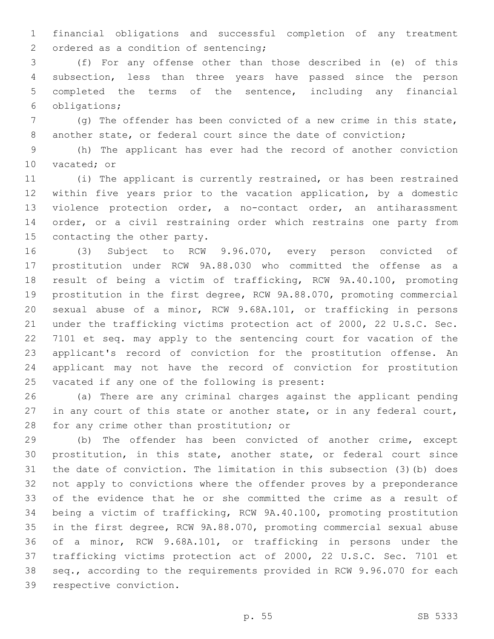financial obligations and successful completion of any treatment 2 ordered as a condition of sentencing;

 (f) For any offense other than those described in (e) of this subsection, less than three years have passed since the person completed the terms of the sentence, including any financial 6 obligations;

 (g) The offender has been convicted of a new crime in this state, 8 another state, or federal court since the date of conviction;

 (h) The applicant has ever had the record of another conviction 10 vacated; or

 (i) The applicant is currently restrained, or has been restrained within five years prior to the vacation application, by a domestic violence protection order, a no-contact order, an antiharassment 14 order, or a civil restraining order which restrains one party from 15 contacting the other party.

 (3) Subject to RCW 9.96.070, every person convicted of prostitution under RCW 9A.88.030 who committed the offense as a result of being a victim of trafficking, RCW 9A.40.100, promoting prostitution in the first degree, RCW 9A.88.070, promoting commercial sexual abuse of a minor, RCW 9.68A.101, or trafficking in persons under the trafficking victims protection act of 2000, 22 U.S.C. Sec. 7101 et seq. may apply to the sentencing court for vacation of the applicant's record of conviction for the prostitution offense. An applicant may not have the record of conviction for prostitution 25 vacated if any one of the following is present:

 (a) There are any criminal charges against the applicant pending 27 in any court of this state or another state, or in any federal court, 28 for any crime other than prostitution; or

 (b) The offender has been convicted of another crime, except prostitution, in this state, another state, or federal court since the date of conviction. The limitation in this subsection (3)(b) does not apply to convictions where the offender proves by a preponderance of the evidence that he or she committed the crime as a result of being a victim of trafficking, RCW 9A.40.100, promoting prostitution in the first degree, RCW 9A.88.070, promoting commercial sexual abuse of a minor, RCW 9.68A.101, or trafficking in persons under the trafficking victims protection act of 2000, 22 U.S.C. Sec. 7101 et seq., according to the requirements provided in RCW 9.96.070 for each 39 respective conviction.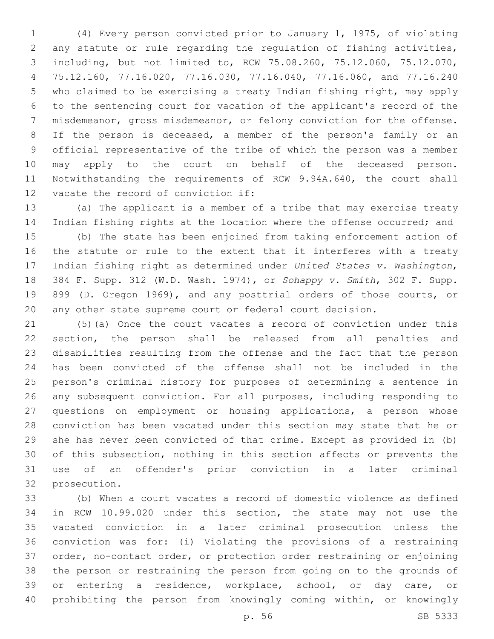(4) Every person convicted prior to January 1, 1975, of violating any statute or rule regarding the regulation of fishing activities, including, but not limited to, RCW 75.08.260, 75.12.060, 75.12.070, 75.12.160, 77.16.020, 77.16.030, 77.16.040, 77.16.060, and 77.16.240 who claimed to be exercising a treaty Indian fishing right, may apply to the sentencing court for vacation of the applicant's record of the misdemeanor, gross misdemeanor, or felony conviction for the offense. If the person is deceased, a member of the person's family or an official representative of the tribe of which the person was a member may apply to the court on behalf of the deceased person. Notwithstanding the requirements of RCW 9.94A.640, the court shall 12 vacate the record of conviction if:

 (a) The applicant is a member of a tribe that may exercise treaty 14 Indian fishing rights at the location where the offense occurred; and

 (b) The state has been enjoined from taking enforcement action of the statute or rule to the extent that it interferes with a treaty Indian fishing right as determined under *United States v. Washington*, 384 F. Supp. 312 (W.D. Wash. 1974), or *Sohappy v. Smith*, 302 F. Supp. 899 (D. Oregon 1969), and any posttrial orders of those courts, or any other state supreme court or federal court decision.

 (5)(a) Once the court vacates a record of conviction under this section, the person shall be released from all penalties and disabilities resulting from the offense and the fact that the person has been convicted of the offense shall not be included in the person's criminal history for purposes of determining a sentence in any subsequent conviction. For all purposes, including responding to questions on employment or housing applications, a person whose conviction has been vacated under this section may state that he or she has never been convicted of that crime. Except as provided in (b) of this subsection, nothing in this section affects or prevents the use of an offender's prior conviction in a later criminal 32 prosecution.

 (b) When a court vacates a record of domestic violence as defined in RCW 10.99.020 under this section, the state may not use the vacated conviction in a later criminal prosecution unless the conviction was for: (i) Violating the provisions of a restraining order, no-contact order, or protection order restraining or enjoining the person or restraining the person from going on to the grounds of or entering a residence, workplace, school, or day care, or prohibiting the person from knowingly coming within, or knowingly

p. 56 SB 5333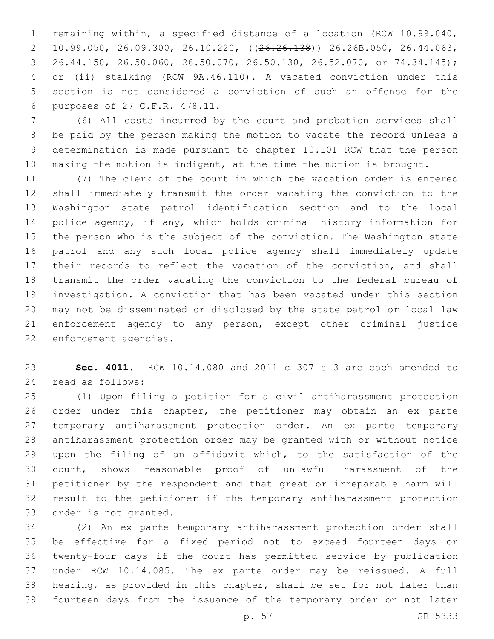remaining within, a specified distance of a location (RCW 10.99.040, 10.99.050, 26.09.300, 26.10.220, ((26.26.138)) 26.26B.050, 26.44.063, 26.44.150, 26.50.060, 26.50.070, 26.50.130, 26.52.070, or 74.34.145); or (ii) stalking (RCW 9A.46.110). A vacated conviction under this section is not considered a conviction of such an offense for the purposes of 27 C.F.R. 478.11.6

 (6) All costs incurred by the court and probation services shall be paid by the person making the motion to vacate the record unless a determination is made pursuant to chapter 10.101 RCW that the person 10 making the motion is indigent, at the time the motion is brought.

 (7) The clerk of the court in which the vacation order is entered shall immediately transmit the order vacating the conviction to the Washington state patrol identification section and to the local police agency, if any, which holds criminal history information for the person who is the subject of the conviction. The Washington state patrol and any such local police agency shall immediately update 17 their records to reflect the vacation of the conviction, and shall transmit the order vacating the conviction to the federal bureau of investigation. A conviction that has been vacated under this section may not be disseminated or disclosed by the state patrol or local law enforcement agency to any person, except other criminal justice 22 enforcement agencies.

 **Sec. 4011.** RCW 10.14.080 and 2011 c 307 s 3 are each amended to 24 read as follows:

 (1) Upon filing a petition for a civil antiharassment protection order under this chapter, the petitioner may obtain an ex parte temporary antiharassment protection order. An ex parte temporary antiharassment protection order may be granted with or without notice upon the filing of an affidavit which, to the satisfaction of the court, shows reasonable proof of unlawful harassment of the petitioner by the respondent and that great or irreparable harm will result to the petitioner if the temporary antiharassment protection 33 order is not granted.

 (2) An ex parte temporary antiharassment protection order shall be effective for a fixed period not to exceed fourteen days or twenty-four days if the court has permitted service by publication under RCW 10.14.085. The ex parte order may be reissued. A full hearing, as provided in this chapter, shall be set for not later than fourteen days from the issuance of the temporary order or not later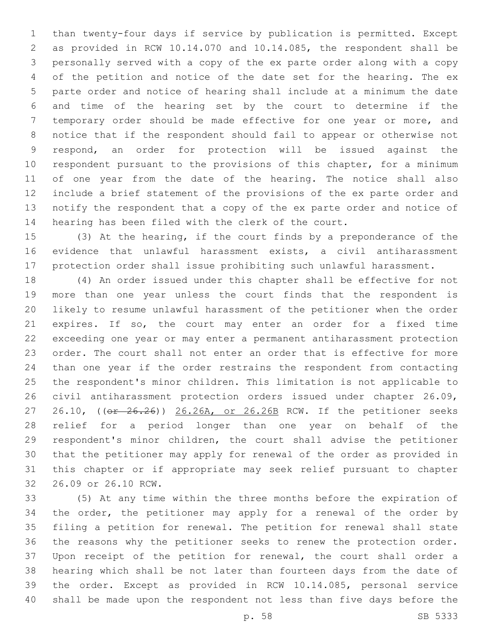than twenty-four days if service by publication is permitted. Except as provided in RCW 10.14.070 and 10.14.085, the respondent shall be personally served with a copy of the ex parte order along with a copy of the petition and notice of the date set for the hearing. The ex parte order and notice of hearing shall include at a minimum the date and time of the hearing set by the court to determine if the temporary order should be made effective for one year or more, and notice that if the respondent should fail to appear or otherwise not respond, an order for protection will be issued against the respondent pursuant to the provisions of this chapter, for a minimum of one year from the date of the hearing. The notice shall also include a brief statement of the provisions of the ex parte order and notify the respondent that a copy of the ex parte order and notice of hearing has been filed with the clerk of the court.

 (3) At the hearing, if the court finds by a preponderance of the evidence that unlawful harassment exists, a civil antiharassment protection order shall issue prohibiting such unlawful harassment.

 (4) An order issued under this chapter shall be effective for not more than one year unless the court finds that the respondent is likely to resume unlawful harassment of the petitioner when the order expires. If so, the court may enter an order for a fixed time exceeding one year or may enter a permanent antiharassment protection order. The court shall not enter an order that is effective for more than one year if the order restrains the respondent from contacting the respondent's minor children. This limitation is not applicable to civil antiharassment protection orders issued under chapter 26.09, 27 26.10, ((or 26.26)) 26.26A, or 26.26B RCW. If the petitioner seeks relief for a period longer than one year on behalf of the respondent's minor children, the court shall advise the petitioner that the petitioner may apply for renewal of the order as provided in this chapter or if appropriate may seek relief pursuant to chapter 26.09 or 26.10 RCW.32

 (5) At any time within the three months before the expiration of the order, the petitioner may apply for a renewal of the order by filing a petition for renewal. The petition for renewal shall state the reasons why the petitioner seeks to renew the protection order. Upon receipt of the petition for renewal, the court shall order a hearing which shall be not later than fourteen days from the date of the order. Except as provided in RCW 10.14.085, personal service shall be made upon the respondent not less than five days before the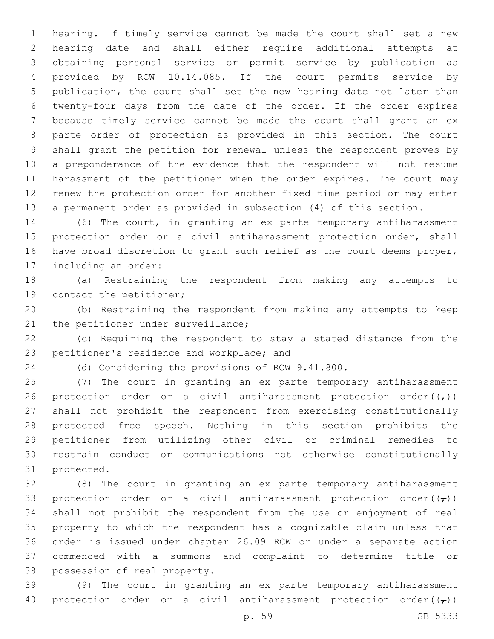hearing. If timely service cannot be made the court shall set a new hearing date and shall either require additional attempts at obtaining personal service or permit service by publication as provided by RCW 10.14.085. If the court permits service by publication, the court shall set the new hearing date not later than twenty-four days from the date of the order. If the order expires because timely service cannot be made the court shall grant an ex parte order of protection as provided in this section. The court shall grant the petition for renewal unless the respondent proves by a preponderance of the evidence that the respondent will not resume harassment of the petitioner when the order expires. The court may renew the protection order for another fixed time period or may enter a permanent order as provided in subsection (4) of this section.

 (6) The court, in granting an ex parte temporary antiharassment 15 protection order or a civil antiharassment protection order, shall have broad discretion to grant such relief as the court deems proper, 17 including an order:

 (a) Restraining the respondent from making any attempts to 19 contact the petitioner;

 (b) Restraining the respondent from making any attempts to keep 21 the petitioner under surveillance;

 (c) Requiring the respondent to stay a stated distance from the 23 petitioner's residence and workplace; and

(d) Considering the provisions of RCW 9.41.800.

 (7) The court in granting an ex parte temporary antiharassment 26 protection order or a civil antiharassment protection order( $(\tau)$ ) shall not prohibit the respondent from exercising constitutionally protected free speech. Nothing in this section prohibits the petitioner from utilizing other civil or criminal remedies to restrain conduct or communications not otherwise constitutionally 31 protected.

 (8) The court in granting an ex parte temporary antiharassment 33 protection order or a civil antiharassment protection order( $(\tau)$ ) shall not prohibit the respondent from the use or enjoyment of real property to which the respondent has a cognizable claim unless that order is issued under chapter 26.09 RCW or under a separate action commenced with a summons and complaint to determine title or 38 possession of real property.

 (9) The court in granting an ex parte temporary antiharassment 40 protection order or a civil antiharassment protection order( $(\tau)$ )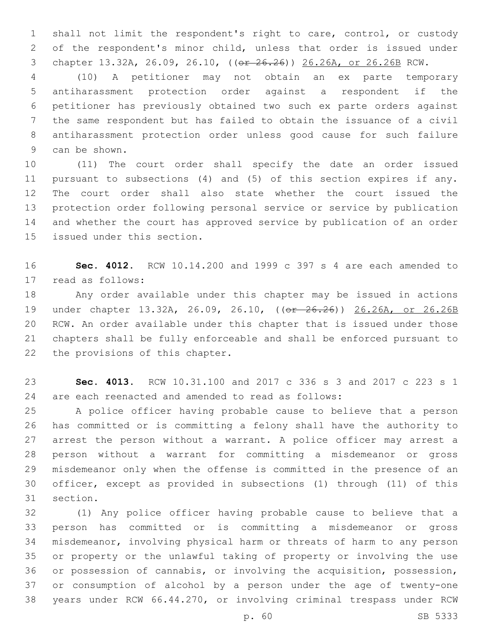shall not limit the respondent's right to care, control, or custody of the respondent's minor child, unless that order is issued under chapter 13.32A, 26.09, 26.10, ((or 26.26)) 26.26A, or 26.26B RCW.

 (10) A petitioner may not obtain an ex parte temporary antiharassment protection order against a respondent if the petitioner has previously obtained two such ex parte orders against the same respondent but has failed to obtain the issuance of a civil antiharassment protection order unless good cause for such failure 9 can be shown.

 (11) The court order shall specify the date an order issued pursuant to subsections (4) and (5) of this section expires if any. The court order shall also state whether the court issued the protection order following personal service or service by publication and whether the court has approved service by publication of an order 15 issued under this section.

 **Sec. 4012.** RCW 10.14.200 and 1999 c 397 s 4 are each amended to 17 read as follows:

 Any order available under this chapter may be issued in actions 19 under chapter 13.32A, 26.09, 26.10, ((or 26.26)) 26.26A, or 26.26B RCW. An order available under this chapter that is issued under those chapters shall be fully enforceable and shall be enforced pursuant to 22 the provisions of this chapter.

 **Sec. 4013.** RCW 10.31.100 and 2017 c 336 s 3 and 2017 c 223 s 1 are each reenacted and amended to read as follows:

 A police officer having probable cause to believe that a person has committed or is committing a felony shall have the authority to arrest the person without a warrant. A police officer may arrest a person without a warrant for committing a misdemeanor or gross misdemeanor only when the offense is committed in the presence of an officer, except as provided in subsections (1) through (11) of this 31 section.

 (1) Any police officer having probable cause to believe that a person has committed or is committing a misdemeanor or gross misdemeanor, involving physical harm or threats of harm to any person or property or the unlawful taking of property or involving the use or possession of cannabis, or involving the acquisition, possession, or consumption of alcohol by a person under the age of twenty-one years under RCW 66.44.270, or involving criminal trespass under RCW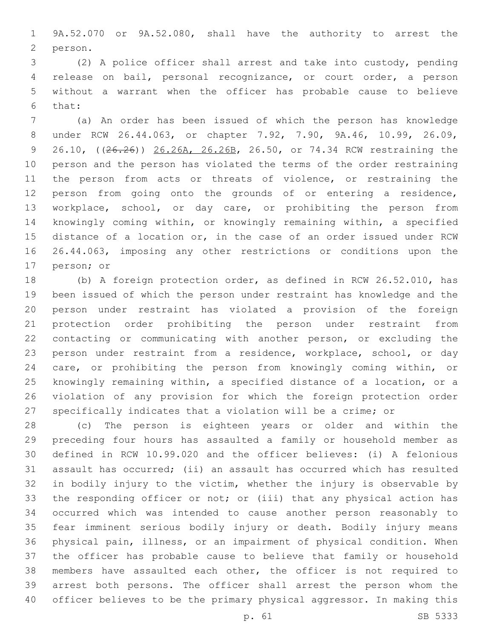9A.52.070 or 9A.52.080, shall have the authority to arrest the 2 person.

 (2) A police officer shall arrest and take into custody, pending release on bail, personal recognizance, or court order, a person without a warrant when the officer has probable cause to believe 6 that:

 (a) An order has been issued of which the person has knowledge under RCW 26.44.063, or chapter 7.92, 7.90, 9A.46, 10.99, 26.09, 9 26.10, ((26.26)) 26.26A, 26.26B, 26.50, or 74.34 RCW restraining the person and the person has violated the terms of the order restraining 11 the person from acts or threats of violence, or restraining the person from going onto the grounds of or entering a residence, workplace, school, or day care, or prohibiting the person from knowingly coming within, or knowingly remaining within, a specified distance of a location or, in the case of an order issued under RCW 26.44.063, imposing any other restrictions or conditions upon the 17 person; or

 (b) A foreign protection order, as defined in RCW 26.52.010, has been issued of which the person under restraint has knowledge and the person under restraint has violated a provision of the foreign protection order prohibiting the person under restraint from contacting or communicating with another person, or excluding the person under restraint from a residence, workplace, school, or day care, or prohibiting the person from knowingly coming within, or knowingly remaining within, a specified distance of a location, or a violation of any provision for which the foreign protection order specifically indicates that a violation will be a crime; or

 (c) The person is eighteen years or older and within the preceding four hours has assaulted a family or household member as defined in RCW 10.99.020 and the officer believes: (i) A felonious assault has occurred; (ii) an assault has occurred which has resulted in bodily injury to the victim, whether the injury is observable by the responding officer or not; or (iii) that any physical action has occurred which was intended to cause another person reasonably to fear imminent serious bodily injury or death. Bodily injury means physical pain, illness, or an impairment of physical condition. When the officer has probable cause to believe that family or household members have assaulted each other, the officer is not required to arrest both persons. The officer shall arrest the person whom the officer believes to be the primary physical aggressor. In making this

p. 61 SB 5333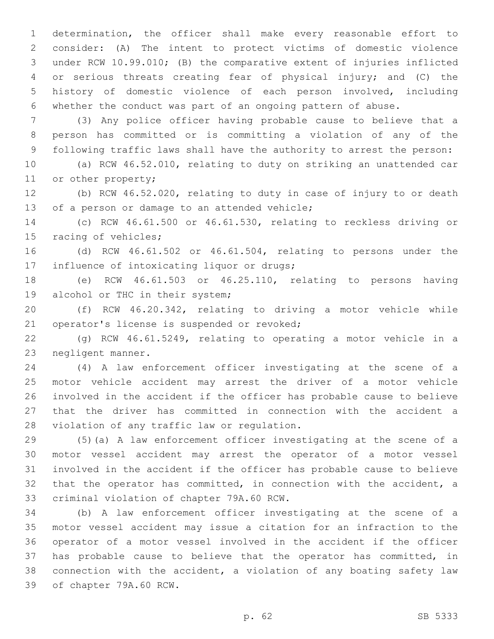determination, the officer shall make every reasonable effort to consider: (A) The intent to protect victims of domestic violence under RCW 10.99.010; (B) the comparative extent of injuries inflicted or serious threats creating fear of physical injury; and (C) the history of domestic violence of each person involved, including whether the conduct was part of an ongoing pattern of abuse.

 (3) Any police officer having probable cause to believe that a person has committed or is committing a violation of any of the following traffic laws shall have the authority to arrest the person:

 (a) RCW 46.52.010, relating to duty on striking an unattended car 11 or other property;

 (b) RCW 46.52.020, relating to duty in case of injury to or death 13 of a person or damage to an attended vehicle;

 (c) RCW 46.61.500 or 46.61.530, relating to reckless driving or 15 racing of vehicles;

 (d) RCW 46.61.502 or 46.61.504, relating to persons under the 17 influence of intoxicating liquor or drugs;

 (e) RCW 46.61.503 or 46.25.110, relating to persons having 19 alcohol or THC in their system;

 (f) RCW 46.20.342, relating to driving a motor vehicle while 21 operator's license is suspended or revoked;

 (g) RCW 46.61.5249, relating to operating a motor vehicle in a 23 negligent manner.

 (4) A law enforcement officer investigating at the scene of a motor vehicle accident may arrest the driver of a motor vehicle involved in the accident if the officer has probable cause to believe that the driver has committed in connection with the accident a 28 violation of any traffic law or regulation.

 (5)(a) A law enforcement officer investigating at the scene of a motor vessel accident may arrest the operator of a motor vessel involved in the accident if the officer has probable cause to believe that the operator has committed, in connection with the accident, a 33 criminal violation of chapter 79A.60 RCW.

 (b) A law enforcement officer investigating at the scene of a motor vessel accident may issue a citation for an infraction to the operator of a motor vessel involved in the accident if the officer has probable cause to believe that the operator has committed, in connection with the accident, a violation of any boating safety law 39 of chapter 79A.60 RCW.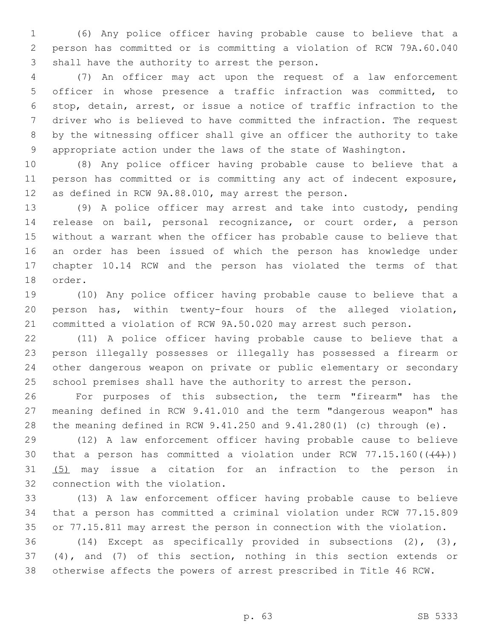(6) Any police officer having probable cause to believe that a person has committed or is committing a violation of RCW 79A.60.040 3 shall have the authority to arrest the person.

 (7) An officer may act upon the request of a law enforcement officer in whose presence a traffic infraction was committed, to stop, detain, arrest, or issue a notice of traffic infraction to the driver who is believed to have committed the infraction. The request by the witnessing officer shall give an officer the authority to take appropriate action under the laws of the state of Washington.

 (8) Any police officer having probable cause to believe that a person has committed or is committing any act of indecent exposure, as defined in RCW 9A.88.010, may arrest the person.

 (9) A police officer may arrest and take into custody, pending release on bail, personal recognizance, or court order, a person without a warrant when the officer has probable cause to believe that an order has been issued of which the person has knowledge under chapter 10.14 RCW and the person has violated the terms of that 18 order.

 (10) Any police officer having probable cause to believe that a person has, within twenty-four hours of the alleged violation, committed a violation of RCW 9A.50.020 may arrest such person.

 (11) A police officer having probable cause to believe that a person illegally possesses or illegally has possessed a firearm or other dangerous weapon on private or public elementary or secondary school premises shall have the authority to arrest the person.

 For purposes of this subsection, the term "firearm" has the meaning defined in RCW 9.41.010 and the term "dangerous weapon" has the meaning defined in RCW 9.41.250 and 9.41.280(1) (c) through (e).

 (12) A law enforcement officer having probable cause to believe 30 that a person has committed a violation under RCW  $77.15.160((44))$ ) (5) may issue a citation for an infraction to the person in 32 connection with the violation.

 (13) A law enforcement officer having probable cause to believe that a person has committed a criminal violation under RCW 77.15.809 or 77.15.811 may arrest the person in connection with the violation.

 (14) Except as specifically provided in subsections (2), (3), (4), and (7) of this section, nothing in this section extends or otherwise affects the powers of arrest prescribed in Title 46 RCW.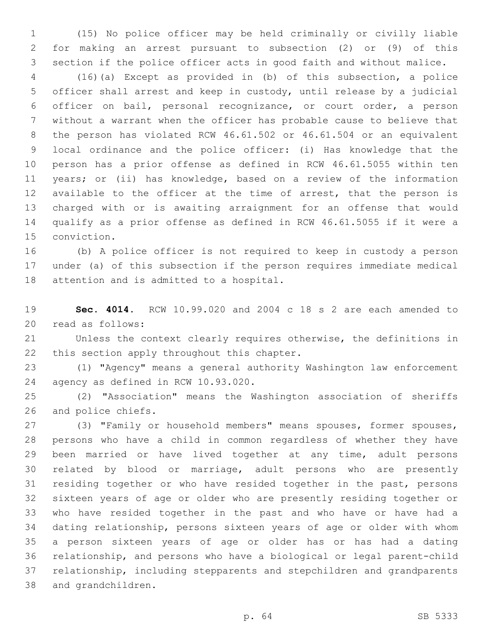(15) No police officer may be held criminally or civilly liable for making an arrest pursuant to subsection (2) or (9) of this section if the police officer acts in good faith and without malice.

 (16)(a) Except as provided in (b) of this subsection, a police officer shall arrest and keep in custody, until release by a judicial officer on bail, personal recognizance, or court order, a person without a warrant when the officer has probable cause to believe that the person has violated RCW 46.61.502 or 46.61.504 or an equivalent local ordinance and the police officer: (i) Has knowledge that the person has a prior offense as defined in RCW 46.61.5055 within ten years; or (ii) has knowledge, based on a review of the information available to the officer at the time of arrest, that the person is charged with or is awaiting arraignment for an offense that would qualify as a prior offense as defined in RCW 46.61.5055 if it were a 15 conviction.

 (b) A police officer is not required to keep in custody a person under (a) of this subsection if the person requires immediate medical 18 attention and is admitted to a hospital.

 **Sec. 4014.** RCW 10.99.020 and 2004 c 18 s 2 are each amended to 20 read as follows:

 Unless the context clearly requires otherwise, the definitions in 22 this section apply throughout this chapter.

 (1) "Agency" means a general authority Washington law enforcement 24 agency as defined in RCW 10.93.020.

 (2) "Association" means the Washington association of sheriffs 26 and police chiefs.

 (3) "Family or household members" means spouses, former spouses, persons who have a child in common regardless of whether they have been married or have lived together at any time, adult persons related by blood or marriage, adult persons who are presently residing together or who have resided together in the past, persons sixteen years of age or older who are presently residing together or who have resided together in the past and who have or have had a dating relationship, persons sixteen years of age or older with whom a person sixteen years of age or older has or has had a dating relationship, and persons who have a biological or legal parent-child relationship, including stepparents and stepchildren and grandparents 38 and grandchildren.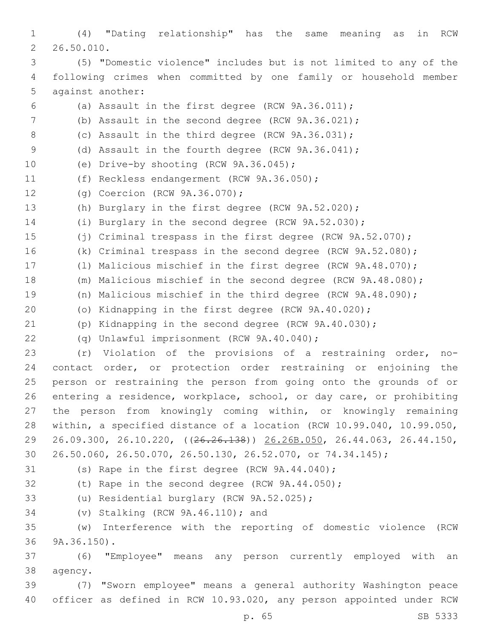(4) "Dating relationship" has the same meaning as in RCW 26.50.010.2 (5) "Domestic violence" includes but is not limited to any of the following crimes when committed by one family or household member 5 against another: (a) Assault in the first degree (RCW 9A.36.011); (b) Assault in the second degree (RCW 9A.36.021); 8 (c) Assault in the third degree (RCW 9A.36.031); (d) Assault in the fourth degree (RCW 9A.36.041); 10 (e) Drive-by shooting (RCW 9A.36.045); 11 (f) Reckless endangerment (RCW 9A.36.050); 12 (g) Coercion (RCW 9A.36.070); (h) Burglary in the first degree (RCW 9A.52.020); (i) Burglary in the second degree (RCW 9A.52.030); (j) Criminal trespass in the first degree (RCW 9A.52.070); (k) Criminal trespass in the second degree (RCW 9A.52.080); (l) Malicious mischief in the first degree (RCW 9A.48.070); (m) Malicious mischief in the second degree (RCW 9A.48.080); (n) Malicious mischief in the third degree (RCW 9A.48.090); (o) Kidnapping in the first degree (RCW 9A.40.020); (p) Kidnapping in the second degree (RCW 9A.40.030); (q) Unlawful imprisonment (RCW 9A.40.040);22 (r) Violation of the provisions of a restraining order, no- contact order, or protection order restraining or enjoining the person or restraining the person from going onto the grounds of or entering a residence, workplace, school, or day care, or prohibiting the person from knowingly coming within, or knowingly remaining within, a specified distance of a location (RCW 10.99.040, 10.99.050, 26.09.300, 26.10.220, ((26.26.138)) 26.26B.050, 26.44.063, 26.44.150, 26.50.060, 26.50.070, 26.50.130, 26.52.070, or 74.34.145); 31 (s) Rape in the first degree (RCW 9A.44.040); (t) Rape in the second degree (RCW 9A.44.050); 33 (u) Residential burglary (RCW 9A.52.025); 34 (v) Stalking (RCW 9A.46.110); and (w) Interference with the reporting of domestic violence (RCW 36 9A.36.150). (6) "Employee" means any person currently employed with an 38 agency. (7) "Sworn employee" means a general authority Washington peace officer as defined in RCW 10.93.020, any person appointed under RCW p. 65 SB 5333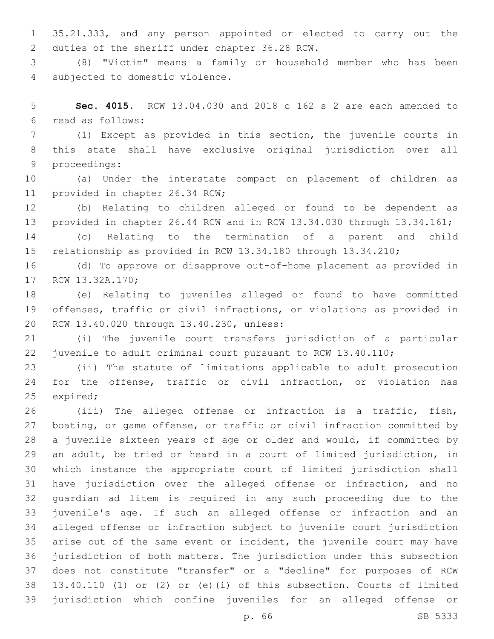35.21.333, and any person appointed or elected to carry out the 2 duties of the sheriff under chapter 36.28 RCW.

 (8) "Victim" means a family or household member who has been 4 subjected to domestic violence.

 **Sec. 4015.** RCW 13.04.030 and 2018 c 162 s 2 are each amended to read as follows:6

 (1) Except as provided in this section, the juvenile courts in this state shall have exclusive original jurisdiction over all 9 proceedings:

 (a) Under the interstate compact on placement of children as 11 provided in chapter 26.34 RCW;

 (b) Relating to children alleged or found to be dependent as provided in chapter 26.44 RCW and in RCW 13.34.030 through 13.34.161;

 (c) Relating to the termination of a parent and child relationship as provided in RCW 13.34.180 through 13.34.210;

 (d) To approve or disapprove out-of-home placement as provided in 17 RCW 13.32A.170;

 (e) Relating to juveniles alleged or found to have committed offenses, traffic or civil infractions, or violations as provided in 20 RCW 13.40.020 through 13.40.230, unless:

 (i) The juvenile court transfers jurisdiction of a particular juvenile to adult criminal court pursuant to RCW 13.40.110;

 (ii) The statute of limitations applicable to adult prosecution for the offense, traffic or civil infraction, or violation has 25 expired;

 (iii) The alleged offense or infraction is a traffic, fish, boating, or game offense, or traffic or civil infraction committed by a juvenile sixteen years of age or older and would, if committed by an adult, be tried or heard in a court of limited jurisdiction, in which instance the appropriate court of limited jurisdiction shall have jurisdiction over the alleged offense or infraction, and no guardian ad litem is required in any such proceeding due to the juvenile's age. If such an alleged offense or infraction and an alleged offense or infraction subject to juvenile court jurisdiction arise out of the same event or incident, the juvenile court may have jurisdiction of both matters. The jurisdiction under this subsection does not constitute "transfer" or a "decline" for purposes of RCW 13.40.110 (1) or (2) or (e)(i) of this subsection. Courts of limited jurisdiction which confine juveniles for an alleged offense or

p. 66 SB 5333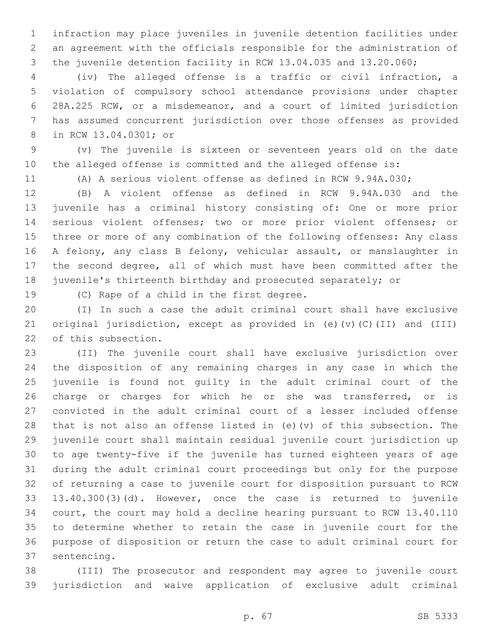infraction may place juveniles in juvenile detention facilities under an agreement with the officials responsible for the administration of the juvenile detention facility in RCW 13.04.035 and 13.20.060;

 (iv) The alleged offense is a traffic or civil infraction, a violation of compulsory school attendance provisions under chapter 28A.225 RCW, or a misdemeanor, and a court of limited jurisdiction has assumed concurrent jurisdiction over those offenses as provided 8 in RCW 13.04.0301; or

 (v) The juvenile is sixteen or seventeen years old on the date the alleged offense is committed and the alleged offense is:

(A) A serious violent offense as defined in RCW 9.94A.030;

 (B) A violent offense as defined in RCW 9.94A.030 and the juvenile has a criminal history consisting of: One or more prior serious violent offenses; two or more prior violent offenses; or three or more of any combination of the following offenses: Any class A felony, any class B felony, vehicular assault, or manslaughter in the second degree, all of which must have been committed after the juvenile's thirteenth birthday and prosecuted separately; or

19 (C) Rape of a child in the first degree.

 (I) In such a case the adult criminal court shall have exclusive original jurisdiction, except as provided in (e)(v)(C)(II) and (III) 22 of this subsection.

 (II) The juvenile court shall have exclusive jurisdiction over the disposition of any remaining charges in any case in which the juvenile is found not guilty in the adult criminal court of the charge or charges for which he or she was transferred, or is convicted in the adult criminal court of a lesser included offense that is not also an offense listed in (e)(v) of this subsection. The juvenile court shall maintain residual juvenile court jurisdiction up to age twenty-five if the juvenile has turned eighteen years of age during the adult criminal court proceedings but only for the purpose of returning a case to juvenile court for disposition pursuant to RCW 13.40.300(3)(d). However, once the case is returned to juvenile court, the court may hold a decline hearing pursuant to RCW 13.40.110 to determine whether to retain the case in juvenile court for the purpose of disposition or return the case to adult criminal court for 37 sentencing.

 (III) The prosecutor and respondent may agree to juvenile court jurisdiction and waive application of exclusive adult criminal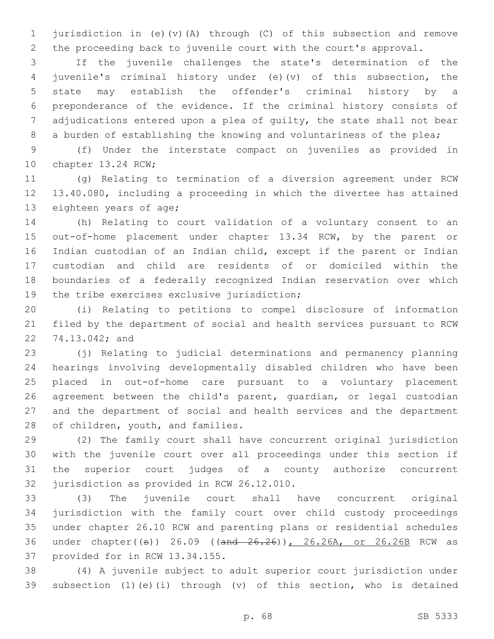jurisdiction in (e)(v)(A) through (C) of this subsection and remove the proceeding back to juvenile court with the court's approval.

 If the juvenile challenges the state's determination of the juvenile's criminal history under (e)(v) of this subsection, the state may establish the offender's criminal history by a preponderance of the evidence. If the criminal history consists of adjudications entered upon a plea of guilty, the state shall not bear 8 a burden of establishing the knowing and voluntariness of the plea;

 (f) Under the interstate compact on juveniles as provided in 10 chapter 13.24 RCW;

 (g) Relating to termination of a diversion agreement under RCW 13.40.080, including a proceeding in which the divertee has attained 13 eighteen years of age;

 (h) Relating to court validation of a voluntary consent to an out-of-home placement under chapter 13.34 RCW, by the parent or Indian custodian of an Indian child, except if the parent or Indian custodian and child are residents of or domiciled within the boundaries of a federally recognized Indian reservation over which 19 the tribe exercises exclusive jurisdiction;

 (i) Relating to petitions to compel disclosure of information filed by the department of social and health services pursuant to RCW 22 74.13.042; and

 (j) Relating to judicial determinations and permanency planning hearings involving developmentally disabled children who have been placed in out-of-home care pursuant to a voluntary placement agreement between the child's parent, guardian, or legal custodian and the department of social and health services and the department 28 of children, youth, and families.

 (2) The family court shall have concurrent original jurisdiction with the juvenile court over all proceedings under this section if the superior court judges of a county authorize concurrent 32 jurisdiction as provided in RCW 26.12.010.

 (3) The juvenile court shall have concurrent original jurisdiction with the family court over child custody proceedings under chapter 26.10 RCW and parenting plans or residential schedules 36 under chapter((s)) 26.09 ((and 26.26)), 26.26A, or 26.26B RCW as 37 provided for in RCW 13.34.155.

 (4) A juvenile subject to adult superior court jurisdiction under subsection (1)(e)(i) through (v) of this section, who is detained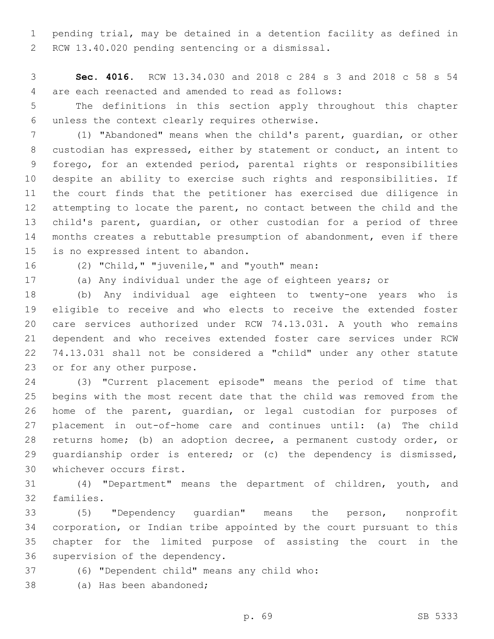pending trial, may be detained in a detention facility as defined in 2 RCW 13.40.020 pending sentencing or a dismissal.

 **Sec. 4016.** RCW 13.34.030 and 2018 c 284 s 3 and 2018 c 58 s 54 are each reenacted and amended to read as follows:4

 The definitions in this section apply throughout this chapter unless the context clearly requires otherwise.6

 (1) "Abandoned" means when the child's parent, guardian, or other custodian has expressed, either by statement or conduct, an intent to forego, for an extended period, parental rights or responsibilities despite an ability to exercise such rights and responsibilities. If the court finds that the petitioner has exercised due diligence in attempting to locate the parent, no contact between the child and the child's parent, guardian, or other custodian for a period of three months creates a rebuttable presumption of abandonment, even if there 15 is no expressed intent to abandon.

16 (2) "Child," "juvenile," and "youth" mean:

(a) Any individual under the age of eighteen years; or

 (b) Any individual age eighteen to twenty-one years who is eligible to receive and who elects to receive the extended foster care services authorized under RCW 74.13.031. A youth who remains dependent and who receives extended foster care services under RCW 74.13.031 shall not be considered a "child" under any other statute 23 or for any other purpose.

 (3) "Current placement episode" means the period of time that begins with the most recent date that the child was removed from the home of the parent, guardian, or legal custodian for purposes of placement in out-of-home care and continues until: (a) The child returns home; (b) an adoption decree, a permanent custody order, or 29 quardianship order is entered; or (c) the dependency is dismissed, 30 whichever occurs first.

 (4) "Department" means the department of children, youth, and 32 families.

 (5) "Dependency guardian" means the person, nonprofit corporation, or Indian tribe appointed by the court pursuant to this chapter for the limited purpose of assisting the court in the 36 supervision of the dependency.

(6) "Dependent child" means any child who:37

38 (a) Has been abandoned;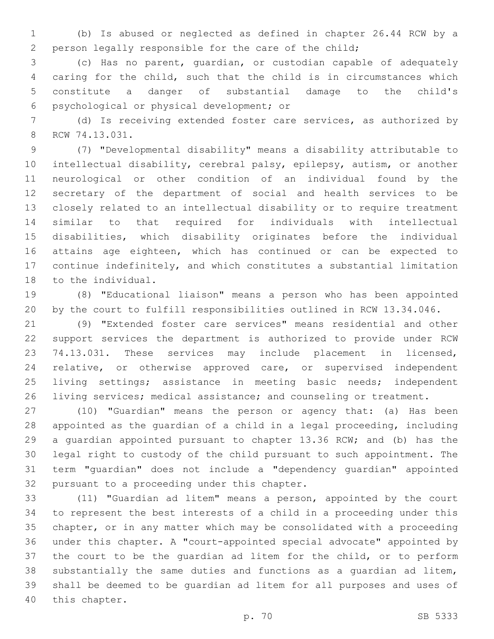(b) Is abused or neglected as defined in chapter 26.44 RCW by a person legally responsible for the care of the child;

 (c) Has no parent, guardian, or custodian capable of adequately caring for the child, such that the child is in circumstances which constitute a danger of substantial damage to the child's psychological or physical development; or6

 (d) Is receiving extended foster care services, as authorized by 8 RCW 74.13.031.

 (7) "Developmental disability" means a disability attributable to intellectual disability, cerebral palsy, epilepsy, autism, or another neurological or other condition of an individual found by the secretary of the department of social and health services to be closely related to an intellectual disability or to require treatment similar to that required for individuals with intellectual disabilities, which disability originates before the individual attains age eighteen, which has continued or can be expected to continue indefinitely, and which constitutes a substantial limitation 18 to the individual.

 (8) "Educational liaison" means a person who has been appointed by the court to fulfill responsibilities outlined in RCW 13.34.046.

 (9) "Extended foster care services" means residential and other support services the department is authorized to provide under RCW 74.13.031. These services may include placement in licensed, relative, or otherwise approved care, or supervised independent living settings; assistance in meeting basic needs; independent 26 living services; medical assistance; and counseling or treatment.

 (10) "Guardian" means the person or agency that: (a) Has been appointed as the guardian of a child in a legal proceeding, including a guardian appointed pursuant to chapter 13.36 RCW; and (b) has the legal right to custody of the child pursuant to such appointment. The term "guardian" does not include a "dependency guardian" appointed 32 pursuant to a proceeding under this chapter.

 (11) "Guardian ad litem" means a person, appointed by the court to represent the best interests of a child in a proceeding under this chapter, or in any matter which may be consolidated with a proceeding under this chapter. A "court-appointed special advocate" appointed by the court to be the guardian ad litem for the child, or to perform substantially the same duties and functions as a guardian ad litem, shall be deemed to be guardian ad litem for all purposes and uses of 40 this chapter.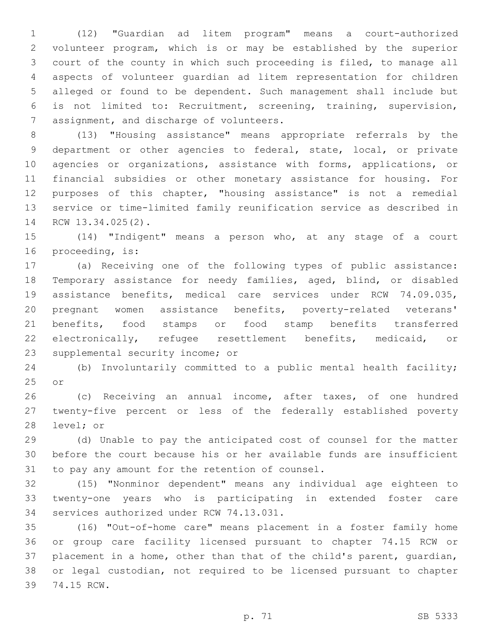(12) "Guardian ad litem program" means a court-authorized volunteer program, which is or may be established by the superior court of the county in which such proceeding is filed, to manage all aspects of volunteer guardian ad litem representation for children alleged or found to be dependent. Such management shall include but is not limited to: Recruitment, screening, training, supervision, 7 assignment, and discharge of volunteers.

 (13) "Housing assistance" means appropriate referrals by the department or other agencies to federal, state, local, or private agencies or organizations, assistance with forms, applications, or financial subsidies or other monetary assistance for housing. For purposes of this chapter, "housing assistance" is not a remedial service or time-limited family reunification service as described in 14 RCW 13.34.025(2).

 (14) "Indigent" means a person who, at any stage of a court 16 proceeding, is:

 (a) Receiving one of the following types of public assistance: Temporary assistance for needy families, aged, blind, or disabled assistance benefits, medical care services under RCW 74.09.035, pregnant women assistance benefits, poverty-related veterans' benefits, food stamps or food stamp benefits transferred electronically, refugee resettlement benefits, medicaid, or 23 supplemental security income; or

 (b) Involuntarily committed to a public mental health facility; or

 (c) Receiving an annual income, after taxes, of one hundred twenty-five percent or less of the federally established poverty 28 level; or

 (d) Unable to pay the anticipated cost of counsel for the matter before the court because his or her available funds are insufficient 31 to pay any amount for the retention of counsel.

 (15) "Nonminor dependent" means any individual age eighteen to twenty-one years who is participating in extended foster care 34 services authorized under RCW 74.13.031.

 (16) "Out-of-home care" means placement in a foster family home or group care facility licensed pursuant to chapter 74.15 RCW or placement in a home, other than that of the child's parent, guardian, or legal custodian, not required to be licensed pursuant to chapter 39 74.15 RCW.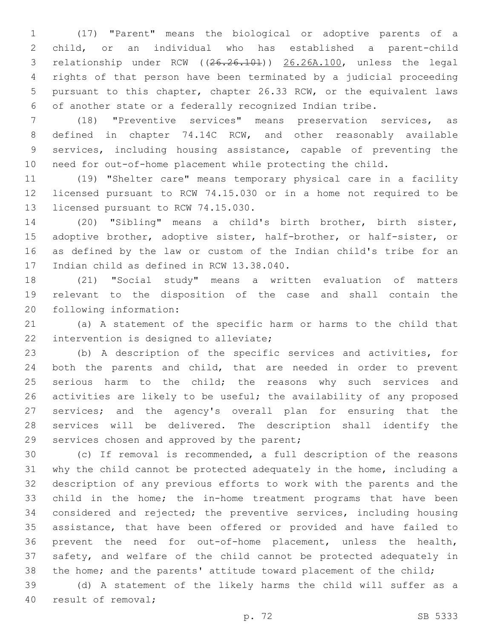(17) "Parent" means the biological or adoptive parents of a child, or an individual who has established a parent-child relationship under RCW ((26.26.101)) 26.26A.100, unless the legal rights of that person have been terminated by a judicial proceeding pursuant to this chapter, chapter 26.33 RCW, or the equivalent laws of another state or a federally recognized Indian tribe.

 (18) "Preventive services" means preservation services, as defined in chapter 74.14C RCW, and other reasonably available services, including housing assistance, capable of preventing the need for out-of-home placement while protecting the child.

 (19) "Shelter care" means temporary physical care in a facility licensed pursuant to RCW 74.15.030 or in a home not required to be 13 licensed pursuant to RCW 74.15.030.

 (20) "Sibling" means a child's birth brother, birth sister, adoptive brother, adoptive sister, half-brother, or half-sister, or as defined by the law or custom of the Indian child's tribe for an 17 Indian child as defined in RCW 13.38.040.

 (21) "Social study" means a written evaluation of matters relevant to the disposition of the case and shall contain the 20 following information:

 (a) A statement of the specific harm or harms to the child that 22 intervention is designed to alleviate;

 (b) A description of the specific services and activities, for both the parents and child, that are needed in order to prevent 25 serious harm to the child; the reasons why such services and activities are likely to be useful; the availability of any proposed services; and the agency's overall plan for ensuring that the services will be delivered. The description shall identify the 29 services chosen and approved by the parent;

 (c) If removal is recommended, a full description of the reasons why the child cannot be protected adequately in the home, including a description of any previous efforts to work with the parents and the 33 child in the home; the in-home treatment programs that have been considered and rejected; the preventive services, including housing assistance, that have been offered or provided and have failed to prevent the need for out-of-home placement, unless the health, safety, and welfare of the child cannot be protected adequately in 38 the home; and the parents' attitude toward placement of the child;

 (d) A statement of the likely harms the child will suffer as a 40 result of removal;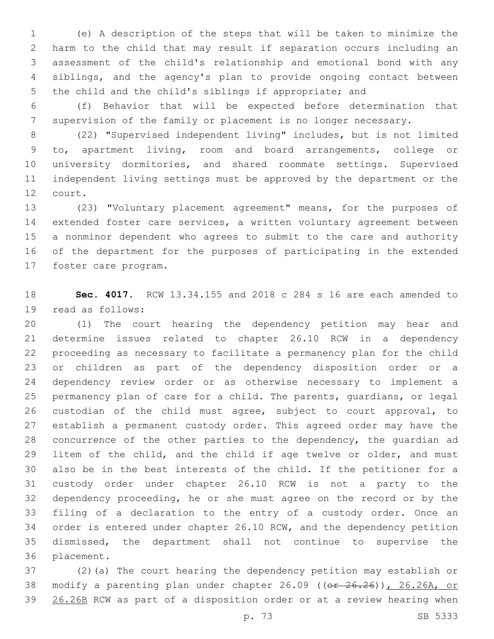(e) A description of the steps that will be taken to minimize the harm to the child that may result if separation occurs including an assessment of the child's relationship and emotional bond with any siblings, and the agency's plan to provide ongoing contact between the child and the child's siblings if appropriate; and

 (f) Behavior that will be expected before determination that supervision of the family or placement is no longer necessary.

 (22) "Supervised independent living" includes, but is not limited to, apartment living, room and board arrangements, college or university dormitories, and shared roommate settings. Supervised independent living settings must be approved by the department or the 12 court.

 (23) "Voluntary placement agreement" means, for the purposes of extended foster care services, a written voluntary agreement between a nonminor dependent who agrees to submit to the care and authority of the department for the purposes of participating in the extended 17 foster care program.

 **Sec. 4017.** RCW 13.34.155 and 2018 c 284 s 16 are each amended to 19 read as follows:

 (1) The court hearing the dependency petition may hear and determine issues related to chapter 26.10 RCW in a dependency proceeding as necessary to facilitate a permanency plan for the child or children as part of the dependency disposition order or a dependency review order or as otherwise necessary to implement a permanency plan of care for a child. The parents, guardians, or legal custodian of the child must agree, subject to court approval, to establish a permanent custody order. This agreed order may have the concurrence of the other parties to the dependency, the guardian ad 29 litem of the child, and the child if age twelve or older, and must also be in the best interests of the child. If the petitioner for a custody order under chapter 26.10 RCW is not a party to the dependency proceeding, he or she must agree on the record or by the filing of a declaration to the entry of a custody order. Once an order is entered under chapter 26.10 RCW, and the dependency petition dismissed, the department shall not continue to supervise the 36 placement.

 (2)(a) The court hearing the dependency petition may establish or 38 modify a parenting plan under chapter 26.09 ((er 26.26)), 26.26A, or 26.26B RCW as part of a disposition order or at a review hearing when

p. 73 SB 5333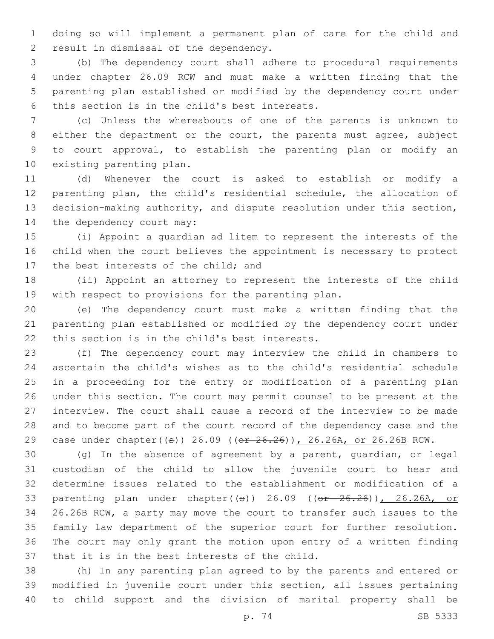doing so will implement a permanent plan of care for the child and 2 result in dismissal of the dependency.

 (b) The dependency court shall adhere to procedural requirements under chapter 26.09 RCW and must make a written finding that the parenting plan established or modified by the dependency court under 6 this section is in the child's best interests.

 (c) Unless the whereabouts of one of the parents is unknown to either the department or the court, the parents must agree, subject to court approval, to establish the parenting plan or modify an 10 existing parenting plan.

 (d) Whenever the court is asked to establish or modify a parenting plan, the child's residential schedule, the allocation of decision-making authority, and dispute resolution under this section, 14 the dependency court may:

 (i) Appoint a guardian ad litem to represent the interests of the child when the court believes the appointment is necessary to protect 17 the best interests of the child; and

 (ii) Appoint an attorney to represent the interests of the child with respect to provisions for the parenting plan.

 (e) The dependency court must make a written finding that the parenting plan established or modified by the dependency court under 22 this section is in the child's best interests.

 (f) The dependency court may interview the child in chambers to ascertain the child's wishes as to the child's residential schedule in a proceeding for the entry or modification of a parenting plan under this section. The court may permit counsel to be present at the interview. The court shall cause a record of the interview to be made and to become part of the court record of the dependency case and the 29 case under chapter((s)) 26.09 ((or 26.26)), 26.26A, or 26.26B RCW.

 (g) In the absence of agreement by a parent, guardian, or legal custodian of the child to allow the juvenile court to hear and determine issues related to the establishment or modification of a 33 parenting plan under chapter( $(\pm)$ ) 26.09 ( $(\theta \pm 26.26)$ ), 26.26A, or 34 26.26B RCW, a party may move the court to transfer such issues to the family law department of the superior court for further resolution. The court may only grant the motion upon entry of a written finding 37 that it is in the best interests of the child.

 (h) In any parenting plan agreed to by the parents and entered or modified in juvenile court under this section, all issues pertaining to child support and the division of marital property shall be

p. 74 SB 5333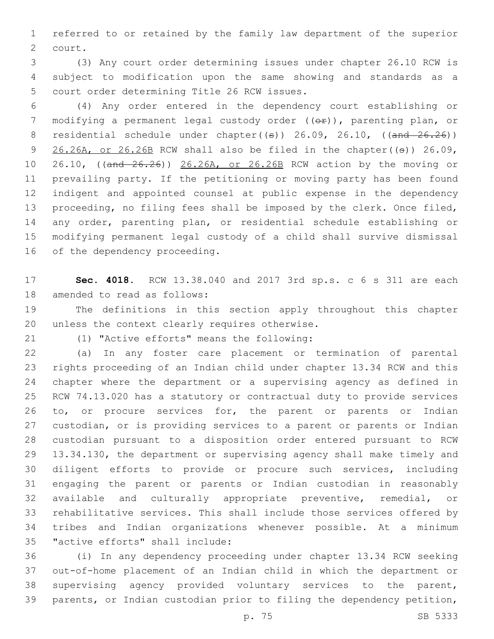referred to or retained by the family law department of the superior 2 court.

 (3) Any court order determining issues under chapter 26.10 RCW is subject to modification upon the same showing and standards as a 5 court order determining Title 26 RCW issues.

 (4) Any order entered in the dependency court establishing or 7 modifying a permanent legal custody order ((ex)), parenting plan, or 8 residential schedule under chapter( $(\theta)$ ) 26.09, 26.10, ( $(\theta$ and 26.26))  $26.26A$ , or  $26.26B$  RCW shall also be filed in the chapter(( $\theta$ )) 26.09, 10 26.10, ((and  $26.26$ )) 26.26A, or 26.26B RCW action by the moving or prevailing party. If the petitioning or moving party has been found indigent and appointed counsel at public expense in the dependency proceeding, no filing fees shall be imposed by the clerk. Once filed, any order, parenting plan, or residential schedule establishing or modifying permanent legal custody of a child shall survive dismissal 16 of the dependency proceeding.

 **Sec. 4018.** RCW 13.38.040 and 2017 3rd sp.s. c 6 s 311 are each 18 amended to read as follows:

 The definitions in this section apply throughout this chapter 20 unless the context clearly requires otherwise.

(1) "Active efforts" means the following:21

 (a) In any foster care placement or termination of parental rights proceeding of an Indian child under chapter 13.34 RCW and this chapter where the department or a supervising agency as defined in RCW 74.13.020 has a statutory or contractual duty to provide services 26 to, or procure services for, the parent or parents or Indian custodian, or is providing services to a parent or parents or Indian custodian pursuant to a disposition order entered pursuant to RCW 13.34.130, the department or supervising agency shall make timely and diligent efforts to provide or procure such services, including engaging the parent or parents or Indian custodian in reasonably available and culturally appropriate preventive, remedial, or rehabilitative services. This shall include those services offered by tribes and Indian organizations whenever possible. At a minimum 35 "active efforts" shall include:

 (i) In any dependency proceeding under chapter 13.34 RCW seeking out-of-home placement of an Indian child in which the department or supervising agency provided voluntary services to the parent, parents, or Indian custodian prior to filing the dependency petition,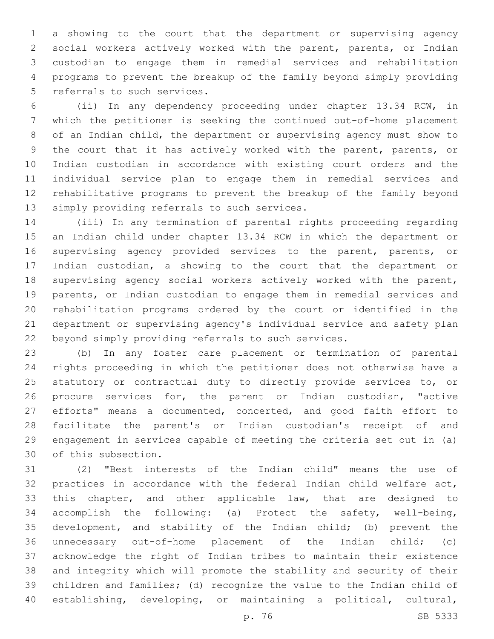a showing to the court that the department or supervising agency social workers actively worked with the parent, parents, or Indian custodian to engage them in remedial services and rehabilitation programs to prevent the breakup of the family beyond simply providing 5 referrals to such services.

 (ii) In any dependency proceeding under chapter 13.34 RCW, in which the petitioner is seeking the continued out-of-home placement of an Indian child, the department or supervising agency must show to the court that it has actively worked with the parent, parents, or Indian custodian in accordance with existing court orders and the individual service plan to engage them in remedial services and rehabilitative programs to prevent the breakup of the family beyond 13 simply providing referrals to such services.

 (iii) In any termination of parental rights proceeding regarding an Indian child under chapter 13.34 RCW in which the department or supervising agency provided services to the parent, parents, or Indian custodian, a showing to the court that the department or supervising agency social workers actively worked with the parent, parents, or Indian custodian to engage them in remedial services and rehabilitation programs ordered by the court or identified in the department or supervising agency's individual service and safety plan beyond simply providing referrals to such services.

 (b) In any foster care placement or termination of parental rights proceeding in which the petitioner does not otherwise have a 25 statutory or contractual duty to directly provide services to, or procure services for, the parent or Indian custodian, "active efforts" means a documented, concerted, and good faith effort to facilitate the parent's or Indian custodian's receipt of and engagement in services capable of meeting the criteria set out in (a) 30 of this subsection.

 (2) "Best interests of the Indian child" means the use of practices in accordance with the federal Indian child welfare act, this chapter, and other applicable law, that are designed to accomplish the following: (a) Protect the safety, well-being, development, and stability of the Indian child; (b) prevent the unnecessary out-of-home placement of the Indian child; (c) acknowledge the right of Indian tribes to maintain their existence and integrity which will promote the stability and security of their children and families; (d) recognize the value to the Indian child of establishing, developing, or maintaining a political, cultural,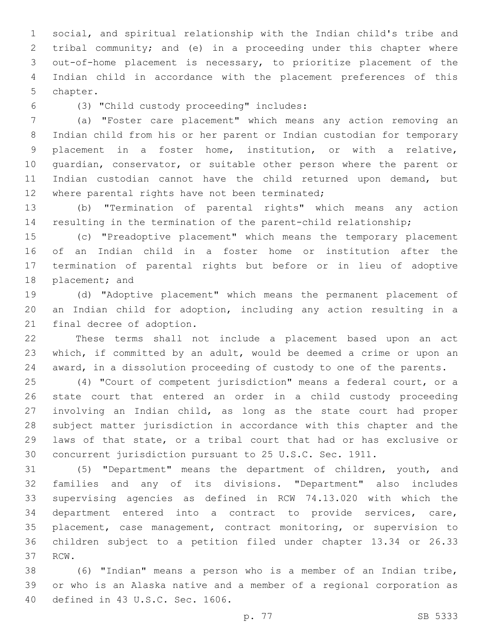social, and spiritual relationship with the Indian child's tribe and tribal community; and (e) in a proceeding under this chapter where out-of-home placement is necessary, to prioritize placement of the Indian child in accordance with the placement preferences of this 5 chapter.

(3) "Child custody proceeding" includes:6

 (a) "Foster care placement" which means any action removing an Indian child from his or her parent or Indian custodian for temporary placement in a foster home, institution, or with a relative, guardian, conservator, or suitable other person where the parent or Indian custodian cannot have the child returned upon demand, but 12 where parental rights have not been terminated;

 (b) "Termination of parental rights" which means any action resulting in the termination of the parent-child relationship;

 (c) "Preadoptive placement" which means the temporary placement of an Indian child in a foster home or institution after the termination of parental rights but before or in lieu of adoptive 18 placement; and

 (d) "Adoptive placement" which means the permanent placement of an Indian child for adoption, including any action resulting in a 21 final decree of adoption.

 These terms shall not include a placement based upon an act which, if committed by an adult, would be deemed a crime or upon an award, in a dissolution proceeding of custody to one of the parents.

 (4) "Court of competent jurisdiction" means a federal court, or a state court that entered an order in a child custody proceeding involving an Indian child, as long as the state court had proper subject matter jurisdiction in accordance with this chapter and the laws of that state, or a tribal court that had or has exclusive or concurrent jurisdiction pursuant to 25 U.S.C. Sec. 1911.

 (5) "Department" means the department of children, youth, and families and any of its divisions. "Department" also includes supervising agencies as defined in RCW 74.13.020 with which the department entered into a contract to provide services, care, placement, case management, contract monitoring, or supervision to children subject to a petition filed under chapter 13.34 or 26.33 37 RCW.

 (6) "Indian" means a person who is a member of an Indian tribe, or who is an Alaska native and a member of a regional corporation as 40 defined in 43 U.S.C. Sec. 1606.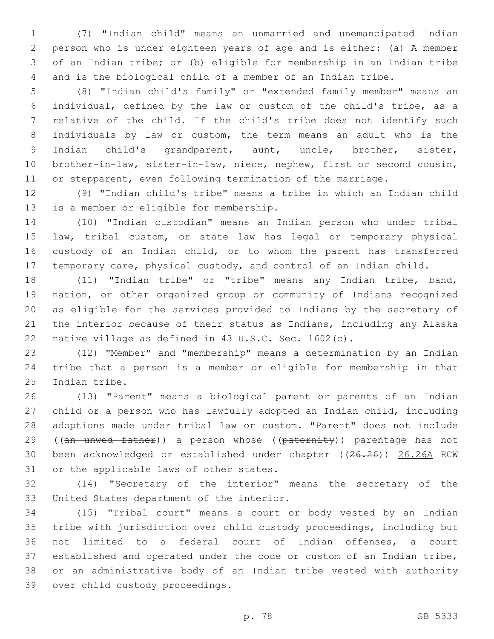(7) "Indian child" means an unmarried and unemancipated Indian person who is under eighteen years of age and is either: (a) A member of an Indian tribe; or (b) eligible for membership in an Indian tribe and is the biological child of a member of an Indian tribe.

 (8) "Indian child's family" or "extended family member" means an individual, defined by the law or custom of the child's tribe, as a relative of the child. If the child's tribe does not identify such individuals by law or custom, the term means an adult who is the Indian child's grandparent, aunt, uncle, brother, sister, brother-in-law, sister-in-law, niece, nephew, first or second cousin, or stepparent, even following termination of the marriage.

 (9) "Indian child's tribe" means a tribe in which an Indian child 13 is a member or eligible for membership.

 (10) "Indian custodian" means an Indian person who under tribal law, tribal custom, or state law has legal or temporary physical 16 custody of an Indian child, or to whom the parent has transferred temporary care, physical custody, and control of an Indian child.

 (11) "Indian tribe" or "tribe" means any Indian tribe, band, nation, or other organized group or community of Indians recognized as eligible for the services provided to Indians by the secretary of the interior because of their status as Indians, including any Alaska native village as defined in 43 U.S.C. Sec. 1602(c).

 (12) "Member" and "membership" means a determination by an Indian tribe that a person is a member or eligible for membership in that 25 Indian tribe.

 (13) "Parent" means a biological parent or parents of an Indian child or a person who has lawfully adopted an Indian child, including adoptions made under tribal law or custom. "Parent" does not include 29 ((an unwed father)) a person whose ((paternity)) parentage has not been acknowledged or established under chapter ((26.26)) 26.26A RCW 31 or the applicable laws of other states.

 (14) "Secretary of the interior" means the secretary of the 33 United States department of the interior.

 (15) "Tribal court" means a court or body vested by an Indian tribe with jurisdiction over child custody proceedings, including but not limited to a federal court of Indian offenses, a court established and operated under the code or custom of an Indian tribe, or an administrative body of an Indian tribe vested with authority 39 over child custody proceedings.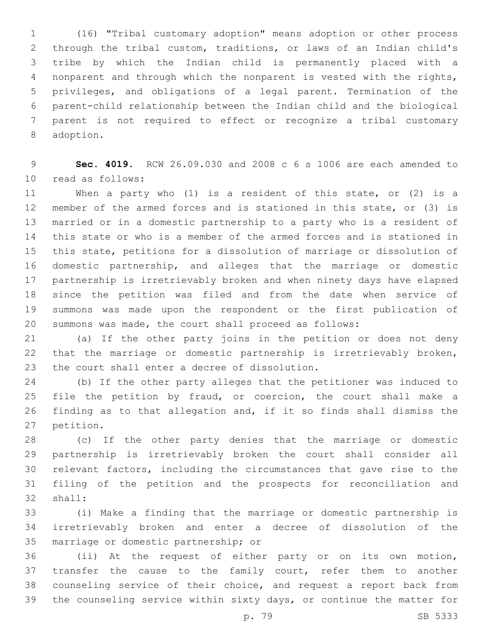(16) "Tribal customary adoption" means adoption or other process through the tribal custom, traditions, or laws of an Indian child's tribe by which the Indian child is permanently placed with a nonparent and through which the nonparent is vested with the rights, privileges, and obligations of a legal parent. Termination of the parent-child relationship between the Indian child and the biological parent is not required to effect or recognize a tribal customary 8 adoption.

 **Sec. 4019.** RCW 26.09.030 and 2008 c 6 s 1006 are each amended to 10 read as follows:

 When a party who (1) is a resident of this state, or (2) is a member of the armed forces and is stationed in this state, or (3) is married or in a domestic partnership to a party who is a resident of this state or who is a member of the armed forces and is stationed in this state, petitions for a dissolution of marriage or dissolution of domestic partnership, and alleges that the marriage or domestic partnership is irretrievably broken and when ninety days have elapsed since the petition was filed and from the date when service of summons was made upon the respondent or the first publication of summons was made, the court shall proceed as follows:

 (a) If the other party joins in the petition or does not deny that the marriage or domestic partnership is irretrievably broken, 23 the court shall enter a decree of dissolution.

 (b) If the other party alleges that the petitioner was induced to file the petition by fraud, or coercion, the court shall make a finding as to that allegation and, if it so finds shall dismiss the 27 petition.

 (c) If the other party denies that the marriage or domestic partnership is irretrievably broken the court shall consider all relevant factors, including the circumstances that gave rise to the filing of the petition and the prospects for reconciliation and 32 shall:

 (i) Make a finding that the marriage or domestic partnership is irretrievably broken and enter a decree of dissolution of the 35 marriage or domestic partnership; or

 (ii) At the request of either party or on its own motion, 37 transfer the cause to the family court, refer them to another counseling service of their choice, and request a report back from the counseling service within sixty days, or continue the matter for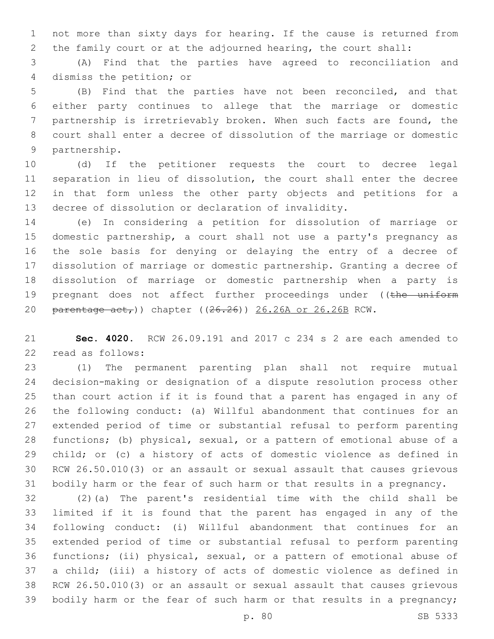not more than sixty days for hearing. If the cause is returned from the family court or at the adjourned hearing, the court shall:

 (A) Find that the parties have agreed to reconciliation and 4 dismiss the petition; or

 (B) Find that the parties have not been reconciled, and that either party continues to allege that the marriage or domestic partnership is irretrievably broken. When such facts are found, the court shall enter a decree of dissolution of the marriage or domestic 9 partnership.

 (d) If the petitioner requests the court to decree legal separation in lieu of dissolution, the court shall enter the decree in that form unless the other party objects and petitions for a decree of dissolution or declaration of invalidity.

 (e) In considering a petition for dissolution of marriage or domestic partnership, a court shall not use a party's pregnancy as the sole basis for denying or delaying the entry of a decree of dissolution of marriage or domestic partnership. Granting a decree of dissolution of marriage or domestic partnership when a party is 19 pregnant does not affect further proceedings under ((the uniform 20 parentage act,)) chapter ((26.26)) 26.26A or 26.26B RCW.

 **Sec. 4020.** RCW 26.09.191 and 2017 c 234 s 2 are each amended to 22 read as follows:

 (1) The permanent parenting plan shall not require mutual decision-making or designation of a dispute resolution process other than court action if it is found that a parent has engaged in any of the following conduct: (a) Willful abandonment that continues for an extended period of time or substantial refusal to perform parenting functions; (b) physical, sexual, or a pattern of emotional abuse of a child; or (c) a history of acts of domestic violence as defined in RCW 26.50.010(3) or an assault or sexual assault that causes grievous bodily harm or the fear of such harm or that results in a pregnancy.

 (2)(a) The parent's residential time with the child shall be limited if it is found that the parent has engaged in any of the following conduct: (i) Willful abandonment that continues for an extended period of time or substantial refusal to perform parenting functions; (ii) physical, sexual, or a pattern of emotional abuse of a child; (iii) a history of acts of domestic violence as defined in RCW 26.50.010(3) or an assault or sexual assault that causes grievous 39 bodily harm or the fear of such harm or that results in a pregnancy;

p. 80 SB 5333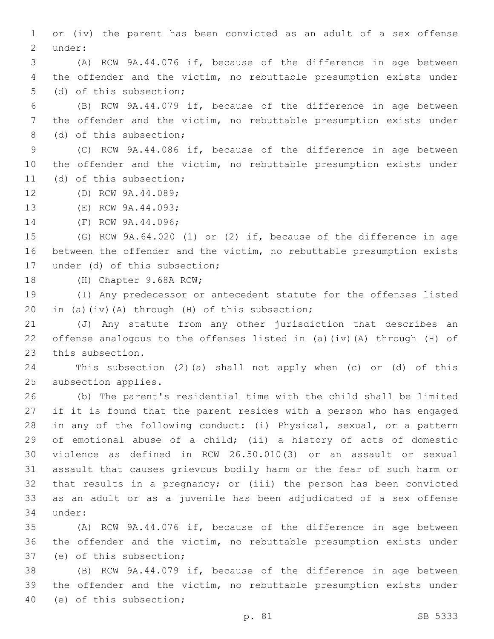or (iv) the parent has been convicted as an adult of a sex offense 2 under:

 (A) RCW 9A.44.076 if, because of the difference in age between the offender and the victim, no rebuttable presumption exists under 5 (d) of this subsection;

 (B) RCW 9A.44.079 if, because of the difference in age between the offender and the victim, no rebuttable presumption exists under 8 (d) of this subsection;

 (C) RCW 9A.44.086 if, because of the difference in age between the offender and the victim, no rebuttable presumption exists under 11 (d) of this subsection;

12 (D) RCW 9A.44.089;

13 (E) RCW 9A.44.093;

14 (F) RCW 9A.44.096;

 (G) RCW 9A.64.020 (1) or (2) if, because of the difference in age between the offender and the victim, no rebuttable presumption exists 17 under (d) of this subsection;

18 (H) Chapter 9.68A RCW;

 (I) Any predecessor or antecedent statute for the offenses listed 20 in (a)(iv)(A) through (H) of this subsection;

 (J) Any statute from any other jurisdiction that describes an offense analogous to the offenses listed in (a)(iv)(A) through (H) of 23 this subsection.

 This subsection (2)(a) shall not apply when (c) or (d) of this 25 subsection applies.

 (b) The parent's residential time with the child shall be limited if it is found that the parent resides with a person who has engaged in any of the following conduct: (i) Physical, sexual, or a pattern of emotional abuse of a child; (ii) a history of acts of domestic violence as defined in RCW 26.50.010(3) or an assault or sexual assault that causes grievous bodily harm or the fear of such harm or that results in a pregnancy; or (iii) the person has been convicted as an adult or as a juvenile has been adjudicated of a sex offense 34 under:

 (A) RCW 9A.44.076 if, because of the difference in age between the offender and the victim, no rebuttable presumption exists under 37 (e) of this subsection;

 (B) RCW 9A.44.079 if, because of the difference in age between the offender and the victim, no rebuttable presumption exists under 40 (e) of this subsection;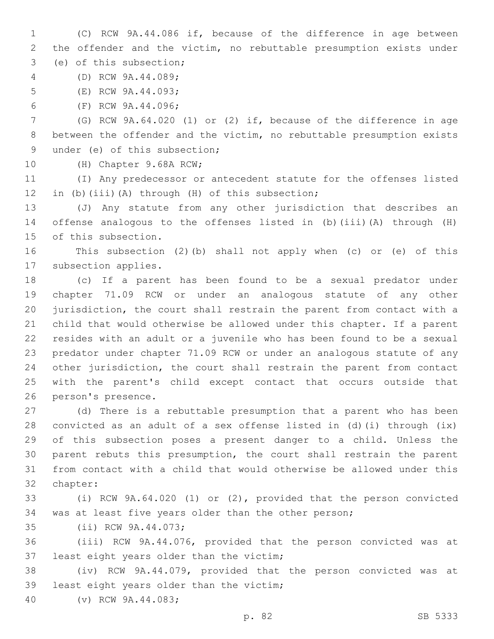(C) RCW 9A.44.086 if, because of the difference in age between the offender and the victim, no rebuttable presumption exists under 3 (e) of this subsection;

(D) RCW 9A.44.089;4

5 (E) RCW 9A.44.093;

6 (F) RCW 9A.44.096;

 (G) RCW 9A.64.020 (1) or (2) if, because of the difference in age between the offender and the victim, no rebuttable presumption exists 9 under (e) of this subsection;

10 (H) Chapter 9.68A RCW;

 (I) Any predecessor or antecedent statute for the offenses listed 12 in (b)(iii)(A) through (H) of this subsection;

 (J) Any statute from any other jurisdiction that describes an offense analogous to the offenses listed in (b)(iii)(A) through (H) 15 of this subsection.

 This subsection (2)(b) shall not apply when (c) or (e) of this 17 subsection applies.

 (c) If a parent has been found to be a sexual predator under chapter 71.09 RCW or under an analogous statute of any other jurisdiction, the court shall restrain the parent from contact with a child that would otherwise be allowed under this chapter. If a parent resides with an adult or a juvenile who has been found to be a sexual predator under chapter 71.09 RCW or under an analogous statute of any other jurisdiction, the court shall restrain the parent from contact with the parent's child except contact that occurs outside that 26 person's presence.

 (d) There is a rebuttable presumption that a parent who has been convicted as an adult of a sex offense listed in (d)(i) through (ix) of this subsection poses a present danger to a child. Unless the parent rebuts this presumption, the court shall restrain the parent from contact with a child that would otherwise be allowed under this 32 chapter:

 (i) RCW 9A.64.020 (1) or (2), provided that the person convicted was at least five years older than the other person;

35 (ii) RCW 9A.44.073;

 (iii) RCW 9A.44.076, provided that the person convicted was at 37 least eight years older than the victim;

 (iv) RCW 9A.44.079, provided that the person convicted was at 39 least eight years older than the victim;

(v) RCW 9A.44.083;40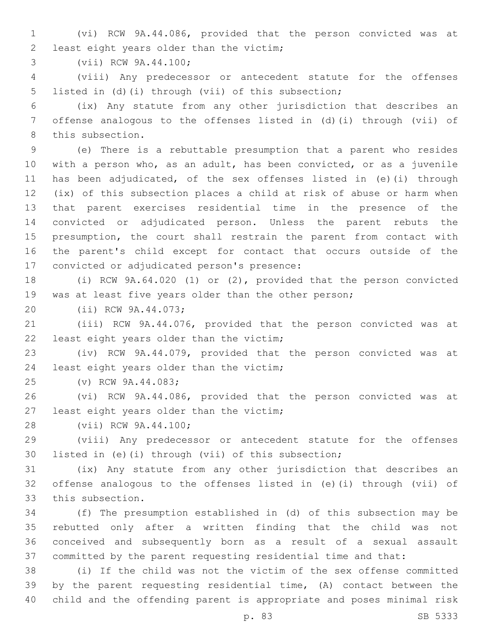(vi) RCW 9A.44.086, provided that the person convicted was at 2 least eight years older than the victim;

3 (vii) RCW 9A.44.100;

 (viii) Any predecessor or antecedent statute for the offenses 5 listed in (d)(i) through (vii) of this subsection;

 (ix) Any statute from any other jurisdiction that describes an offense analogous to the offenses listed in (d)(i) through (vii) of 8 this subsection.

 (e) There is a rebuttable presumption that a parent who resides with a person who, as an adult, has been convicted, or as a juvenile has been adjudicated, of the sex offenses listed in (e)(i) through (ix) of this subsection places a child at risk of abuse or harm when that parent exercises residential time in the presence of the convicted or adjudicated person. Unless the parent rebuts the presumption, the court shall restrain the parent from contact with the parent's child except for contact that occurs outside of the 17 convicted or adjudicated person's presence:

 (i) RCW 9A.64.020 (1) or (2), provided that the person convicted was at least five years older than the other person;

20 (ii) RCW 9A.44.073;

 (iii) RCW 9A.44.076, provided that the person convicted was at 22 least eight years older than the victim;

 (iv) RCW 9A.44.079, provided that the person convicted was at 24 least eight years older than the victim;

25 (v) RCW 9A.44.083;

 (vi) RCW 9A.44.086, provided that the person convicted was at 27 least eight years older than the victim;

28 (vii) RCW 9A.44.100;

 (viii) Any predecessor or antecedent statute for the offenses listed in (e)(i) through (vii) of this subsection;

 (ix) Any statute from any other jurisdiction that describes an offense analogous to the offenses listed in (e)(i) through (vii) of 33 this subsection.

 (f) The presumption established in (d) of this subsection may be rebutted only after a written finding that the child was not conceived and subsequently born as a result of a sexual assault committed by the parent requesting residential time and that:

 (i) If the child was not the victim of the sex offense committed by the parent requesting residential time, (A) contact between the child and the offending parent is appropriate and poses minimal risk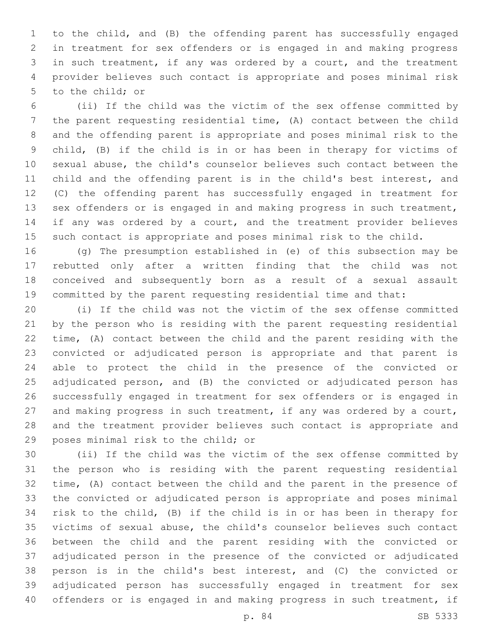to the child, and (B) the offending parent has successfully engaged in treatment for sex offenders or is engaged in and making progress in such treatment, if any was ordered by a court, and the treatment provider believes such contact is appropriate and poses minimal risk 5 to the child; or

 (ii) If the child was the victim of the sex offense committed by the parent requesting residential time, (A) contact between the child and the offending parent is appropriate and poses minimal risk to the child, (B) if the child is in or has been in therapy for victims of sexual abuse, the child's counselor believes such contact between the child and the offending parent is in the child's best interest, and (C) the offending parent has successfully engaged in treatment for sex offenders or is engaged in and making progress in such treatment, 14 if any was ordered by a court, and the treatment provider believes such contact is appropriate and poses minimal risk to the child.

 (g) The presumption established in (e) of this subsection may be rebutted only after a written finding that the child was not conceived and subsequently born as a result of a sexual assault committed by the parent requesting residential time and that:

 (i) If the child was not the victim of the sex offense committed by the person who is residing with the parent requesting residential time, (A) contact between the child and the parent residing with the convicted or adjudicated person is appropriate and that parent is able to protect the child in the presence of the convicted or adjudicated person, and (B) the convicted or adjudicated person has successfully engaged in treatment for sex offenders or is engaged in 27 and making progress in such treatment, if any was ordered by a court, and the treatment provider believes such contact is appropriate and 29 poses minimal risk to the child; or

 (ii) If the child was the victim of the sex offense committed by the person who is residing with the parent requesting residential time, (A) contact between the child and the parent in the presence of the convicted or adjudicated person is appropriate and poses minimal risk to the child, (B) if the child is in or has been in therapy for victims of sexual abuse, the child's counselor believes such contact between the child and the parent residing with the convicted or adjudicated person in the presence of the convicted or adjudicated person is in the child's best interest, and (C) the convicted or adjudicated person has successfully engaged in treatment for sex offenders or is engaged in and making progress in such treatment, if

p. 84 SB 5333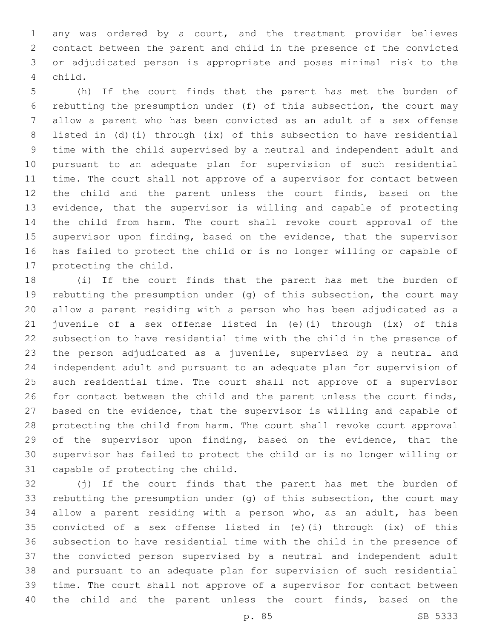any was ordered by a court, and the treatment provider believes contact between the parent and child in the presence of the convicted or adjudicated person is appropriate and poses minimal risk to the child.4

 (h) If the court finds that the parent has met the burden of rebutting the presumption under (f) of this subsection, the court may allow a parent who has been convicted as an adult of a sex offense listed in (d)(i) through (ix) of this subsection to have residential time with the child supervised by a neutral and independent adult and pursuant to an adequate plan for supervision of such residential time. The court shall not approve of a supervisor for contact between the child and the parent unless the court finds, based on the evidence, that the supervisor is willing and capable of protecting the child from harm. The court shall revoke court approval of the 15 supervisor upon finding, based on the evidence, that the supervisor has failed to protect the child or is no longer willing or capable of 17 protecting the child.

 (i) If the court finds that the parent has met the burden of rebutting the presumption under (g) of this subsection, the court may allow a parent residing with a person who has been adjudicated as a juvenile of a sex offense listed in (e)(i) through (ix) of this subsection to have residential time with the child in the presence of the person adjudicated as a juvenile, supervised by a neutral and independent adult and pursuant to an adequate plan for supervision of such residential time. The court shall not approve of a supervisor for contact between the child and the parent unless the court finds, based on the evidence, that the supervisor is willing and capable of protecting the child from harm. The court shall revoke court approval 29 of the supervisor upon finding, based on the evidence, that the supervisor has failed to protect the child or is no longer willing or 31 capable of protecting the child.

 (j) If the court finds that the parent has met the burden of rebutting the presumption under (g) of this subsection, the court may allow a parent residing with a person who, as an adult, has been convicted of a sex offense listed in (e)(i) through (ix) of this subsection to have residential time with the child in the presence of the convicted person supervised by a neutral and independent adult and pursuant to an adequate plan for supervision of such residential time. The court shall not approve of a supervisor for contact between the child and the parent unless the court finds, based on the

p. 85 SB 5333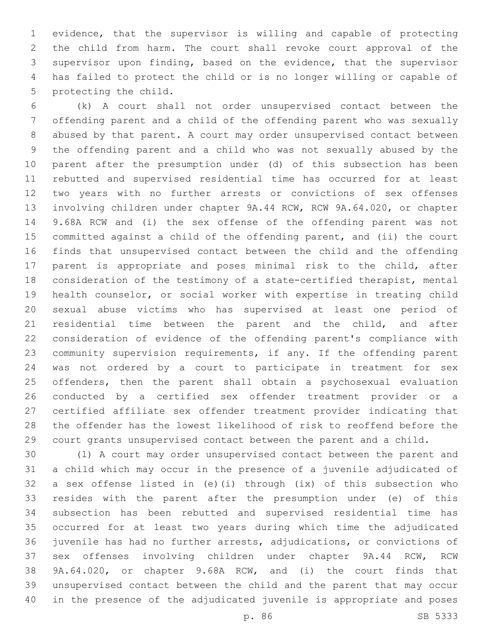evidence, that the supervisor is willing and capable of protecting the child from harm. The court shall revoke court approval of the supervisor upon finding, based on the evidence, that the supervisor has failed to protect the child or is no longer willing or capable of 5 protecting the child.

 (k) A court shall not order unsupervised contact between the offending parent and a child of the offending parent who was sexually abused by that parent. A court may order unsupervised contact between the offending parent and a child who was not sexually abused by the parent after the presumption under (d) of this subsection has been rebutted and supervised residential time has occurred for at least two years with no further arrests or convictions of sex offenses involving children under chapter 9A.44 RCW, RCW 9A.64.020, or chapter 9.68A RCW and (i) the sex offense of the offending parent was not committed against a child of the offending parent, and (ii) the court finds that unsupervised contact between the child and the offending parent is appropriate and poses minimal risk to the child, after consideration of the testimony of a state-certified therapist, mental health counselor, or social worker with expertise in treating child sexual abuse victims who has supervised at least one period of 21 residential time between the parent and the child, and after consideration of evidence of the offending parent's compliance with community supervision requirements, if any. If the offending parent was not ordered by a court to participate in treatment for sex offenders, then the parent shall obtain a psychosexual evaluation conducted by a certified sex offender treatment provider or a certified affiliate sex offender treatment provider indicating that the offender has the lowest likelihood of risk to reoffend before the court grants unsupervised contact between the parent and a child.

 (l) A court may order unsupervised contact between the parent and a child which may occur in the presence of a juvenile adjudicated of a sex offense listed in (e)(i) through (ix) of this subsection who resides with the parent after the presumption under (e) of this subsection has been rebutted and supervised residential time has occurred for at least two years during which time the adjudicated juvenile has had no further arrests, adjudications, or convictions of sex offenses involving children under chapter 9A.44 RCW, RCW 9A.64.020, or chapter 9.68A RCW, and (i) the court finds that unsupervised contact between the child and the parent that may occur in the presence of the adjudicated juvenile is appropriate and poses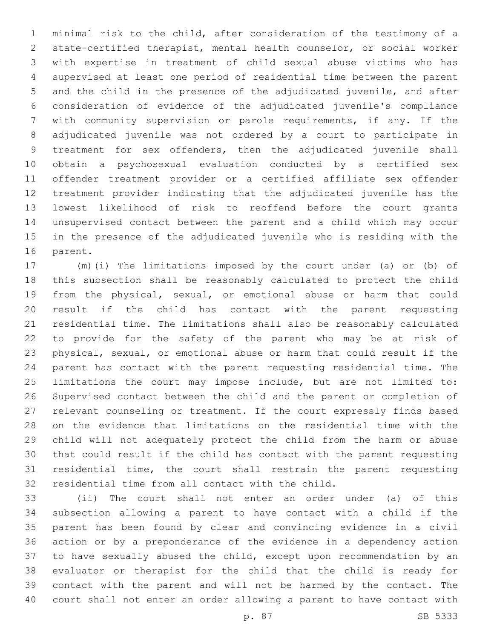minimal risk to the child, after consideration of the testimony of a state-certified therapist, mental health counselor, or social worker with expertise in treatment of child sexual abuse victims who has supervised at least one period of residential time between the parent and the child in the presence of the adjudicated juvenile, and after consideration of evidence of the adjudicated juvenile's compliance with community supervision or parole requirements, if any. If the adjudicated juvenile was not ordered by a court to participate in treatment for sex offenders, then the adjudicated juvenile shall obtain a psychosexual evaluation conducted by a certified sex offender treatment provider or a certified affiliate sex offender treatment provider indicating that the adjudicated juvenile has the lowest likelihood of risk to reoffend before the court grants unsupervised contact between the parent and a child which may occur in the presence of the adjudicated juvenile who is residing with the 16 parent.

 (m)(i) The limitations imposed by the court under (a) or (b) of this subsection shall be reasonably calculated to protect the child from the physical, sexual, or emotional abuse or harm that could result if the child has contact with the parent requesting residential time. The limitations shall also be reasonably calculated to provide for the safety of the parent who may be at risk of physical, sexual, or emotional abuse or harm that could result if the parent has contact with the parent requesting residential time. The limitations the court may impose include, but are not limited to: Supervised contact between the child and the parent or completion of relevant counseling or treatment. If the court expressly finds based on the evidence that limitations on the residential time with the child will not adequately protect the child from the harm or abuse that could result if the child has contact with the parent requesting residential time, the court shall restrain the parent requesting 32 residential time from all contact with the child.

 (ii) The court shall not enter an order under (a) of this subsection allowing a parent to have contact with a child if the parent has been found by clear and convincing evidence in a civil action or by a preponderance of the evidence in a dependency action to have sexually abused the child, except upon recommendation by an evaluator or therapist for the child that the child is ready for contact with the parent and will not be harmed by the contact. The court shall not enter an order allowing a parent to have contact with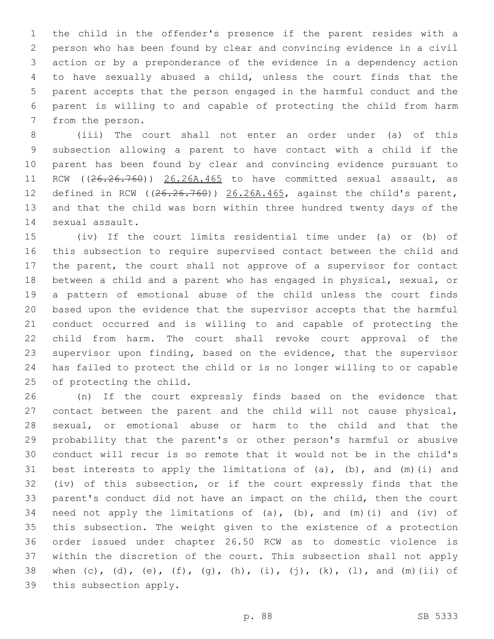the child in the offender's presence if the parent resides with a person who has been found by clear and convincing evidence in a civil action or by a preponderance of the evidence in a dependency action to have sexually abused a child, unless the court finds that the parent accepts that the person engaged in the harmful conduct and the parent is willing to and capable of protecting the child from harm 7 from the person.

 (iii) The court shall not enter an order under (a) of this subsection allowing a parent to have contact with a child if the parent has been found by clear and convincing evidence pursuant to 11 RCW ((26.26.760)) 26.26A.465 to have committed sexual assault, as defined in RCW ((26.26.760)) 26.26A.465, against the child's parent, and that the child was born within three hundred twenty days of the 14 sexual assault.

 (iv) If the court limits residential time under (a) or (b) of this subsection to require supervised contact between the child and the parent, the court shall not approve of a supervisor for contact between a child and a parent who has engaged in physical, sexual, or a pattern of emotional abuse of the child unless the court finds based upon the evidence that the supervisor accepts that the harmful conduct occurred and is willing to and capable of protecting the child from harm. The court shall revoke court approval of the supervisor upon finding, based on the evidence, that the supervisor has failed to protect the child or is no longer willing to or capable 25 of protecting the child.

 (n) If the court expressly finds based on the evidence that contact between the parent and the child will not cause physical, sexual, or emotional abuse or harm to the child and that the probability that the parent's or other person's harmful or abusive conduct will recur is so remote that it would not be in the child's 31 best interests to apply the limitations of  $(a)$ ,  $(b)$ , and  $(m)$  (i) and (iv) of this subsection, or if the court expressly finds that the parent's conduct did not have an impact on the child, then the court 34 need not apply the limitations of (a), (b), and (m)(i) and (iv) of this subsection. The weight given to the existence of a protection order issued under chapter 26.50 RCW as to domestic violence is within the discretion of the court. This subsection shall not apply 38 when (c), (d), (e), (f), (g), (h), (i), (j), (k), (l), and (m)(ii) of 39 this subsection apply.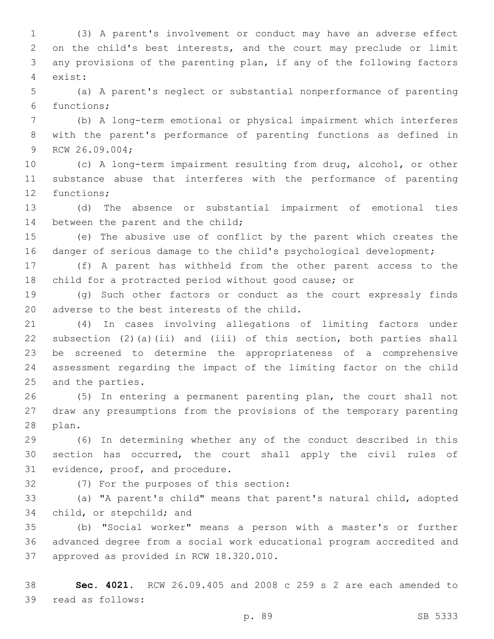(3) A parent's involvement or conduct may have an adverse effect on the child's best interests, and the court may preclude or limit any provisions of the parenting plan, if any of the following factors exist:4

 (a) A parent's neglect or substantial nonperformance of parenting 6 functions;

 (b) A long-term emotional or physical impairment which interferes with the parent's performance of parenting functions as defined in 9 RCW 26.09.004;

 (c) A long-term impairment resulting from drug, alcohol, or other substance abuse that interferes with the performance of parenting 12 functions;

 (d) The absence or substantial impairment of emotional ties 14 between the parent and the child;

 (e) The abusive use of conflict by the parent which creates the 16 danger of serious damage to the child's psychological development;

 (f) A parent has withheld from the other parent access to the child for a protracted period without good cause; or

 (g) Such other factors or conduct as the court expressly finds 20 adverse to the best interests of the child.

 (4) In cases involving allegations of limiting factors under subsection (2)(a)(ii) and (iii) of this section, both parties shall be screened to determine the appropriateness of a comprehensive assessment regarding the impact of the limiting factor on the child 25 and the parties.

 (5) In entering a permanent parenting plan, the court shall not draw any presumptions from the provisions of the temporary parenting 28 plan.

 (6) In determining whether any of the conduct described in this section has occurred, the court shall apply the civil rules of 31 evidence, proof, and procedure.

32 (7) For the purposes of this section:

 (a) "A parent's child" means that parent's natural child, adopted 34 child, or stepchild; and

 (b) "Social worker" means a person with a master's or further advanced degree from a social work educational program accredited and 37 approved as provided in RCW 18.320.010.

 **Sec. 4021.** RCW 26.09.405 and 2008 c 259 s 2 are each amended to 39 read as follows: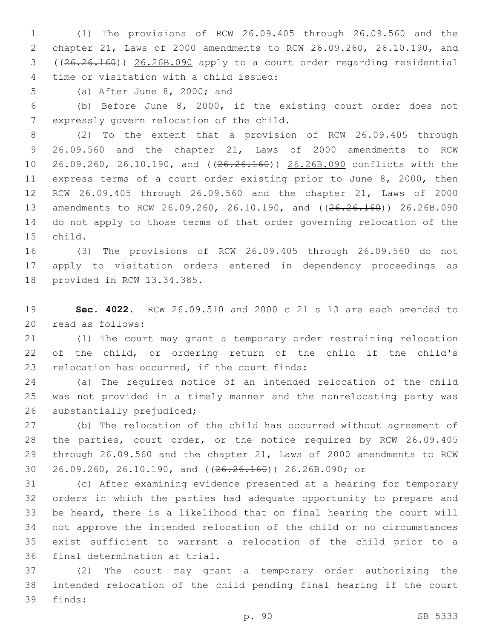(1) The provisions of RCW 26.09.405 through 26.09.560 and the chapter 21, Laws of 2000 amendments to RCW 26.09.260, 26.10.190, and ((26.26.160)) 26.26B.090 apply to a court order regarding residential time or visitation with a child issued:4

5 (a) After June 8, 2000; and

 (b) Before June 8, 2000, if the existing court order does not 7 expressly govern relocation of the child.

 (2) To the extent that a provision of RCW 26.09.405 through 26.09.560 and the chapter 21, Laws of 2000 amendments to RCW 26.09.260, 26.10.190, and ((26.26.160)) 26.26B.090 conflicts with the express terms of a court order existing prior to June 8, 2000, then RCW 26.09.405 through 26.09.560 and the chapter 21, Laws of 2000 13 amendments to RCW 26.09.260, 26.10.190, and ((26.26.160)) 26.26B.090 do not apply to those terms of that order governing relocation of the 15 child.

 (3) The provisions of RCW 26.09.405 through 26.09.560 do not apply to visitation orders entered in dependency proceedings as 18 provided in RCW 13.34.385.

 **Sec. 4022.** RCW 26.09.510 and 2000 c 21 s 13 are each amended to 20 read as follows:

 (1) The court may grant a temporary order restraining relocation of the child, or ordering return of the child if the child's 23 relocation has occurred, if the court finds:

 (a) The required notice of an intended relocation of the child was not provided in a timely manner and the nonrelocating party was 26 substantially prejudiced;

 (b) The relocation of the child has occurred without agreement of the parties, court order, or the notice required by RCW 26.09.405 through 26.09.560 and the chapter 21, Laws of 2000 amendments to RCW 26.09.260, 26.10.190, and ((26.26.160)) 26.26B.090; or

 (c) After examining evidence presented at a hearing for temporary orders in which the parties had adequate opportunity to prepare and be heard, there is a likelihood that on final hearing the court will not approve the intended relocation of the child or no circumstances exist sufficient to warrant a relocation of the child prior to a 36 final determination at trial.

 (2) The court may grant a temporary order authorizing the intended relocation of the child pending final hearing if the court 39 finds: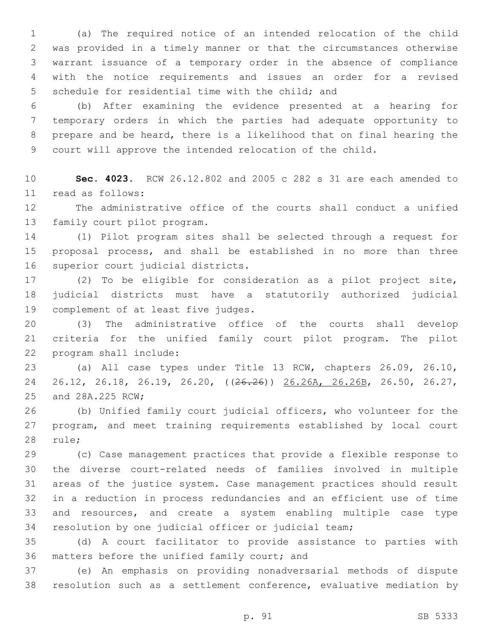(a) The required notice of an intended relocation of the child was provided in a timely manner or that the circumstances otherwise warrant issuance of a temporary order in the absence of compliance with the notice requirements and issues an order for a revised 5 schedule for residential time with the child; and

 (b) After examining the evidence presented at a hearing for temporary orders in which the parties had adequate opportunity to prepare and be heard, there is a likelihood that on final hearing the court will approve the intended relocation of the child.

 **Sec. 4023.** RCW 26.12.802 and 2005 c 282 s 31 are each amended to read as follows:11

 The administrative office of the courts shall conduct a unified 13 family court pilot program.

 (1) Pilot program sites shall be selected through a request for proposal process, and shall be established in no more than three 16 superior court judicial districts.

 (2) To be eligible for consideration as a pilot project site, judicial districts must have a statutorily authorized judicial 19 complement of at least five judges.

 (3) The administrative office of the courts shall develop criteria for the unified family court pilot program. The pilot 22 program shall include:

 (a) All case types under Title 13 RCW, chapters 26.09, 26.10, 24 26.12, 26.18, 26.19, 26.20, ((<del>26.26</del>)) 26.26A, 26.26B, 26.50, 26.27, 25 and 28A.225 RCW;

 (b) Unified family court judicial officers, who volunteer for the program, and meet training requirements established by local court 28 rule;

 (c) Case management practices that provide a flexible response to the diverse court-related needs of families involved in multiple areas of the justice system. Case management practices should result in a reduction in process redundancies and an efficient use of time and resources, and create a system enabling multiple case type resolution by one judicial officer or judicial team;

 (d) A court facilitator to provide assistance to parties with 36 matters before the unified family court; and

 (e) An emphasis on providing nonadversarial methods of dispute resolution such as a settlement conference, evaluative mediation by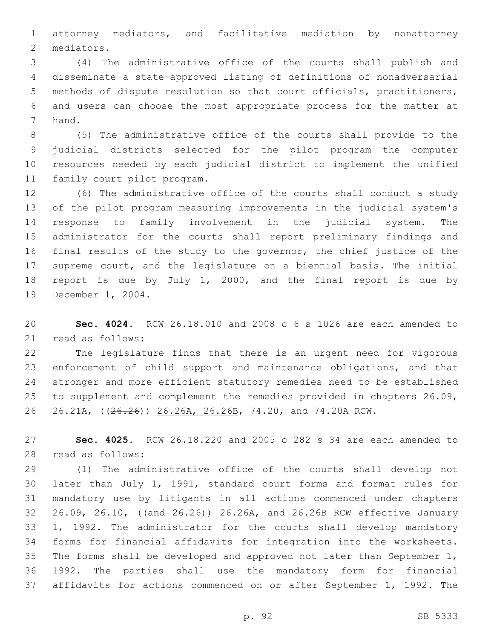attorney mediators, and facilitative mediation by nonattorney 2 mediators.

 (4) The administrative office of the courts shall publish and disseminate a state-approved listing of definitions of nonadversarial methods of dispute resolution so that court officials, practitioners, and users can choose the most appropriate process for the matter at 7 hand.

 (5) The administrative office of the courts shall provide to the judicial districts selected for the pilot program the computer resources needed by each judicial district to implement the unified 11 family court pilot program.

 (6) The administrative office of the courts shall conduct a study of the pilot program measuring improvements in the judicial system's response to family involvement in the judicial system. The administrator for the courts shall report preliminary findings and final results of the study to the governor, the chief justice of the supreme court, and the legislature on a biennial basis. The initial report is due by July 1, 2000, and the final report is due by 19 December 1, 2004.

 **Sec. 4024.** RCW 26.18.010 and 2008 c 6 s 1026 are each amended to 21 read as follows:

 The legislature finds that there is an urgent need for vigorous enforcement of child support and maintenance obligations, and that stronger and more efficient statutory remedies need to be established to supplement and complement the remedies provided in chapters 26.09, 26.21A, ((26.26)) 26.26A, 26.26B, 74.20, and 74.20A RCW.

 **Sec. 4025.** RCW 26.18.220 and 2005 c 282 s 34 are each amended to 28 read as follows:

 (1) The administrative office of the courts shall develop not later than July 1, 1991, standard court forms and format rules for mandatory use by litigants in all actions commenced under chapters 26.09, 26.10, ((and 26.26)) 26.26A, and 26.26B RCW effective January 1, 1992. The administrator for the courts shall develop mandatory forms for financial affidavits for integration into the worksheets. The forms shall be developed and approved not later than September 1, 1992. The parties shall use the mandatory form for financial affidavits for actions commenced on or after September 1, 1992. The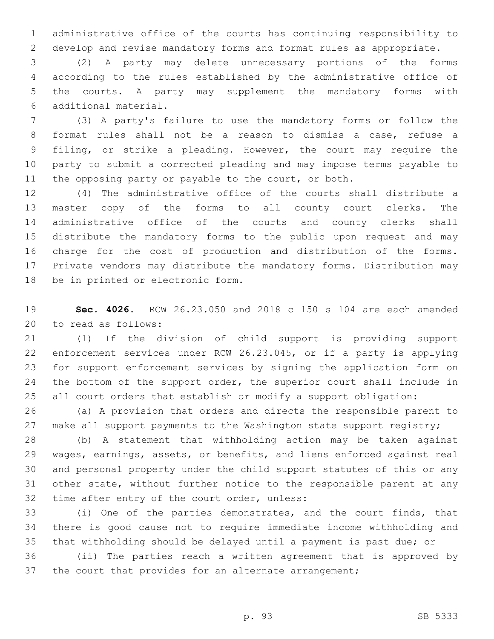administrative office of the courts has continuing responsibility to develop and revise mandatory forms and format rules as appropriate.

 (2) A party may delete unnecessary portions of the forms according to the rules established by the administrative office of the courts. A party may supplement the mandatory forms with additional material.6

 (3) A party's failure to use the mandatory forms or follow the format rules shall not be a reason to dismiss a case, refuse a filing, or strike a pleading. However, the court may require the party to submit a corrected pleading and may impose terms payable to 11 the opposing party or payable to the court, or both.

 (4) The administrative office of the courts shall distribute a master copy of the forms to all county court clerks. The administrative office of the courts and county clerks shall distribute the mandatory forms to the public upon request and may charge for the cost of production and distribution of the forms. Private vendors may distribute the mandatory forms. Distribution may 18 be in printed or electronic form.

 **Sec. 4026.** RCW 26.23.050 and 2018 c 150 s 104 are each amended 20 to read as follows:

 (1) If the division of child support is providing support enforcement services under RCW 26.23.045, or if a party is applying for support enforcement services by signing the application form on 24 the bottom of the support order, the superior court shall include in all court orders that establish or modify a support obligation:

 (a) A provision that orders and directs the responsible parent to 27 make all support payments to the Washington state support registry;

 (b) A statement that withholding action may be taken against wages, earnings, assets, or benefits, and liens enforced against real and personal property under the child support statutes of this or any other state, without further notice to the responsible parent at any 32 time after entry of the court order, unless:

 (i) One of the parties demonstrates, and the court finds, that there is good cause not to require immediate income withholding and that withholding should be delayed until a payment is past due; or

 (ii) The parties reach a written agreement that is approved by 37 the court that provides for an alternate arrangement;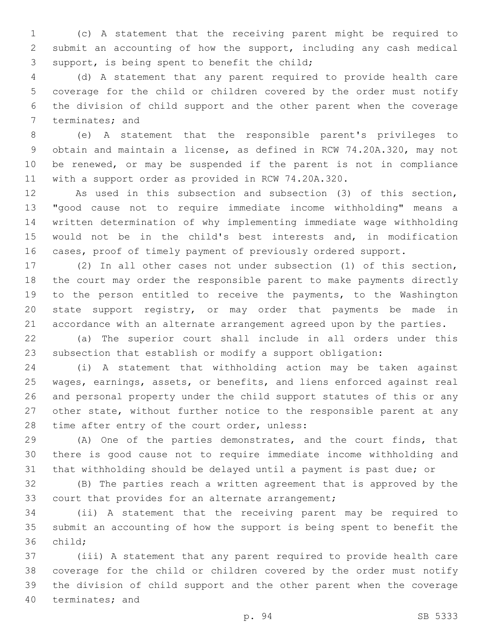(c) A statement that the receiving parent might be required to submit an accounting of how the support, including any cash medical 3 support, is being spent to benefit the child;

 (d) A statement that any parent required to provide health care coverage for the child or children covered by the order must notify the division of child support and the other parent when the coverage 7 terminates; and

 (e) A statement that the responsible parent's privileges to obtain and maintain a license, as defined in RCW 74.20A.320, may not be renewed, or may be suspended if the parent is not in compliance with a support order as provided in RCW 74.20A.320.

 As used in this subsection and subsection (3) of this section, "good cause not to require immediate income withholding" means a written determination of why implementing immediate wage withholding would not be in the child's best interests and, in modification cases, proof of timely payment of previously ordered support.

 (2) In all other cases not under subsection (1) of this section, the court may order the responsible parent to make payments directly to the person entitled to receive the payments, to the Washington state support registry, or may order that payments be made in accordance with an alternate arrangement agreed upon by the parties.

 (a) The superior court shall include in all orders under this subsection that establish or modify a support obligation:

 (i) A statement that withholding action may be taken against wages, earnings, assets, or benefits, and liens enforced against real and personal property under the child support statutes of this or any other state, without further notice to the responsible parent at any 28 time after entry of the court order, unless:

 (A) One of the parties demonstrates, and the court finds, that there is good cause not to require immediate income withholding and that withholding should be delayed until a payment is past due; or

 (B) The parties reach a written agreement that is approved by the 33 court that provides for an alternate arrangement;

 (ii) A statement that the receiving parent may be required to submit an accounting of how the support is being spent to benefit the 36 child;

 (iii) A statement that any parent required to provide health care coverage for the child or children covered by the order must notify the division of child support and the other parent when the coverage 40 terminates; and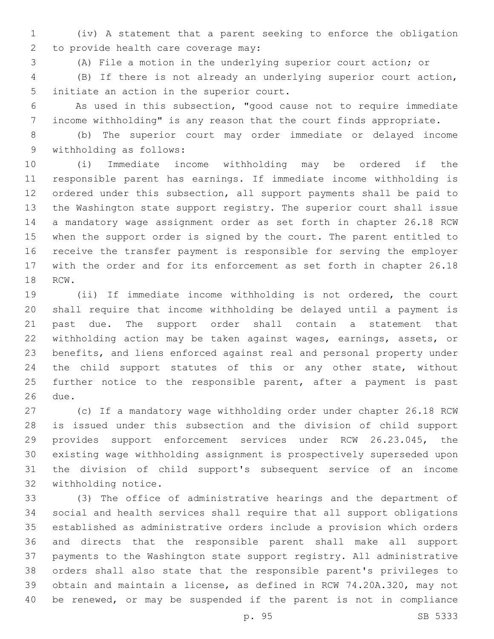(iv) A statement that a parent seeking to enforce the obligation 2 to provide health care coverage may:

(A) File a motion in the underlying superior court action; or

 (B) If there is not already an underlying superior court action, 5 initiate an action in the superior court.

 As used in this subsection, "good cause not to require immediate income withholding" is any reason that the court finds appropriate.

 (b) The superior court may order immediate or delayed income 9 withholding as follows:

 (i) Immediate income withholding may be ordered if the responsible parent has earnings. If immediate income withholding is ordered under this subsection, all support payments shall be paid to the Washington state support registry. The superior court shall issue a mandatory wage assignment order as set forth in chapter 26.18 RCW when the support order is signed by the court. The parent entitled to receive the transfer payment is responsible for serving the employer with the order and for its enforcement as set forth in chapter 26.18 18 RCW.

 (ii) If immediate income withholding is not ordered, the court shall require that income withholding be delayed until a payment is past due. The support order shall contain a statement that withholding action may be taken against wages, earnings, assets, or benefits, and liens enforced against real and personal property under the child support statutes of this or any other state, without 25 further notice to the responsible parent, after a payment is past 26 due.

 (c) If a mandatory wage withholding order under chapter 26.18 RCW is issued under this subsection and the division of child support provides support enforcement services under RCW 26.23.045, the existing wage withholding assignment is prospectively superseded upon the division of child support's subsequent service of an income 32 withholding notice.

 (3) The office of administrative hearings and the department of social and health services shall require that all support obligations established as administrative orders include a provision which orders and directs that the responsible parent shall make all support payments to the Washington state support registry. All administrative orders shall also state that the responsible parent's privileges to obtain and maintain a license, as defined in RCW 74.20A.320, may not be renewed, or may be suspended if the parent is not in compliance

p. 95 SB 5333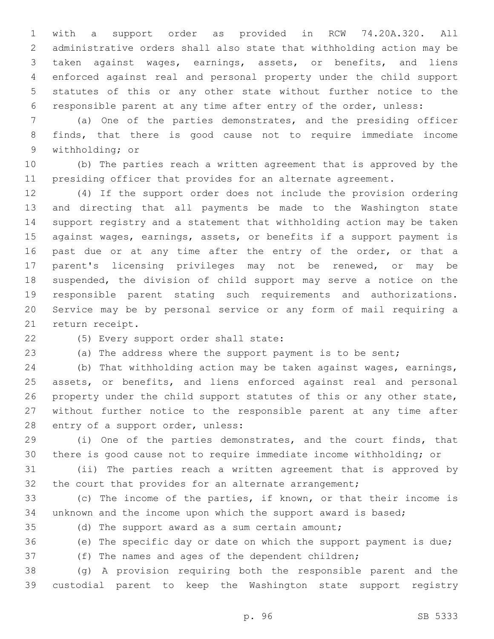with a support order as provided in RCW 74.20A.320. All administrative orders shall also state that withholding action may be taken against wages, earnings, assets, or benefits, and liens enforced against real and personal property under the child support statutes of this or any other state without further notice to the responsible parent at any time after entry of the order, unless:

 (a) One of the parties demonstrates, and the presiding officer finds, that there is good cause not to require immediate income 9 withholding; or

 (b) The parties reach a written agreement that is approved by the presiding officer that provides for an alternate agreement.

 (4) If the support order does not include the provision ordering and directing that all payments be made to the Washington state support registry and a statement that withholding action may be taken against wages, earnings, assets, or benefits if a support payment is 16 past due or at any time after the entry of the order, or that a parent's licensing privileges may not be renewed, or may be suspended, the division of child support may serve a notice on the responsible parent stating such requirements and authorizations. Service may be by personal service or any form of mail requiring a 21 return receipt.

22 (5) Every support order shall state:

(a) The address where the support payment is to be sent;

 (b) That withholding action may be taken against wages, earnings, 25 assets, or benefits, and liens enforced against real and personal 26 property under the child support statutes of this or any other state, without further notice to the responsible parent at any time after 28 entry of a support order, unless:

 (i) One of the parties demonstrates, and the court finds, that there is good cause not to require immediate income withholding; or

 (ii) The parties reach a written agreement that is approved by 32 the court that provides for an alternate arrangement;

 (c) The income of the parties, if known, or that their income is unknown and the income upon which the support award is based;

(d) The support award as a sum certain amount;

(e) The specific day or date on which the support payment is due;

(f) The names and ages of the dependent children;

 (g) A provision requiring both the responsible parent and the custodial parent to keep the Washington state support registry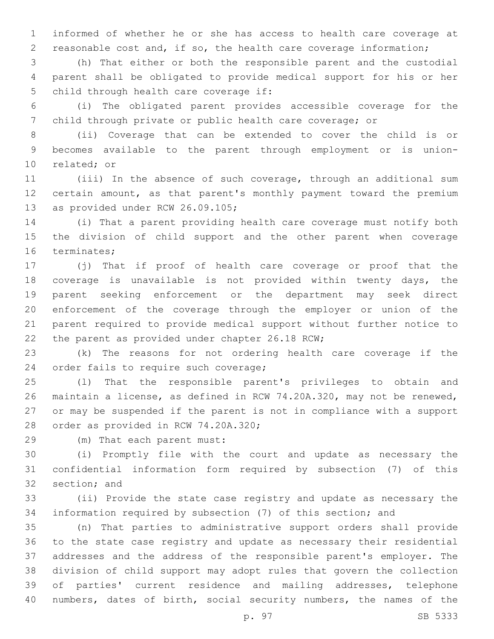informed of whether he or she has access to health care coverage at reasonable cost and, if so, the health care coverage information;

 (h) That either or both the responsible parent and the custodial parent shall be obligated to provide medical support for his or her 5 child through health care coverage if:

 (i) The obligated parent provides accessible coverage for the child through private or public health care coverage; or

 (ii) Coverage that can be extended to cover the child is or becomes available to the parent through employment or is union-10 related; or

 (iii) In the absence of such coverage, through an additional sum certain amount, as that parent's monthly payment toward the premium 13 as provided under RCW 26.09.105;

 (i) That a parent providing health care coverage must notify both the division of child support and the other parent when coverage 16 terminates;

 (j) That if proof of health care coverage or proof that the coverage is unavailable is not provided within twenty days, the parent seeking enforcement or the department may seek direct enforcement of the coverage through the employer or union of the parent required to provide medical support without further notice to 22 the parent as provided under chapter 26.18 RCW;

 (k) The reasons for not ordering health care coverage if the 24 order fails to require such coverage;

 (l) That the responsible parent's privileges to obtain and maintain a license, as defined in RCW 74.20A.320, may not be renewed, or may be suspended if the parent is not in compliance with a support 28 order as provided in RCW 74.20A.320;

(m) That each parent must:29

 (i) Promptly file with the court and update as necessary the confidential information form required by subsection (7) of this 32 section; and

 (ii) Provide the state case registry and update as necessary the information required by subsection (7) of this section; and

 (n) That parties to administrative support orders shall provide to the state case registry and update as necessary their residential addresses and the address of the responsible parent's employer. The division of child support may adopt rules that govern the collection of parties' current residence and mailing addresses, telephone numbers, dates of birth, social security numbers, the names of the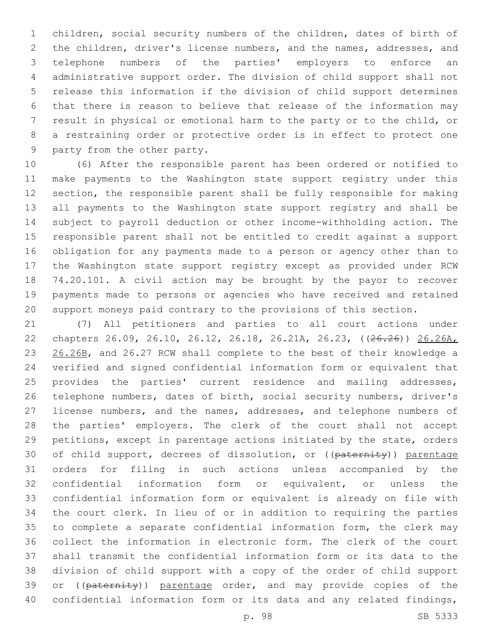children, social security numbers of the children, dates of birth of the children, driver's license numbers, and the names, addresses, and telephone numbers of the parties' employers to enforce an administrative support order. The division of child support shall not release this information if the division of child support determines that there is reason to believe that release of the information may result in physical or emotional harm to the party or to the child, or a restraining order or protective order is in effect to protect one 9 party from the other party.

 (6) After the responsible parent has been ordered or notified to make payments to the Washington state support registry under this section, the responsible parent shall be fully responsible for making all payments to the Washington state support registry and shall be subject to payroll deduction or other income-withholding action. The responsible parent shall not be entitled to credit against a support obligation for any payments made to a person or agency other than to the Washington state support registry except as provided under RCW 74.20.101. A civil action may be brought by the payor to recover payments made to persons or agencies who have received and retained support moneys paid contrary to the provisions of this section.

 (7) All petitioners and parties to all court actions under chapters 26.09, 26.10, 26.12, 26.18, 26.21A, 26.23, ((26.26)) 26.26A, 23 26.26B, and 26.27 RCW shall complete to the best of their knowledge a verified and signed confidential information form or equivalent that provides the parties' current residence and mailing addresses, telephone numbers, dates of birth, social security numbers, driver's license numbers, and the names, addresses, and telephone numbers of the parties' employers. The clerk of the court shall not accept petitions, except in parentage actions initiated by the state, orders 30 of child support, decrees of dissolution, or ((paternity)) parentage orders for filing in such actions unless accompanied by the confidential information form or equivalent, or unless the confidential information form or equivalent is already on file with the court clerk. In lieu of or in addition to requiring the parties to complete a separate confidential information form, the clerk may collect the information in electronic form. The clerk of the court shall transmit the confidential information form or its data to the division of child support with a copy of the order of child support 39 or ((paternity)) parentage order, and may provide copies of the confidential information form or its data and any related findings,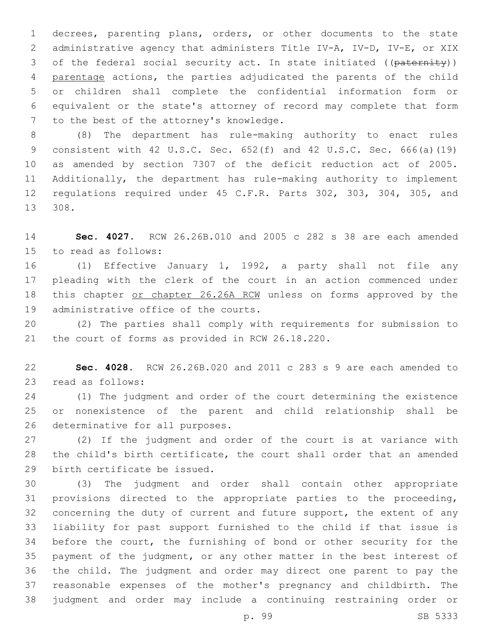decrees, parenting plans, orders, or other documents to the state administrative agency that administers Title IV-A, IV-D, IV-E, or XIX 3 of the federal social security act. In state initiated ((paternity)) parentage actions, the parties adjudicated the parents of the child or children shall complete the confidential information form or equivalent or the state's attorney of record may complete that form 7 to the best of the attorney's knowledge.

 (8) The department has rule-making authority to enact rules consistent with 42 U.S.C. Sec. 652(f) and 42 U.S.C. Sec. 666(a)(19) as amended by section 7307 of the deficit reduction act of 2005. Additionally, the department has rule-making authority to implement regulations required under 45 C.F.R. Parts 302, 303, 304, 305, and 308.13

 **Sec. 4027.** RCW 26.26B.010 and 2005 c 282 s 38 are each amended 15 to read as follows:

 (1) Effective January 1, 1992, a party shall not file any pleading with the clerk of the court in an action commenced under this chapter or chapter 26.26A RCW unless on forms approved by the 19 administrative office of the courts.

 (2) The parties shall comply with requirements for submission to 21 the court of forms as provided in RCW 26.18.220.

 **Sec. 4028.** RCW 26.26B.020 and 2011 c 283 s 9 are each amended to 23 read as follows:

 (1) The judgment and order of the court determining the existence or nonexistence of the parent and child relationship shall be 26 determinative for all purposes.

 (2) If the judgment and order of the court is at variance with the child's birth certificate, the court shall order that an amended 29 birth certificate be issued.

 (3) The judgment and order shall contain other appropriate provisions directed to the appropriate parties to the proceeding, concerning the duty of current and future support, the extent of any liability for past support furnished to the child if that issue is before the court, the furnishing of bond or other security for the payment of the judgment, or any other matter in the best interest of the child. The judgment and order may direct one parent to pay the reasonable expenses of the mother's pregnancy and childbirth. The judgment and order may include a continuing restraining order or

p. 99 SB 5333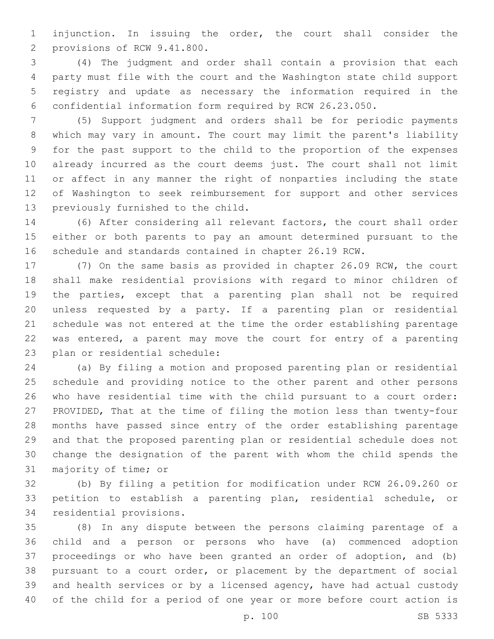injunction. In issuing the order, the court shall consider the 2 provisions of RCW 9.41.800.

 (4) The judgment and order shall contain a provision that each party must file with the court and the Washington state child support registry and update as necessary the information required in the confidential information form required by RCW 26.23.050.

 (5) Support judgment and orders shall be for periodic payments which may vary in amount. The court may limit the parent's liability for the past support to the child to the proportion of the expenses already incurred as the court deems just. The court shall not limit or affect in any manner the right of nonparties including the state of Washington to seek reimbursement for support and other services 13 previously furnished to the child.

 (6) After considering all relevant factors, the court shall order either or both parents to pay an amount determined pursuant to the schedule and standards contained in chapter 26.19 RCW.

 (7) On the same basis as provided in chapter 26.09 RCW, the court shall make residential provisions with regard to minor children of the parties, except that a parenting plan shall not be required unless requested by a party. If a parenting plan or residential schedule was not entered at the time the order establishing parentage was entered, a parent may move the court for entry of a parenting 23 plan or residential schedule:

 (a) By filing a motion and proposed parenting plan or residential schedule and providing notice to the other parent and other persons who have residential time with the child pursuant to a court order: PROVIDED, That at the time of filing the motion less than twenty-four months have passed since entry of the order establishing parentage and that the proposed parenting plan or residential schedule does not change the designation of the parent with whom the child spends the 31 majority of time; or

 (b) By filing a petition for modification under RCW 26.09.260 or petition to establish a parenting plan, residential schedule, or 34 residential provisions.

 (8) In any dispute between the persons claiming parentage of a child and a person or persons who have (a) commenced adoption proceedings or who have been granted an order of adoption, and (b) pursuant to a court order, or placement by the department of social and health services or by a licensed agency, have had actual custody of the child for a period of one year or more before court action is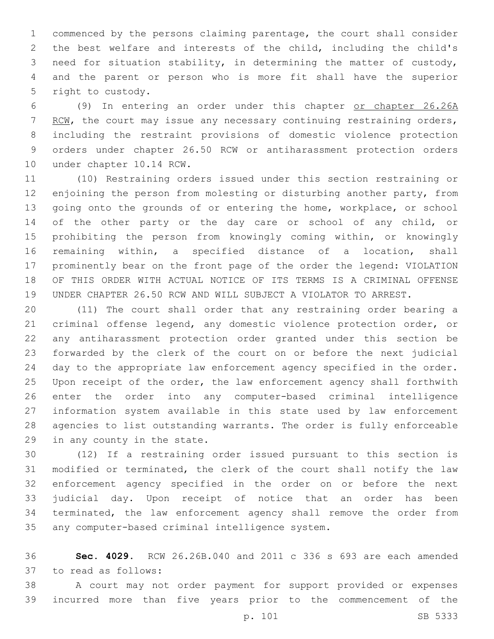commenced by the persons claiming parentage, the court shall consider the best welfare and interests of the child, including the child's need for situation stability, in determining the matter of custody, and the parent or person who is more fit shall have the superior 5 right to custody.

 (9) In entering an order under this chapter or chapter 26.26A 7 RCW, the court may issue any necessary continuing restraining orders, including the restraint provisions of domestic violence protection orders under chapter 26.50 RCW or antiharassment protection orders 10 under chapter 10.14 RCW.

 (10) Restraining orders issued under this section restraining or enjoining the person from molesting or disturbing another party, from going onto the grounds of or entering the home, workplace, or school of the other party or the day care or school of any child, or prohibiting the person from knowingly coming within, or knowingly remaining within, a specified distance of a location, shall prominently bear on the front page of the order the legend: VIOLATION OF THIS ORDER WITH ACTUAL NOTICE OF ITS TERMS IS A CRIMINAL OFFENSE UNDER CHAPTER 26.50 RCW AND WILL SUBJECT A VIOLATOR TO ARREST.

 (11) The court shall order that any restraining order bearing a criminal offense legend, any domestic violence protection order, or any antiharassment protection order granted under this section be forwarded by the clerk of the court on or before the next judicial day to the appropriate law enforcement agency specified in the order. Upon receipt of the order, the law enforcement agency shall forthwith enter the order into any computer-based criminal intelligence information system available in this state used by law enforcement agencies to list outstanding warrants. The order is fully enforceable 29 in any county in the state.

 (12) If a restraining order issued pursuant to this section is modified or terminated, the clerk of the court shall notify the law enforcement agency specified in the order on or before the next judicial day. Upon receipt of notice that an order has been terminated, the law enforcement agency shall remove the order from 35 any computer-based criminal intelligence system.

 **Sec. 4029.** RCW 26.26B.040 and 2011 c 336 s 693 are each amended 37 to read as follows:

 A court may not order payment for support provided or expenses incurred more than five years prior to the commencement of the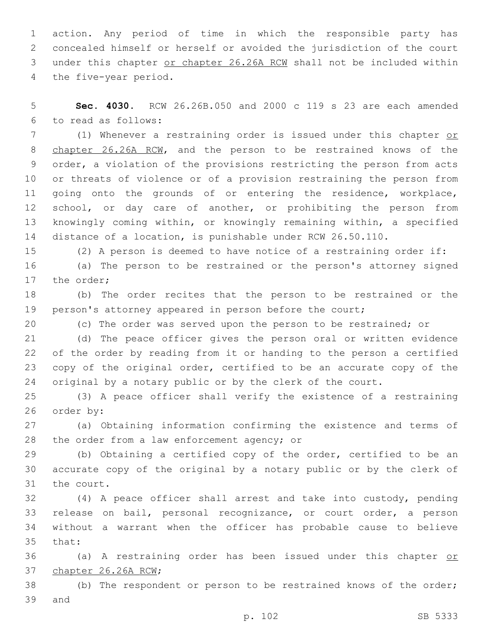action. Any period of time in which the responsible party has concealed himself or herself or avoided the jurisdiction of the court under this chapter or chapter 26.26A RCW shall not be included within 4 the five-year period.

 **Sec. 4030.** RCW 26.26B.050 and 2000 c 119 s 23 are each amended to read as follows:6

 (1) Whenever a restraining order is issued under this chapter or chapter 26.26A RCW, and the person to be restrained knows of the order, a violation of the provisions restricting the person from acts or threats of violence or of a provision restraining the person from going onto the grounds of or entering the residence, workplace, school, or day care of another, or prohibiting the person from knowingly coming within, or knowingly remaining within, a specified distance of a location, is punishable under RCW 26.50.110.

(2) A person is deemed to have notice of a restraining order if:

 (a) The person to be restrained or the person's attorney signed 17 the order;

 (b) The order recites that the person to be restrained or the person's attorney appeared in person before the court;

(c) The order was served upon the person to be restrained; or

 (d) The peace officer gives the person oral or written evidence of the order by reading from it or handing to the person a certified copy of the original order, certified to be an accurate copy of the original by a notary public or by the clerk of the court.

 (3) A peace officer shall verify the existence of a restraining 26 order by:

 (a) Obtaining information confirming the existence and terms of 28 the order from a law enforcement agency; or

 (b) Obtaining a certified copy of the order, certified to be an accurate copy of the original by a notary public or by the clerk of 31 the court.

 (4) A peace officer shall arrest and take into custody, pending release on bail, personal recognizance, or court order, a person without a warrant when the officer has probable cause to believe 35 that:

 (a) A restraining order has been issued under this chapter or 37 chapter 26.26A RCW;

 (b) The respondent or person to be restrained knows of the order; 39 and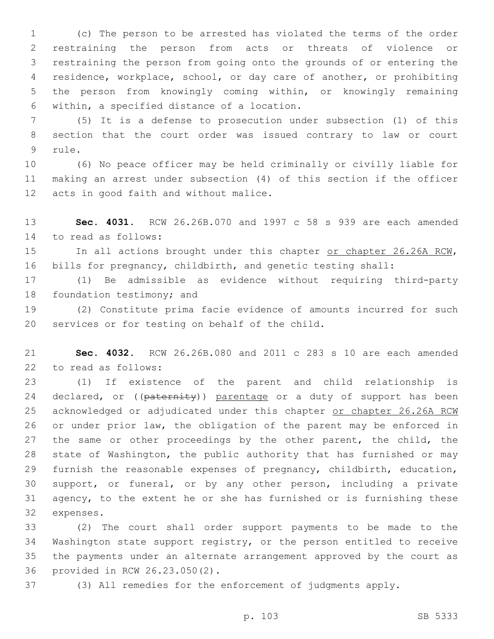(c) The person to be arrested has violated the terms of the order restraining the person from acts or threats of violence or restraining the person from going onto the grounds of or entering the residence, workplace, school, or day care of another, or prohibiting the person from knowingly coming within, or knowingly remaining within, a specified distance of a location.6

 (5) It is a defense to prosecution under subsection (1) of this section that the court order was issued contrary to law or court 9 rule.

 (6) No peace officer may be held criminally or civilly liable for making an arrest under subsection (4) of this section if the officer 12 acts in good faith and without malice.

 **Sec. 4031.** RCW 26.26B.070 and 1997 c 58 s 939 are each amended 14 to read as follows:

15 In all actions brought under this chapter or chapter 26.26A RCW, bills for pregnancy, childbirth, and genetic testing shall:

 (1) Be admissible as evidence without requiring third-party 18 foundation testimony; and

 (2) Constitute prima facie evidence of amounts incurred for such 20 services or for testing on behalf of the child.

 **Sec. 4032.** RCW 26.26B.080 and 2011 c 283 s 10 are each amended 22 to read as follows:

 (1) If existence of the parent and child relationship is 24 declared, or ((paternity)) parentage or a duty of support has been acknowledged or adjudicated under this chapter or chapter 26.26A RCW or under prior law, the obligation of the parent may be enforced in the same or other proceedings by the other parent, the child, the state of Washington, the public authority that has furnished or may furnish the reasonable expenses of pregnancy, childbirth, education, support, or funeral, or by any other person, including a private agency, to the extent he or she has furnished or is furnishing these 32 expenses.

 (2) The court shall order support payments to be made to the Washington state support registry, or the person entitled to receive the payments under an alternate arrangement approved by the court as 36 provided in RCW 26.23.050(2).

(3) All remedies for the enforcement of judgments apply.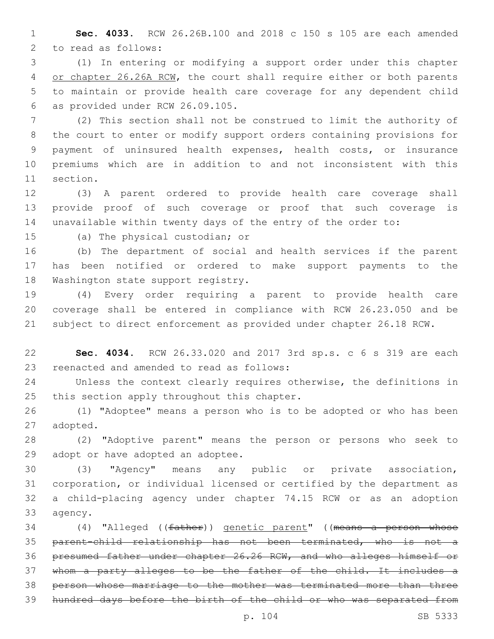**Sec. 4033.** RCW 26.26B.100 and 2018 c 150 s 105 are each amended 2 to read as follows:

 (1) In entering or modifying a support order under this chapter 4 or chapter 26.26A RCW, the court shall require either or both parents to maintain or provide health care coverage for any dependent child as provided under RCW 26.09.105.6

 (2) This section shall not be construed to limit the authority of the court to enter or modify support orders containing provisions for payment of uninsured health expenses, health costs, or insurance premiums which are in addition to and not inconsistent with this 11 section.

 (3) A parent ordered to provide health care coverage shall provide proof of such coverage or proof that such coverage is unavailable within twenty days of the entry of the order to:

15 (a) The physical custodian; or

 (b) The department of social and health services if the parent has been notified or ordered to make support payments to the 18 Washington state support registry.

 (4) Every order requiring a parent to provide health care coverage shall be entered in compliance with RCW 26.23.050 and be subject to direct enforcement as provided under chapter 26.18 RCW.

 **Sec. 4034.** RCW 26.33.020 and 2017 3rd sp.s. c 6 s 319 are each 23 reenacted and amended to read as follows:

 Unless the context clearly requires otherwise, the definitions in 25 this section apply throughout this chapter.

 (1) "Adoptee" means a person who is to be adopted or who has been 27 adopted.

 (2) "Adoptive parent" means the person or persons who seek to 29 adopt or have adopted an adoptee.

 (3) "Agency" means any public or private association, corporation, or individual licensed or certified by the department as a child-placing agency under chapter 74.15 RCW or as an adoption 33 agency.

34 (4) "Alleged ((father)) genetic parent" ((means a person whose parent-child relationship has not been terminated, who is not a presumed father under chapter 26.26 RCW, and who alleges himself or whom a party alleges to be the father of the child. It includes a person whose marriage to the mother was terminated more than three hundred days before the birth of the child or who was separated from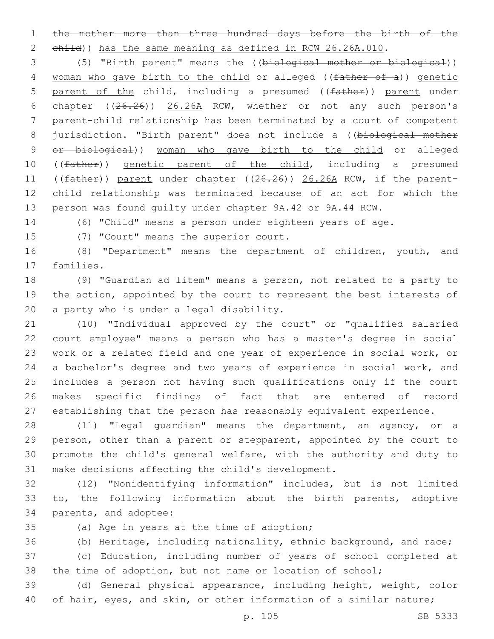the mother more than three hundred days before the birth of the

2 child)) has the same meaning as defined in RCW 26.26A.010.

 (5) "Birth parent" means the ((biological mother or biological)) 4 woman who gave birth to the child or alleged ((father of a)) genetic 5 parent of the child, including a presumed ((father)) parent under chapter ((26.26)) 26.26A RCW, whether or not any such person's parent-child relationship has been terminated by a court of competent 8 jurisdiction. "Birth parent" does not include a ((biological mother 9 or biological)) woman who gave birth to the child or alleged 10 ((father)) genetic parent of the child, including a presumed 11 ((father)) parent under chapter ((26.26)) 26.26A RCW, if the parent- child relationship was terminated because of an act for which the person was found guilty under chapter 9A.42 or 9A.44 RCW.

(6) "Child" means a person under eighteen years of age.

15 (7) "Court" means the superior court.

 (8) "Department" means the department of children, youth, and 17 families.

 (9) "Guardian ad litem" means a person, not related to a party to the action, appointed by the court to represent the best interests of 20 a party who is under a legal disability.

 (10) "Individual approved by the court" or "qualified salaried court employee" means a person who has a master's degree in social work or a related field and one year of experience in social work, or a bachelor's degree and two years of experience in social work, and includes a person not having such qualifications only if the court makes specific findings of fact that are entered of record establishing that the person has reasonably equivalent experience.

 (11) "Legal guardian" means the department, an agency, or a 29 person, other than a parent or stepparent, appointed by the court to promote the child's general welfare, with the authority and duty to 31 make decisions affecting the child's development.

 (12) "Nonidentifying information" includes, but is not limited to, the following information about the birth parents, adoptive 34 parents, and adoptee:

35 (a) Age in years at the time of adoption;

 (b) Heritage, including nationality, ethnic background, and race; (c) Education, including number of years of school completed at

the time of adoption, but not name or location of school;

 (d) General physical appearance, including height, weight, color 40 of hair, eyes, and skin, or other information of a similar nature;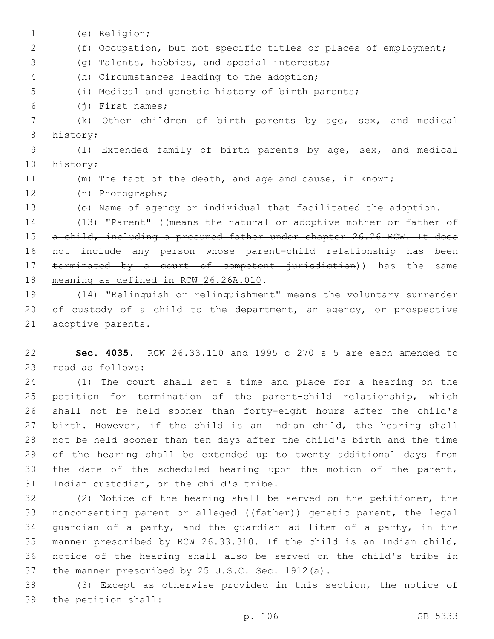(e) Religion;1 2 (f) Occupation, but not specific titles or places of employment; 3 (g) Talents, hobbies, and special interests; (h) Circumstances leading to the adoption;4 5 (i) Medical and genetic history of birth parents; (j) First names;6 7 (k) Other children of birth parents by age, sex, and medical 8 history; 9 (l) Extended family of birth parents by age, sex, and medical 10 history; 11 (m) The fact of the death, and age and cause, if known; (n) Photographs;12 13 (o) Name of agency or individual that facilitated the adoption. 14 (13) "Parent" ((means the natural or adoptive mother or father of 15 a child, including a presumed father under chapter 26.26 RCW. It does 16 not include any person whose parent-child relationship has been 17 terminated by a court of competent jurisdiction)) has the same 18 meaning as defined in RCW 26.26A.010. 19 (14) "Relinquish or relinquishment" means the voluntary surrender

20 of custody of a child to the department, an agency, or prospective 21 adoptive parents.

22 **Sec. 4035.** RCW 26.33.110 and 1995 c 270 s 5 are each amended to 23 read as follows:

 (1) The court shall set a time and place for a hearing on the petition for termination of the parent-child relationship, which shall not be held sooner than forty-eight hours after the child's birth. However, if the child is an Indian child, the hearing shall not be held sooner than ten days after the child's birth and the time of the hearing shall be extended up to twenty additional days from the date of the scheduled hearing upon the motion of the parent, 31 Indian custodian, or the child's tribe.

 (2) Notice of the hearing shall be served on the petitioner, the 33 nonconsenting parent or alleged ((father)) genetic parent, the legal guardian of a party, and the guardian ad litem of a party, in the manner prescribed by RCW 26.33.310. If the child is an Indian child, notice of the hearing shall also be served on the child's tribe in 37 the manner prescribed by 25 U.S.C. Sec. 1912(a).

38 (3) Except as otherwise provided in this section, the notice of 39 the petition shall: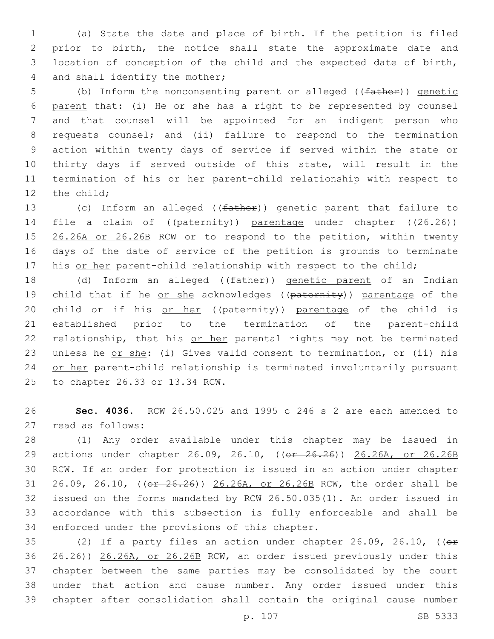(a) State the date and place of birth. If the petition is filed prior to birth, the notice shall state the approximate date and location of conception of the child and the expected date of birth, 4 and shall identify the mother;

5 (b) Inform the nonconsenting parent or alleged ((father)) genetic parent that: (i) He or she has a right to be represented by counsel and that counsel will be appointed for an indigent person who requests counsel; and (ii) failure to respond to the termination action within twenty days of service if served within the state or thirty days if served outside of this state, will result in the termination of his or her parent-child relationship with respect to 12 the child;

13 (c) Inform an alleged ((father)) genetic parent that failure to 14 file a claim of ((paternity)) parentage under chapter ((26.26)) 15 26.26A or 26.26B RCW or to respond to the petition, within twenty 16 days of the date of service of the petition is grounds to terminate 17 his or her parent-child relationship with respect to the child;

18 (d) Inform an alleged ((father)) genetic parent of an Indian 19 child that if he or she acknowledges ((paternity)) parentage of the 20 child or if his or her ((paternity)) parentage of the child is 21 established prior to the termination of the parent-child 22 relationship, that his or her parental rights may not be terminated 23 unless he or she: (i) Gives valid consent to termination, or (ii) his 24 or her parent-child relationship is terminated involuntarily pursuant 25 to chapter 26.33 or 13.34 RCW.

26 **Sec. 4036.** RCW 26.50.025 and 1995 c 246 s 2 are each amended to 27 read as follows:

 (1) Any order available under this chapter may be issued in 29 actions under chapter 26.09, 26.10, ((or 26.26)) 26.26A, or 26.26B RCW. If an order for protection is issued in an action under chapter 26.09, 26.10, ((or 26.26)) 26.26A, or 26.26B RCW, the order shall be issued on the forms mandated by RCW 26.50.035(1). An order issued in accordance with this subsection is fully enforceable and shall be 34 enforced under the provisions of this chapter.

35 (2) If a party files an action under chapter  $26.09$ ,  $26.10$ , (( $\theta$ r 26.26)) 26.26A, or 26.26B RCW, an order issued previously under this chapter between the same parties may be consolidated by the court under that action and cause number. Any order issued under this chapter after consolidation shall contain the original cause number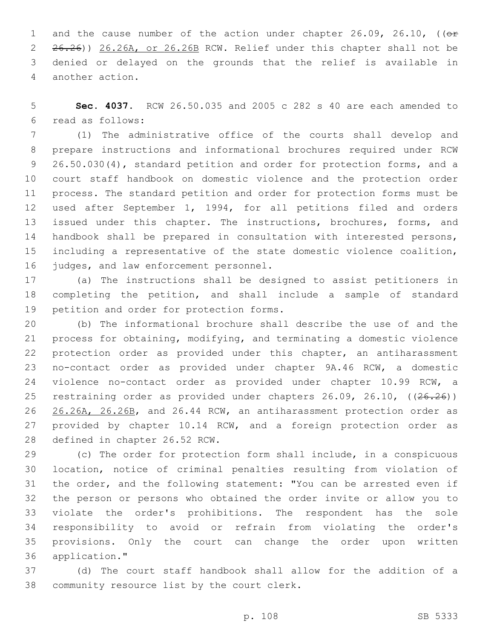1 and the cause number of the action under chapter 26.09, 26.10, ((or 2 26.26)) 26.26A, or 26.26B RCW. Relief under this chapter shall not be denied or delayed on the grounds that the relief is available in 4 another action.

 **Sec. 4037.** RCW 26.50.035 and 2005 c 282 s 40 are each amended to read as follows:6

 (1) The administrative office of the courts shall develop and prepare instructions and informational brochures required under RCW 26.50.030(4), standard petition and order for protection forms, and a court staff handbook on domestic violence and the protection order process. The standard petition and order for protection forms must be used after September 1, 1994, for all petitions filed and orders 13 issued under this chapter. The instructions, brochures, forms, and handbook shall be prepared in consultation with interested persons, including a representative of the state domestic violence coalition, 16 judges, and law enforcement personnel.

 (a) The instructions shall be designed to assist petitioners in completing the petition, and shall include a sample of standard 19 petition and order for protection forms.

 (b) The informational brochure shall describe the use of and the process for obtaining, modifying, and terminating a domestic violence protection order as provided under this chapter, an antiharassment no-contact order as provided under chapter 9A.46 RCW, a domestic violence no-contact order as provided under chapter 10.99 RCW, a 25 restraining order as provided under chapters 26.09, 26.10, ((26.26)) 26.26A, 26.26B, and 26.44 RCW, an antiharassment protection order as 27 provided by chapter 10.14 RCW, and a foreign protection order as 28 defined in chapter 26.52 RCW.

 (c) The order for protection form shall include, in a conspicuous location, notice of criminal penalties resulting from violation of the order, and the following statement: "You can be arrested even if the person or persons who obtained the order invite or allow you to violate the order's prohibitions. The respondent has the sole responsibility to avoid or refrain from violating the order's provisions. Only the court can change the order upon written application."36

 (d) The court staff handbook shall allow for the addition of a 38 community resource list by the court clerk.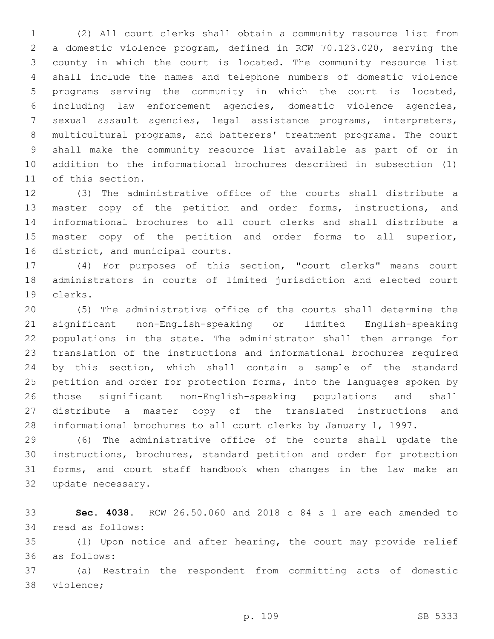(2) All court clerks shall obtain a community resource list from a domestic violence program, defined in RCW 70.123.020, serving the county in which the court is located. The community resource list shall include the names and telephone numbers of domestic violence programs serving the community in which the court is located, including law enforcement agencies, domestic violence agencies, sexual assault agencies, legal assistance programs, interpreters, multicultural programs, and batterers' treatment programs. The court shall make the community resource list available as part of or in addition to the informational brochures described in subsection (1) 11 of this section.

 (3) The administrative office of the courts shall distribute a master copy of the petition and order forms, instructions, and informational brochures to all court clerks and shall distribute a master copy of the petition and order forms to all superior, 16 district, and municipal courts.

 (4) For purposes of this section, "court clerks" means court administrators in courts of limited jurisdiction and elected court clerks.19

 (5) The administrative office of the courts shall determine the significant non-English-speaking or limited English-speaking populations in the state. The administrator shall then arrange for translation of the instructions and informational brochures required by this section, which shall contain a sample of the standard 25 petition and order for protection forms, into the languages spoken by those significant non-English-speaking populations and shall distribute a master copy of the translated instructions and informational brochures to all court clerks by January 1, 1997.

 (6) The administrative office of the courts shall update the instructions, brochures, standard petition and order for protection forms, and court staff handbook when changes in the law make an 32 update necessary.

 **Sec. 4038.** RCW 26.50.060 and 2018 c 84 s 1 are each amended to 34 read as follows:

 (1) Upon notice and after hearing, the court may provide relief as follows:36

 (a) Restrain the respondent from committing acts of domestic 38 violence;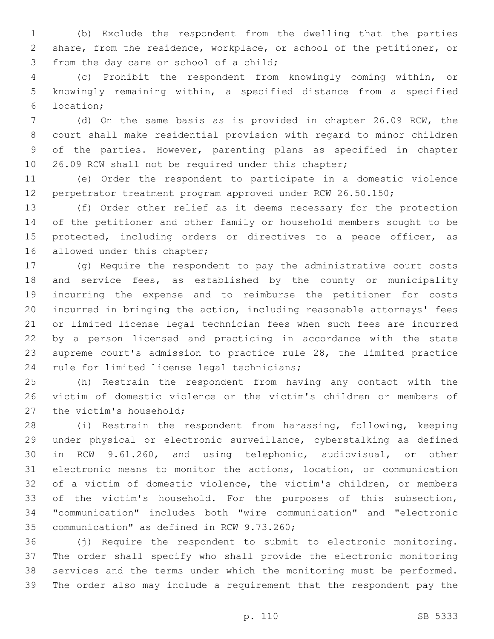(b) Exclude the respondent from the dwelling that the parties share, from the residence, workplace, or school of the petitioner, or 3 from the day care or school of a child;

 (c) Prohibit the respondent from knowingly coming within, or knowingly remaining within, a specified distance from a specified location;6

 (d) On the same basis as is provided in chapter 26.09 RCW, the court shall make residential provision with regard to minor children of the parties. However, parenting plans as specified in chapter 10 26.09 RCW shall not be required under this chapter;

 (e) Order the respondent to participate in a domestic violence perpetrator treatment program approved under RCW 26.50.150;

 (f) Order other relief as it deems necessary for the protection of the petitioner and other family or household members sought to be 15 protected, including orders or directives to a peace officer, as 16 allowed under this chapter;

 (g) Require the respondent to pay the administrative court costs 18 and service fees, as established by the county or municipality incurring the expense and to reimburse the petitioner for costs incurred in bringing the action, including reasonable attorneys' fees or limited license legal technician fees when such fees are incurred by a person licensed and practicing in accordance with the state supreme court's admission to practice rule 28, the limited practice 24 rule for limited license legal technicians;

 (h) Restrain the respondent from having any contact with the victim of domestic violence or the victim's children or members of 27 the victim's household;

 (i) Restrain the respondent from harassing, following, keeping under physical or electronic surveillance, cyberstalking as defined in RCW 9.61.260, and using telephonic, audiovisual, or other electronic means to monitor the actions, location, or communication of a victim of domestic violence, the victim's children, or members of the victim's household. For the purposes of this subsection, "communication" includes both "wire communication" and "electronic 35 communication" as defined in RCW 9.73.260;

 (j) Require the respondent to submit to electronic monitoring. The order shall specify who shall provide the electronic monitoring services and the terms under which the monitoring must be performed. The order also may include a requirement that the respondent pay the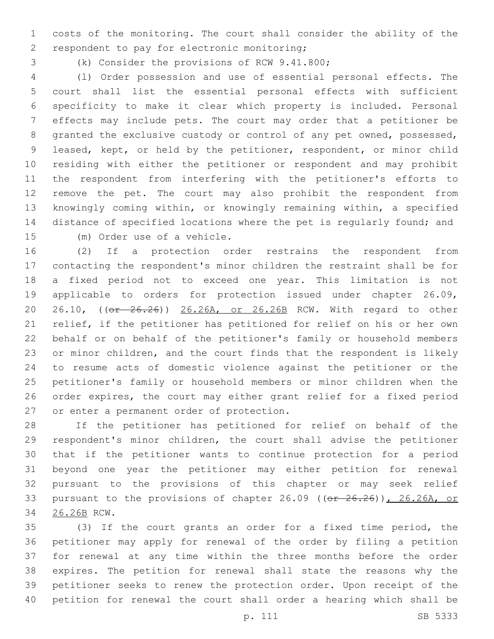costs of the monitoring. The court shall consider the ability of the 2 respondent to pay for electronic monitoring;

3 (k) Consider the provisions of RCW 9.41.800;

 (l) Order possession and use of essential personal effects. The court shall list the essential personal effects with sufficient specificity to make it clear which property is included. Personal effects may include pets. The court may order that a petitioner be granted the exclusive custody or control of any pet owned, possessed, leased, kept, or held by the petitioner, respondent, or minor child residing with either the petitioner or respondent and may prohibit the respondent from interfering with the petitioner's efforts to remove the pet. The court may also prohibit the respondent from knowingly coming within, or knowingly remaining within, a specified distance of specified locations where the pet is regularly found; and 15 (m) Order use of a vehicle.

 (2) If a protection order restrains the respondent from contacting the respondent's minor children the restraint shall be for a fixed period not to exceed one year. This limitation is not applicable to orders for protection issued under chapter 26.09, 20 26.10, (( $\sigma$  26.26)) 26.26A, or 26.26B RCW. With regard to other relief, if the petitioner has petitioned for relief on his or her own behalf or on behalf of the petitioner's family or household members or minor children, and the court finds that the respondent is likely to resume acts of domestic violence against the petitioner or the petitioner's family or household members or minor children when the order expires, the court may either grant relief for a fixed period 27 or enter a permanent order of protection.

 If the petitioner has petitioned for relief on behalf of the respondent's minor children, the court shall advise the petitioner that if the petitioner wants to continue protection for a period beyond one year the petitioner may either petition for renewal pursuant to the provisions of this chapter or may seek relief 33 pursuant to the provisions of chapter 26.09 ((or 26.26)), 26.26A, or 26.26B RCW.34

 (3) If the court grants an order for a fixed time period, the petitioner may apply for renewal of the order by filing a petition for renewal at any time within the three months before the order expires. The petition for renewal shall state the reasons why the petitioner seeks to renew the protection order. Upon receipt of the petition for renewal the court shall order a hearing which shall be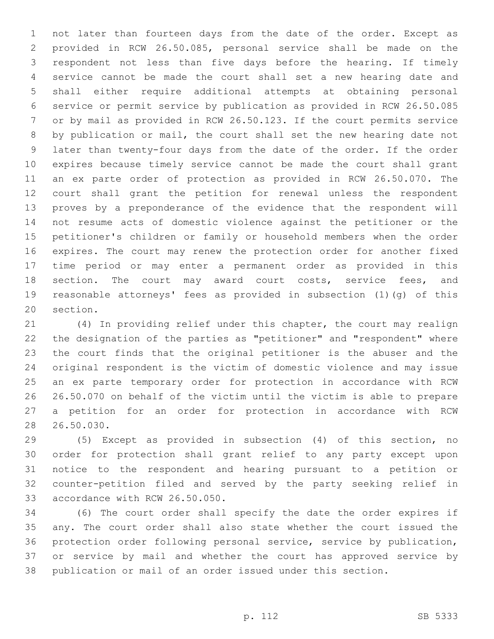not later than fourteen days from the date of the order. Except as provided in RCW 26.50.085, personal service shall be made on the respondent not less than five days before the hearing. If timely service cannot be made the court shall set a new hearing date and shall either require additional attempts at obtaining personal service or permit service by publication as provided in RCW 26.50.085 or by mail as provided in RCW 26.50.123. If the court permits service by publication or mail, the court shall set the new hearing date not later than twenty-four days from the date of the order. If the order expires because timely service cannot be made the court shall grant an ex parte order of protection as provided in RCW 26.50.070. The court shall grant the petition for renewal unless the respondent proves by a preponderance of the evidence that the respondent will not resume acts of domestic violence against the petitioner or the petitioner's children or family or household members when the order expires. The court may renew the protection order for another fixed time period or may enter a permanent order as provided in this 18 section. The court may award court costs, service fees, and reasonable attorneys' fees as provided in subsection (1)(g) of this 20 section.

 (4) In providing relief under this chapter, the court may realign the designation of the parties as "petitioner" and "respondent" where the court finds that the original petitioner is the abuser and the original respondent is the victim of domestic violence and may issue an ex parte temporary order for protection in accordance with RCW 26.50.070 on behalf of the victim until the victim is able to prepare a petition for an order for protection in accordance with RCW 26.50.030.

 (5) Except as provided in subsection (4) of this section, no order for protection shall grant relief to any party except upon notice to the respondent and hearing pursuant to a petition or counter-petition filed and served by the party seeking relief in 33 accordance with RCW 26.50.050.

 (6) The court order shall specify the date the order expires if any. The court order shall also state whether the court issued the protection order following personal service, service by publication, or service by mail and whether the court has approved service by publication or mail of an order issued under this section.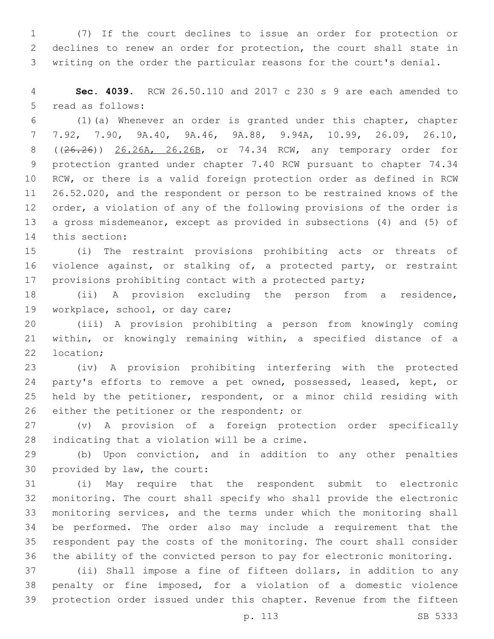(7) If the court declines to issue an order for protection or declines to renew an order for protection, the court shall state in writing on the order the particular reasons for the court's denial.

 **Sec. 4039.** RCW 26.50.110 and 2017 c 230 s 9 are each amended to 5 read as follows:

 (1)(a) Whenever an order is granted under this chapter, chapter 7.92, 7.90, 9A.40, 9A.46, 9A.88, 9.94A, 10.99, 26.09, 26.10, ((26.26)) 26.26A, 26.26B, or 74.34 RCW, any temporary order for protection granted under chapter 7.40 RCW pursuant to chapter 74.34 RCW, or there is a valid foreign protection order as defined in RCW 26.52.020, and the respondent or person to be restrained knows of the order, a violation of any of the following provisions of the order is a gross misdemeanor, except as provided in subsections (4) and (5) of 14 this section:

 (i) The restraint provisions prohibiting acts or threats of violence against, or stalking of, a protected party, or restraint provisions prohibiting contact with a protected party;

 (ii) A provision excluding the person from a residence, 19 workplace, school, or day care;

 (iii) A provision prohibiting a person from knowingly coming within, or knowingly remaining within, a specified distance of a 22 location;

 (iv) A provision prohibiting interfering with the protected 24 party's efforts to remove a pet owned, possessed, leased, kept, or held by the petitioner, respondent, or a minor child residing with 26 either the petitioner or the respondent; or

 (v) A provision of a foreign protection order specifically 28 indicating that a violation will be a crime.

 (b) Upon conviction, and in addition to any other penalties 30 provided by law, the court:

 (i) May require that the respondent submit to electronic monitoring. The court shall specify who shall provide the electronic monitoring services, and the terms under which the monitoring shall be performed. The order also may include a requirement that the respondent pay the costs of the monitoring. The court shall consider the ability of the convicted person to pay for electronic monitoring.

 (ii) Shall impose a fine of fifteen dollars, in addition to any penalty or fine imposed, for a violation of a domestic violence protection order issued under this chapter. Revenue from the fifteen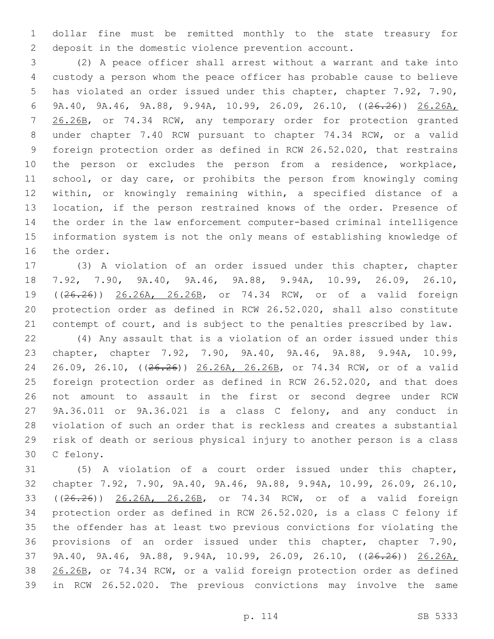dollar fine must be remitted monthly to the state treasury for deposit in the domestic violence prevention account.

 (2) A peace officer shall arrest without a warrant and take into custody a person whom the peace officer has probable cause to believe has violated an order issued under this chapter, chapter 7.92, 7.90, 9A.40, 9A.46, 9A.88, 9.94A, 10.99, 26.09, 26.10, ((26.26)) 26.26A, 7 26.26B, or 74.34 RCW, any temporary order for protection granted under chapter 7.40 RCW pursuant to chapter 74.34 RCW, or a valid foreign protection order as defined in RCW 26.52.020, that restrains the person or excludes the person from a residence, workplace, school, or day care, or prohibits the person from knowingly coming within, or knowingly remaining within, a specified distance of a location, if the person restrained knows of the order. Presence of the order in the law enforcement computer-based criminal intelligence information system is not the only means of establishing knowledge of 16 the order.

 (3) A violation of an order issued under this chapter, chapter 7.92, 7.90, 9A.40, 9A.46, 9A.88, 9.94A, 10.99, 26.09, 26.10, ((26.26)) 26.26A, 26.26B, or 74.34 RCW, or of a valid foreign protection order as defined in RCW 26.52.020, shall also constitute contempt of court, and is subject to the penalties prescribed by law.

 (4) Any assault that is a violation of an order issued under this chapter, chapter 7.92, 7.90, 9A.40, 9A.46, 9A.88, 9.94A, 10.99, 24 26.09, 26.10, ((26.26)) 26.26A, 26.26B, or 74.34 RCW, or of a valid foreign protection order as defined in RCW 26.52.020, and that does not amount to assault in the first or second degree under RCW 9A.36.011 or 9A.36.021 is a class C felony, and any conduct in violation of such an order that is reckless and creates a substantial risk of death or serious physical injury to another person is a class 30 C felony.

 (5) A violation of a court order issued under this chapter, chapter 7.92, 7.90, 9A.40, 9A.46, 9A.88, 9.94A, 10.99, 26.09, 26.10, ((26.26)) 26.26A, 26.26B, or 74.34 RCW, or of a valid foreign protection order as defined in RCW 26.52.020, is a class C felony if the offender has at least two previous convictions for violating the provisions of an order issued under this chapter, chapter 7.90, 9A.40, 9A.46, 9A.88, 9.94A, 10.99, 26.09, 26.10, ((26.26)) 26.26A, 38 26.26B, or 74.34 RCW, or a valid foreign protection order as defined in RCW 26.52.020. The previous convictions may involve the same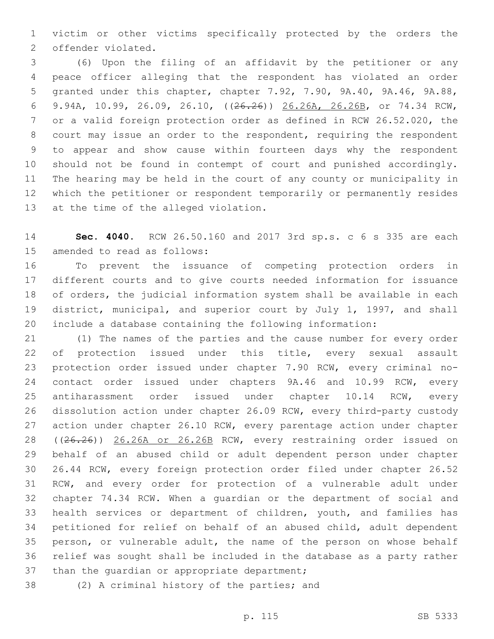victim or other victims specifically protected by the orders the 2 offender violated.

 (6) Upon the filing of an affidavit by the petitioner or any peace officer alleging that the respondent has violated an order granted under this chapter, chapter 7.92, 7.90, 9A.40, 9A.46, 9A.88, 9.94A, 10.99, 26.09, 26.10, ((26.26)) 26.26A, 26.26B, or 74.34 RCW, or a valid foreign protection order as defined in RCW 26.52.020, the court may issue an order to the respondent, requiring the respondent to appear and show cause within fourteen days why the respondent should not be found in contempt of court and punished accordingly. The hearing may be held in the court of any county or municipality in which the petitioner or respondent temporarily or permanently resides 13 at the time of the alleged violation.

 **Sec. 4040.** RCW 26.50.160 and 2017 3rd sp.s. c 6 s 335 are each 15 amended to read as follows:

 To prevent the issuance of competing protection orders in different courts and to give courts needed information for issuance of orders, the judicial information system shall be available in each district, municipal, and superior court by July 1, 1997, and shall include a database containing the following information:

 (1) The names of the parties and the cause number for every order 22 of protection issued under this title, every sexual assault protection order issued under chapter 7.90 RCW, every criminal no- contact order issued under chapters 9A.46 and 10.99 RCW, every antiharassment order issued under chapter 10.14 RCW, every dissolution action under chapter 26.09 RCW, every third-party custody 27 action under chapter 26.10 RCW, every parentage action under chapter ((26.26)) 26.26A or 26.26B RCW, every restraining order issued on behalf of an abused child or adult dependent person under chapter 26.44 RCW, every foreign protection order filed under chapter 26.52 RCW, and every order for protection of a vulnerable adult under chapter 74.34 RCW. When a guardian or the department of social and health services or department of children, youth, and families has petitioned for relief on behalf of an abused child, adult dependent person, or vulnerable adult, the name of the person on whose behalf relief was sought shall be included in the database as a party rather 37 than the quardian or appropriate department;

38 (2) A criminal history of the parties; and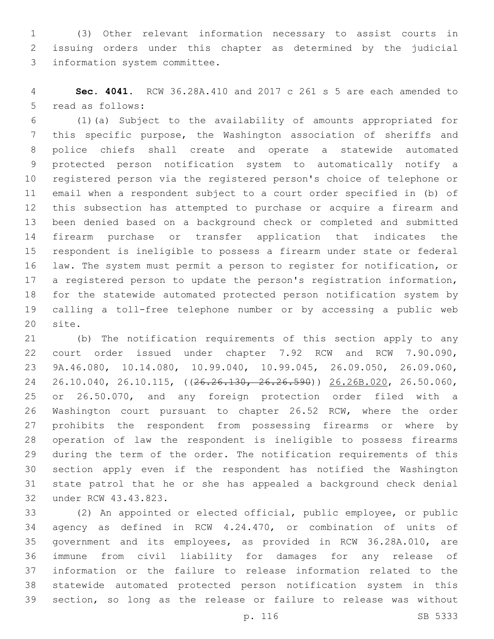(3) Other relevant information necessary to assist courts in issuing orders under this chapter as determined by the judicial 3 information system committee.

 **Sec. 4041.** RCW 36.28A.410 and 2017 c 261 s 5 are each amended to 5 read as follows:

 (1)(a) Subject to the availability of amounts appropriated for this specific purpose, the Washington association of sheriffs and police chiefs shall create and operate a statewide automated protected person notification system to automatically notify a registered person via the registered person's choice of telephone or email when a respondent subject to a court order specified in (b) of this subsection has attempted to purchase or acquire a firearm and been denied based on a background check or completed and submitted firearm purchase or transfer application that indicates the respondent is ineligible to possess a firearm under state or federal law. The system must permit a person to register for notification, or a registered person to update the person's registration information, for the statewide automated protected person notification system by calling a toll-free telephone number or by accessing a public web 20 site.

 (b) The notification requirements of this section apply to any court order issued under chapter 7.92 RCW and RCW 7.90.090, 9A.46.080, 10.14.080, 10.99.040, 10.99.045, 26.09.050, 26.09.060, 24 26.10.040, 26.10.115, ((<del>26.26.130, 26.26.590</del>)) 26.26B.020, 26.50.060, or 26.50.070, and any foreign protection order filed with a Washington court pursuant to chapter 26.52 RCW, where the order prohibits the respondent from possessing firearms or where by operation of law the respondent is ineligible to possess firearms during the term of the order. The notification requirements of this section apply even if the respondent has notified the Washington state patrol that he or she has appealed a background check denial 32 under RCW 43.43.823.

 (2) An appointed or elected official, public employee, or public agency as defined in RCW 4.24.470, or combination of units of government and its employees, as provided in RCW 36.28A.010, are immune from civil liability for damages for any release of information or the failure to release information related to the statewide automated protected person notification system in this section, so long as the release or failure to release was without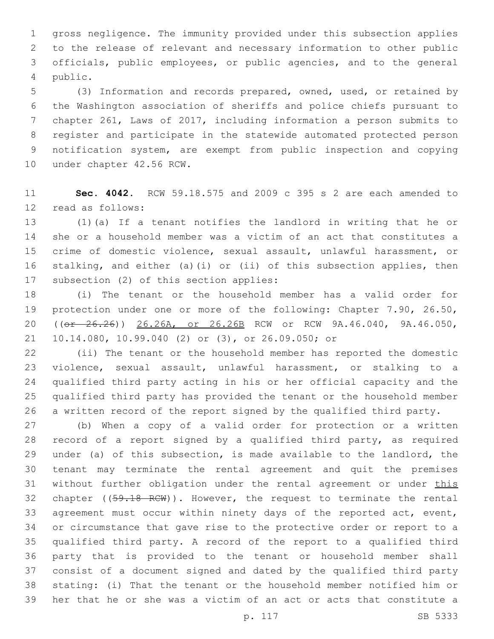gross negligence. The immunity provided under this subsection applies to the release of relevant and necessary information to other public officials, public employees, or public agencies, and to the general public.4

 (3) Information and records prepared, owned, used, or retained by the Washington association of sheriffs and police chiefs pursuant to chapter 261, Laws of 2017, including information a person submits to register and participate in the statewide automated protected person notification system, are exempt from public inspection and copying 10 under chapter 42.56 RCW.

 **Sec. 4042.** RCW 59.18.575 and 2009 c 395 s 2 are each amended to 12 read as follows:

 (1)(a) If a tenant notifies the landlord in writing that he or she or a household member was a victim of an act that constitutes a crime of domestic violence, sexual assault, unlawful harassment, or stalking, and either (a)(i) or (ii) of this subsection applies, then 17 subsection (2) of this section applies:

 (i) The tenant or the household member has a valid order for protection under one or more of the following: Chapter 7.90, 26.50, 20 ((or 26.26)) 26.26A, or 26.26B RCW or RCW 9A.46.040, 9A.46.050, 21 10.14.080, 10.99.040 (2) or (3), or 26.09.050; or

 (ii) The tenant or the household member has reported the domestic violence, sexual assault, unlawful harassment, or stalking to a qualified third party acting in his or her official capacity and the qualified third party has provided the tenant or the household member a written record of the report signed by the qualified third party.

 (b) When a copy of a valid order for protection or a written record of a report signed by a qualified third party, as required under (a) of this subsection, is made available to the landlord, the tenant may terminate the rental agreement and quit the premises 31 without further obligation under the rental agreement or under this 32 chapter ((59.18 RCW)). However, the request to terminate the rental agreement must occur within ninety days of the reported act, event, or circumstance that gave rise to the protective order or report to a qualified third party. A record of the report to a qualified third party that is provided to the tenant or household member shall consist of a document signed and dated by the qualified third party stating: (i) That the tenant or the household member notified him or her that he or she was a victim of an act or acts that constitute a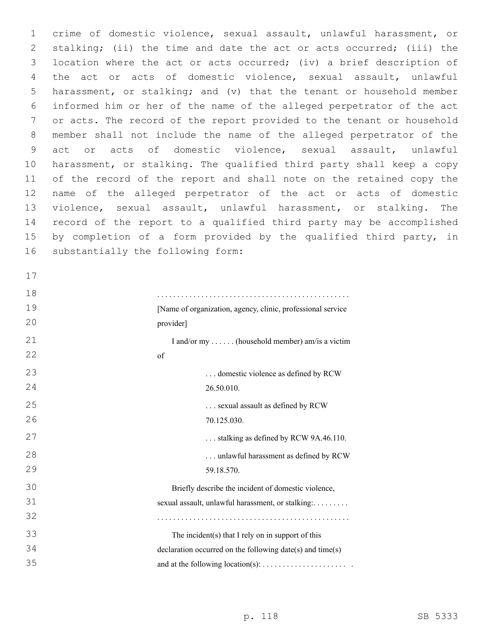crime of domestic violence, sexual assault, unlawful harassment, or stalking; (ii) the time and date the act or acts occurred; (iii) the location where the act or acts occurred; (iv) a brief description of the act or acts of domestic violence, sexual assault, unlawful harassment, or stalking; and (v) that the tenant or household member informed him or her of the name of the alleged perpetrator of the act or acts. The record of the report provided to the tenant or household member shall not include the name of the alleged perpetrator of the act or acts of domestic violence, sexual assault, unlawful harassment, or stalking. The qualified third party shall keep a copy of the record of the report and shall note on the retained copy the name of the alleged perpetrator of the act or acts of domestic violence, sexual assault, unlawful harassment, or stalking. The record of the report to a qualified third party may be accomplished 15 by completion of a form provided by the qualified third party, in 16 substantially the following form:

| $\perp$ / |                                                             |
|-----------|-------------------------------------------------------------|
| 18        |                                                             |
| 19        | [Name of organization, agency, clinic, professional service |
| 20        | provider]                                                   |
| 21        | I and/or my  (household member) am/is a victim              |
| 22        | of                                                          |
| 23        | domestic violence as defined by RCW                         |
| 24        | 26.50.010.                                                  |
| 25        | sexual assault as defined by RCW                            |
| 26        | 70.125.030.                                                 |
| 27        | stalking as defined by RCW 9A.46.110.                       |
| 28        | unlawful harassment as defined by RCW                       |
| 29        | 59.18.570.                                                  |
| 30        | Briefly describe the incident of domestic violence,         |
| 31        | sexual assault, unlawful harassment, or stalking:           |
| 32        |                                                             |
| 33        | The incident(s) that I rely on in support of this           |
| 34        | declaration occurred on the following date(s) and time(s)   |
| 35        |                                                             |
|           |                                                             |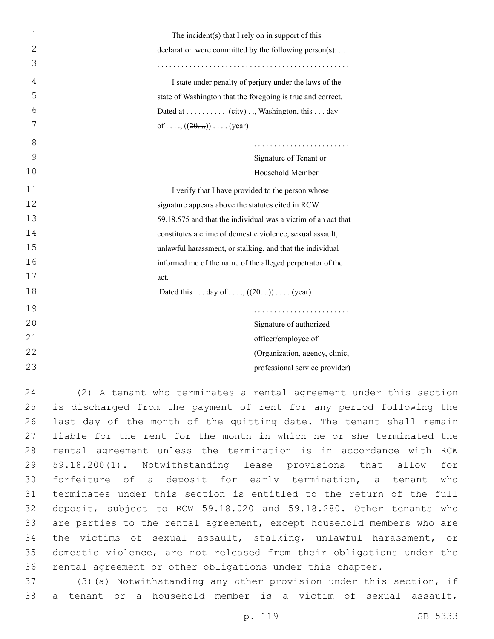| $\mathbf 1$  | The incident(s) that I rely on in support of this             |
|--------------|---------------------------------------------------------------|
| $\mathbf{2}$ | declaration were committed by the following person(s):        |
| 3            |                                                               |
| 4            | I state under penalty of perjury under the laws of the        |
| 5            | state of Washington that the foregoing is true and correct.   |
| 6            | Dated at (city), Washington, this day                         |
| 7            | of, $((20))$ (year)                                           |
| 8            |                                                               |
| 9            | Signature of Tenant or                                        |
| 10           | Household Member                                              |
| 11           | I verify that I have provided to the person whose             |
| 12           | signature appears above the statutes cited in RCW             |
| 13           | 59.18.575 and that the individual was a victim of an act that |
| 14           | constitutes a crime of domestic violence, sexual assault,     |
| 15           | unlawful harassment, or stalking, and that the individual     |
| 16           | informed me of the name of the alleged perpetrator of the     |
| 17           | act.                                                          |
| 18           | Dated this day of , $((20))$ (year)                           |
| 19           |                                                               |
| 20           | Signature of authorized                                       |
| 21           | officer/employee of                                           |
| 22           | (Organization, agency, clinic,                                |
| 23           | professional service provider)                                |

 (2) A tenant who terminates a rental agreement under this section is discharged from the payment of rent for any period following the last day of the month of the quitting date. The tenant shall remain liable for the rent for the month in which he or she terminated the rental agreement unless the termination is in accordance with RCW 59.18.200(1). Notwithstanding lease provisions that allow for forfeiture of a deposit for early termination, a tenant who terminates under this section is entitled to the return of the full deposit, subject to RCW 59.18.020 and 59.18.280. Other tenants who are parties to the rental agreement, except household members who are the victims of sexual assault, stalking, unlawful harassment, or domestic violence, are not released from their obligations under the rental agreement or other obligations under this chapter.

 (3)(a) Notwithstanding any other provision under this section, if a tenant or a household member is a victim of sexual assault,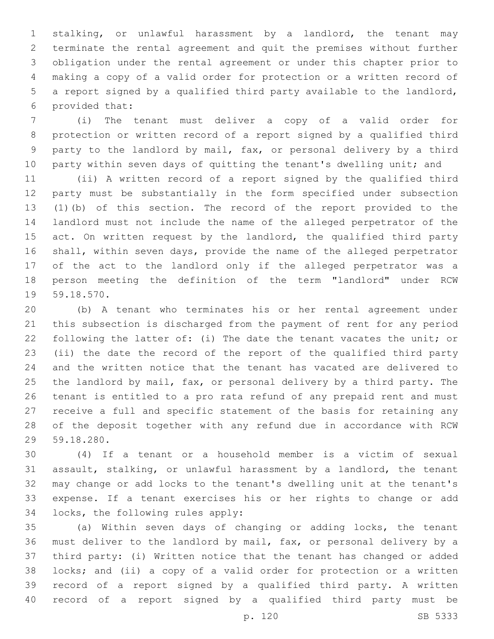stalking, or unlawful harassment by a landlord, the tenant may terminate the rental agreement and quit the premises without further obligation under the rental agreement or under this chapter prior to making a copy of a valid order for protection or a written record of a report signed by a qualified third party available to the landlord, provided that:6

 (i) The tenant must deliver a copy of a valid order for protection or written record of a report signed by a qualified third party to the landlord by mail, fax, or personal delivery by a third 10 party within seven days of quitting the tenant's dwelling unit; and

 (ii) A written record of a report signed by the qualified third party must be substantially in the form specified under subsection (1)(b) of this section. The record of the report provided to the landlord must not include the name of the alleged perpetrator of the 15 act. On written request by the landlord, the qualified third party shall, within seven days, provide the name of the alleged perpetrator of the act to the landlord only if the alleged perpetrator was a person meeting the definition of the term "landlord" under RCW 19 59.18.570.

 (b) A tenant who terminates his or her rental agreement under this subsection is discharged from the payment of rent for any period following the latter of: (i) The date the tenant vacates the unit; or (ii) the date the record of the report of the qualified third party and the written notice that the tenant has vacated are delivered to the landlord by mail, fax, or personal delivery by a third party. The tenant is entitled to a pro rata refund of any prepaid rent and must receive a full and specific statement of the basis for retaining any of the deposit together with any refund due in accordance with RCW 59.18.280.29

 (4) If a tenant or a household member is a victim of sexual assault, stalking, or unlawful harassment by a landlord, the tenant may change or add locks to the tenant's dwelling unit at the tenant's expense. If a tenant exercises his or her rights to change or add 34 locks, the following rules apply:

 (a) Within seven days of changing or adding locks, the tenant must deliver to the landlord by mail, fax, or personal delivery by a third party: (i) Written notice that the tenant has changed or added locks; and (ii) a copy of a valid order for protection or a written record of a report signed by a qualified third party. A written record of a report signed by a qualified third party must be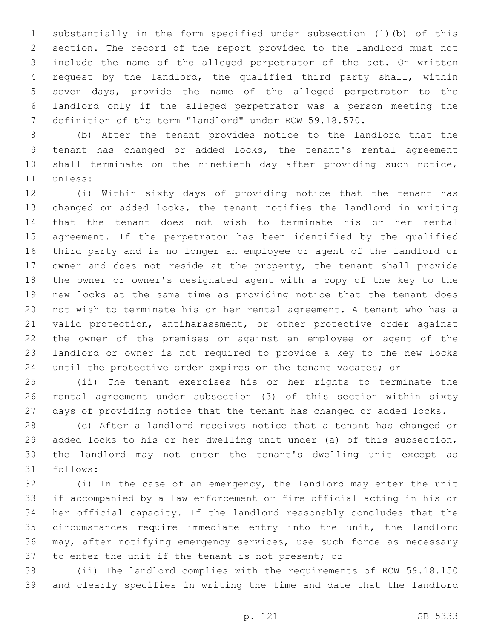substantially in the form specified under subsection (1)(b) of this section. The record of the report provided to the landlord must not include the name of the alleged perpetrator of the act. On written request by the landlord, the qualified third party shall, within seven days, provide the name of the alleged perpetrator to the landlord only if the alleged perpetrator was a person meeting the definition of the term "landlord" under RCW 59.18.570.

 (b) After the tenant provides notice to the landlord that the tenant has changed or added locks, the tenant's rental agreement shall terminate on the ninetieth day after providing such notice, 11 unless:

 (i) Within sixty days of providing notice that the tenant has changed or added locks, the tenant notifies the landlord in writing that the tenant does not wish to terminate his or her rental agreement. If the perpetrator has been identified by the qualified third party and is no longer an employee or agent of the landlord or owner and does not reside at the property, the tenant shall provide the owner or owner's designated agent with a copy of the key to the new locks at the same time as providing notice that the tenant does not wish to terminate his or her rental agreement. A tenant who has a valid protection, antiharassment, or other protective order against the owner of the premises or against an employee or agent of the landlord or owner is not required to provide a key to the new locks 24 until the protective order expires or the tenant vacates; or

 (ii) The tenant exercises his or her rights to terminate the rental agreement under subsection (3) of this section within sixty days of providing notice that the tenant has changed or added locks.

 (c) After a landlord receives notice that a tenant has changed or added locks to his or her dwelling unit under (a) of this subsection, the landlord may not enter the tenant's dwelling unit except as 31 follows:

 (i) In the case of an emergency, the landlord may enter the unit if accompanied by a law enforcement or fire official acting in his or her official capacity. If the landlord reasonably concludes that the circumstances require immediate entry into the unit, the landlord may, after notifying emergency services, use such force as necessary to enter the unit if the tenant is not present; or

 (ii) The landlord complies with the requirements of RCW 59.18.150 and clearly specifies in writing the time and date that the landlord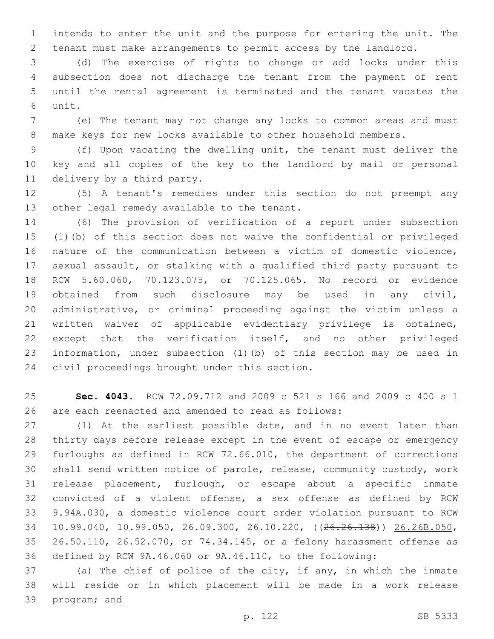intends to enter the unit and the purpose for entering the unit. The tenant must make arrangements to permit access by the landlord.

 (d) The exercise of rights to change or add locks under this subsection does not discharge the tenant from the payment of rent until the rental agreement is terminated and the tenant vacates the unit.6

 (e) The tenant may not change any locks to common areas and must make keys for new locks available to other household members.

 (f) Upon vacating the dwelling unit, the tenant must deliver the key and all copies of the key to the landlord by mail or personal 11 delivery by a third party.

 (5) A tenant's remedies under this section do not preempt any 13 other legal remedy available to the tenant.

 (6) The provision of verification of a report under subsection (1)(b) of this section does not waive the confidential or privileged nature of the communication between a victim of domestic violence, sexual assault, or stalking with a qualified third party pursuant to RCW 5.60.060, 70.123.075, or 70.125.065. No record or evidence obtained from such disclosure may be used in any civil, administrative, or criminal proceeding against the victim unless a written waiver of applicable evidentiary privilege is obtained, except that the verification itself, and no other privileged information, under subsection (1)(b) of this section may be used in 24 civil proceedings brought under this section.

 **Sec. 4043.** RCW 72.09.712 and 2009 c 521 s 166 and 2009 c 400 s 1 are each reenacted and amended to read as follows:

 (1) At the earliest possible date, and in no event later than thirty days before release except in the event of escape or emergency furloughs as defined in RCW 72.66.010, the department of corrections shall send written notice of parole, release, community custody, work release placement, furlough, or escape about a specific inmate convicted of a violent offense, a sex offense as defined by RCW 9.94A.030, a domestic violence court order violation pursuant to RCW 10.99.040, 10.99.050, 26.09.300, 26.10.220, ((26.26.138)) 26.26B.050, 26.50.110, 26.52.070, or 74.34.145, or a felony harassment offense as defined by RCW 9A.46.060 or 9A.46.110, to the following:

 (a) The chief of police of the city, if any, in which the inmate will reside or in which placement will be made in a work release 39 program; and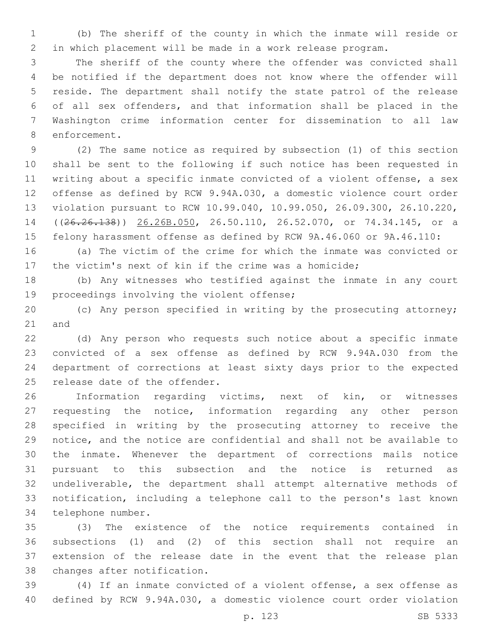(b) The sheriff of the county in which the inmate will reside or in which placement will be made in a work release program.

 The sheriff of the county where the offender was convicted shall be notified if the department does not know where the offender will reside. The department shall notify the state patrol of the release of all sex offenders, and that information shall be placed in the Washington crime information center for dissemination to all law 8 enforcement.

 (2) The same notice as required by subsection (1) of this section shall be sent to the following if such notice has been requested in writing about a specific inmate convicted of a violent offense, a sex offense as defined by RCW 9.94A.030, a domestic violence court order violation pursuant to RCW 10.99.040, 10.99.050, 26.09.300, 26.10.220, ((26.26.138)) 26.26B.050, 26.50.110, 26.52.070, or 74.34.145, or a felony harassment offense as defined by RCW 9A.46.060 or 9A.46.110:

 (a) The victim of the crime for which the inmate was convicted or the victim's next of kin if the crime was a homicide;

 (b) Any witnesses who testified against the inmate in any court 19 proceedings involving the violent offense;

 (c) Any person specified in writing by the prosecuting attorney; 21 and

 (d) Any person who requests such notice about a specific inmate convicted of a sex offense as defined by RCW 9.94A.030 from the department of corrections at least sixty days prior to the expected 25 release date of the offender.

 Information regarding victims, next of kin, or witnesses requesting the notice, information regarding any other person specified in writing by the prosecuting attorney to receive the notice, and the notice are confidential and shall not be available to the inmate. Whenever the department of corrections mails notice pursuant to this subsection and the notice is returned as undeliverable, the department shall attempt alternative methods of notification, including a telephone call to the person's last known 34 telephone number.

 (3) The existence of the notice requirements contained in subsections (1) and (2) of this section shall not require an extension of the release date in the event that the release plan 38 changes after notification.

 (4) If an inmate convicted of a violent offense, a sex offense as defined by RCW 9.94A.030, a domestic violence court order violation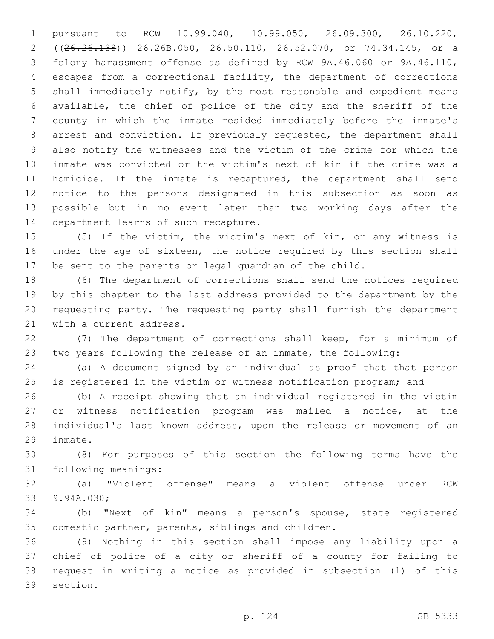pursuant to RCW 10.99.040, 10.99.050, 26.09.300, 26.10.220, ((26.26.138)) 26.26B.050, 26.50.110, 26.52.070, or 74.34.145, or a felony harassment offense as defined by RCW 9A.46.060 or 9A.46.110, escapes from a correctional facility, the department of corrections shall immediately notify, by the most reasonable and expedient means available, the chief of police of the city and the sheriff of the county in which the inmate resided immediately before the inmate's arrest and conviction. If previously requested, the department shall also notify the witnesses and the victim of the crime for which the inmate was convicted or the victim's next of kin if the crime was a homicide. If the inmate is recaptured, the department shall send notice to the persons designated in this subsection as soon as possible but in no event later than two working days after the 14 department learns of such recapture.

 (5) If the victim, the victim's next of kin, or any witness is under the age of sixteen, the notice required by this section shall be sent to the parents or legal guardian of the child.

 (6) The department of corrections shall send the notices required by this chapter to the last address provided to the department by the requesting party. The requesting party shall furnish the department 21 with a current address.

 (7) The department of corrections shall keep, for a minimum of two years following the release of an inmate, the following:

 (a) A document signed by an individual as proof that that person is registered in the victim or witness notification program; and

 (b) A receipt showing that an individual registered in the victim or witness notification program was mailed a notice, at the individual's last known address, upon the release or movement of an 29 inmate.

 (8) For purposes of this section the following terms have the 31 following meanings:

 (a) "Violent offense" means a violent offense under RCW 33 9.94A.030;

 (b) "Next of kin" means a person's spouse, state registered 35 domestic partner, parents, siblings and children.

 (9) Nothing in this section shall impose any liability upon a chief of police of a city or sheriff of a county for failing to request in writing a notice as provided in subsection (1) of this 39 section.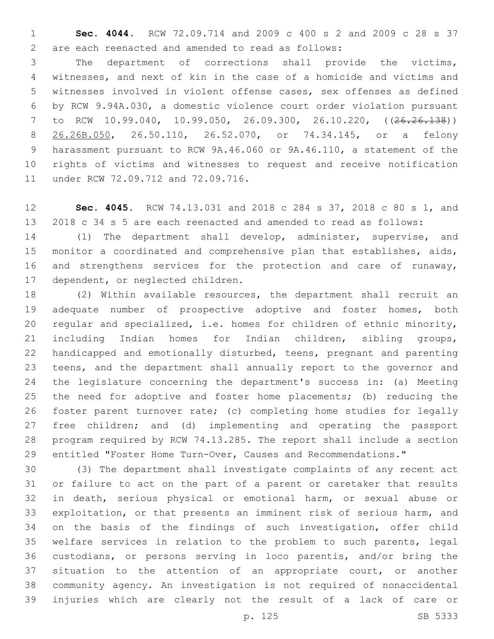**Sec. 4044.** RCW 72.09.714 and 2009 c 400 s 2 and 2009 c 28 s 37 are each reenacted and amended to read as follows:2

 The department of corrections shall provide the victims, witnesses, and next of kin in the case of a homicide and victims and witnesses involved in violent offense cases, sex offenses as defined by RCW 9.94A.030, a domestic violence court order violation pursuant to RCW 10.99.040, 10.99.050, 26.09.300, 26.10.220, ((26.26.138)) 26.26B.050, 26.50.110, 26.52.070, or 74.34.145, or a felony harassment pursuant to RCW 9A.46.060 or 9A.46.110, a statement of the rights of victims and witnesses to request and receive notification 11 under RCW 72.09.712 and 72.09.716.

 **Sec. 4045.** RCW 74.13.031 and 2018 c 284 s 37, 2018 c 80 s 1, and 2018 c 34 s 5 are each reenacted and amended to read as follows:

 (1) The department shall develop, administer, supervise, and monitor a coordinated and comprehensive plan that establishes, aids, and strengthens services for the protection and care of runaway, 17 dependent, or neglected children.

 (2) Within available resources, the department shall recruit an adequate number of prospective adoptive and foster homes, both regular and specialized, i.e. homes for children of ethnic minority, including Indian homes for Indian children, sibling groups, handicapped and emotionally disturbed, teens, pregnant and parenting teens, and the department shall annually report to the governor and the legislature concerning the department's success in: (a) Meeting the need for adoptive and foster home placements; (b) reducing the foster parent turnover rate; (c) completing home studies for legally free children; and (d) implementing and operating the passport program required by RCW 74.13.285. The report shall include a section entitled "Foster Home Turn-Over, Causes and Recommendations."

 (3) The department shall investigate complaints of any recent act or failure to act on the part of a parent or caretaker that results in death, serious physical or emotional harm, or sexual abuse or exploitation, or that presents an imminent risk of serious harm, and on the basis of the findings of such investigation, offer child welfare services in relation to the problem to such parents, legal custodians, or persons serving in loco parentis, and/or bring the situation to the attention of an appropriate court, or another community agency. An investigation is not required of nonaccidental injuries which are clearly not the result of a lack of care or

p. 125 SB 5333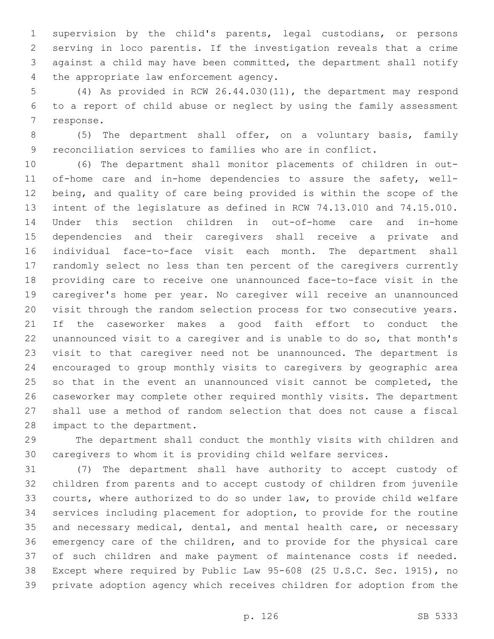supervision by the child's parents, legal custodians, or persons serving in loco parentis. If the investigation reveals that a crime against a child may have been committed, the department shall notify 4 the appropriate law enforcement agency.

 (4) As provided in RCW 26.44.030(11), the department may respond to a report of child abuse or neglect by using the family assessment 7 response.

 (5) The department shall offer, on a voluntary basis, family reconciliation services to families who are in conflict.

 (6) The department shall monitor placements of children in out- of-home care and in-home dependencies to assure the safety, well- being, and quality of care being provided is within the scope of the intent of the legislature as defined in RCW 74.13.010 and 74.15.010. Under this section children in out-of-home care and in-home dependencies and their caregivers shall receive a private and individual face-to-face visit each month. The department shall randomly select no less than ten percent of the caregivers currently providing care to receive one unannounced face-to-face visit in the caregiver's home per year. No caregiver will receive an unannounced visit through the random selection process for two consecutive years. If the caseworker makes a good faith effort to conduct the unannounced visit to a caregiver and is unable to do so, that month's visit to that caregiver need not be unannounced. The department is encouraged to group monthly visits to caregivers by geographic area 25 so that in the event an unannounced visit cannot be completed, the caseworker may complete other required monthly visits. The department shall use a method of random selection that does not cause a fiscal 28 impact to the department.

 The department shall conduct the monthly visits with children and caregivers to whom it is providing child welfare services.

 (7) The department shall have authority to accept custody of children from parents and to accept custody of children from juvenile courts, where authorized to do so under law, to provide child welfare services including placement for adoption, to provide for the routine and necessary medical, dental, and mental health care, or necessary emergency care of the children, and to provide for the physical care of such children and make payment of maintenance costs if needed. Except where required by Public Law 95-608 (25 U.S.C. Sec. 1915), no private adoption agency which receives children for adoption from the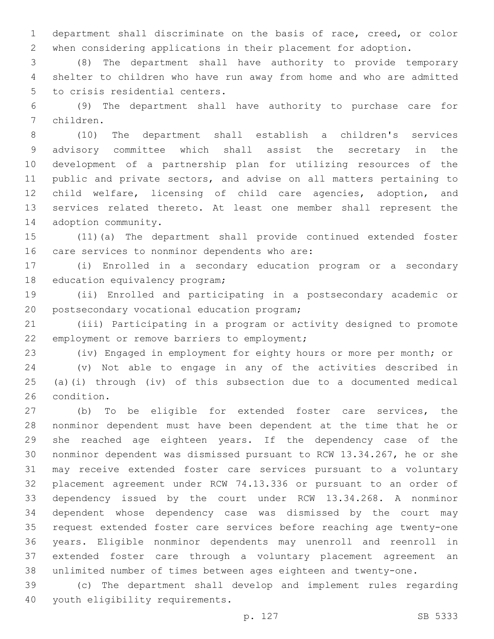department shall discriminate on the basis of race, creed, or color when considering applications in their placement for adoption.

 (8) The department shall have authority to provide temporary shelter to children who have run away from home and who are admitted 5 to crisis residential centers.

 (9) The department shall have authority to purchase care for children.7

 (10) The department shall establish a children's services advisory committee which shall assist the secretary in the development of a partnership plan for utilizing resources of the public and private sectors, and advise on all matters pertaining to child welfare, licensing of child care agencies, adoption, and services related thereto. At least one member shall represent the 14 adoption community.

 (11)(a) The department shall provide continued extended foster 16 care services to nonminor dependents who are:

 (i) Enrolled in a secondary education program or a secondary 18 education equivalency program;

 (ii) Enrolled and participating in a postsecondary academic or 20 postsecondary vocational education program;

 (iii) Participating in a program or activity designed to promote 22 employment or remove barriers to employment;

(iv) Engaged in employment for eighty hours or more per month; or

 (v) Not able to engage in any of the activities described in (a)(i) through (iv) of this subsection due to a documented medical 26 condition.

 (b) To be eligible for extended foster care services, the nonminor dependent must have been dependent at the time that he or she reached age eighteen years. If the dependency case of the nonminor dependent was dismissed pursuant to RCW 13.34.267, he or she may receive extended foster care services pursuant to a voluntary placement agreement under RCW 74.13.336 or pursuant to an order of dependency issued by the court under RCW 13.34.268. A nonminor dependent whose dependency case was dismissed by the court may request extended foster care services before reaching age twenty-one years. Eligible nonminor dependents may unenroll and reenroll in extended foster care through a voluntary placement agreement an unlimited number of times between ages eighteen and twenty-one.

 (c) The department shall develop and implement rules regarding 40 youth eligibility requirements.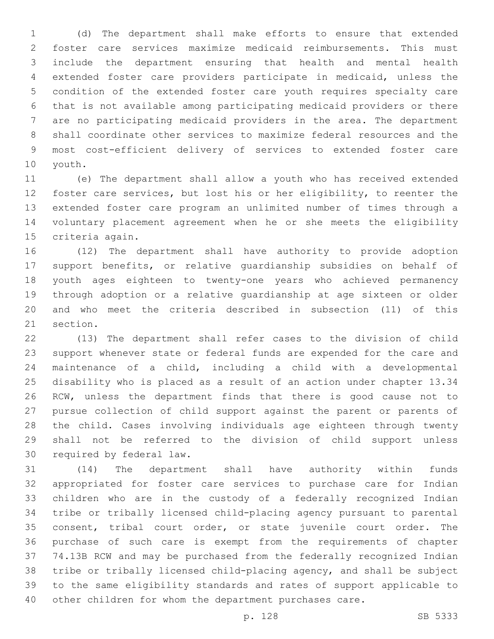(d) The department shall make efforts to ensure that extended foster care services maximize medicaid reimbursements. This must include the department ensuring that health and mental health extended foster care providers participate in medicaid, unless the condition of the extended foster care youth requires specialty care that is not available among participating medicaid providers or there are no participating medicaid providers in the area. The department shall coordinate other services to maximize federal resources and the most cost-efficient delivery of services to extended foster care 10 youth.

 (e) The department shall allow a youth who has received extended foster care services, but lost his or her eligibility, to reenter the extended foster care program an unlimited number of times through a voluntary placement agreement when he or she meets the eligibility 15 criteria again.

 (12) The department shall have authority to provide adoption support benefits, or relative guardianship subsidies on behalf of youth ages eighteen to twenty-one years who achieved permanency through adoption or a relative guardianship at age sixteen or older and who meet the criteria described in subsection (11) of this 21 section.

 (13) The department shall refer cases to the division of child support whenever state or federal funds are expended for the care and maintenance of a child, including a child with a developmental disability who is placed as a result of an action under chapter 13.34 RCW, unless the department finds that there is good cause not to pursue collection of child support against the parent or parents of the child. Cases involving individuals age eighteen through twenty shall not be referred to the division of child support unless 30 required by federal law.

 (14) The department shall have authority within funds appropriated for foster care services to purchase care for Indian children who are in the custody of a federally recognized Indian tribe or tribally licensed child-placing agency pursuant to parental consent, tribal court order, or state juvenile court order. The purchase of such care is exempt from the requirements of chapter 74.13B RCW and may be purchased from the federally recognized Indian tribe or tribally licensed child-placing agency, and shall be subject to the same eligibility standards and rates of support applicable to other children for whom the department purchases care.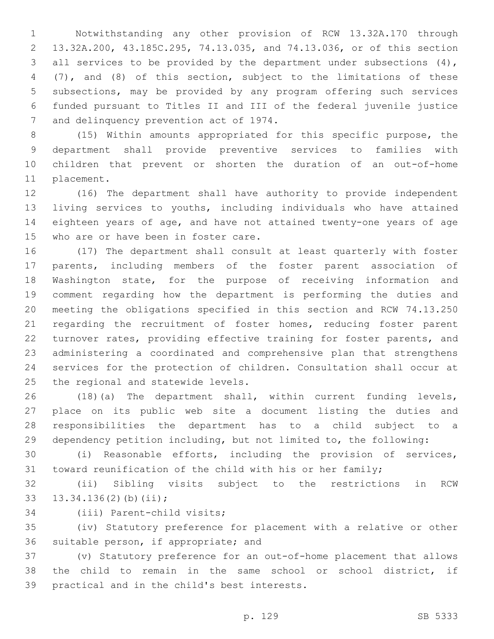Notwithstanding any other provision of RCW 13.32A.170 through 13.32A.200, 43.185C.295, 74.13.035, and 74.13.036, or of this section 3 all services to be provided by the department under subsections (4), (7), and (8) of this section, subject to the limitations of these subsections, may be provided by any program offering such services funded pursuant to Titles II and III of the federal juvenile justice 7 and delinquency prevention act of 1974.

 (15) Within amounts appropriated for this specific purpose, the department shall provide preventive services to families with children that prevent or shorten the duration of an out-of-home 11 placement.

 (16) The department shall have authority to provide independent living services to youths, including individuals who have attained eighteen years of age, and have not attained twenty-one years of age 15 who are or have been in foster care.

 (17) The department shall consult at least quarterly with foster parents, including members of the foster parent association of Washington state, for the purpose of receiving information and comment regarding how the department is performing the duties and meeting the obligations specified in this section and RCW 74.13.250 21 regarding the recruitment of foster homes, reducing foster parent turnover rates, providing effective training for foster parents, and administering a coordinated and comprehensive plan that strengthens services for the protection of children. Consultation shall occur at 25 the regional and statewide levels.

 (18)(a) The department shall, within current funding levels, place on its public web site a document listing the duties and responsibilities the department has to a child subject to a dependency petition including, but not limited to, the following:

 (i) Reasonable efforts, including the provision of services, toward reunification of the child with his or her family;

 (ii) Sibling visits subject to the restrictions in RCW 33  $13.34.136(2)(b)(ii);$ 

34 (iii) Parent-child visits;

 (iv) Statutory preference for placement with a relative or other 36 suitable person, if appropriate; and

 (v) Statutory preference for an out-of-home placement that allows the child to remain in the same school or school district, if 39 practical and in the child's best interests.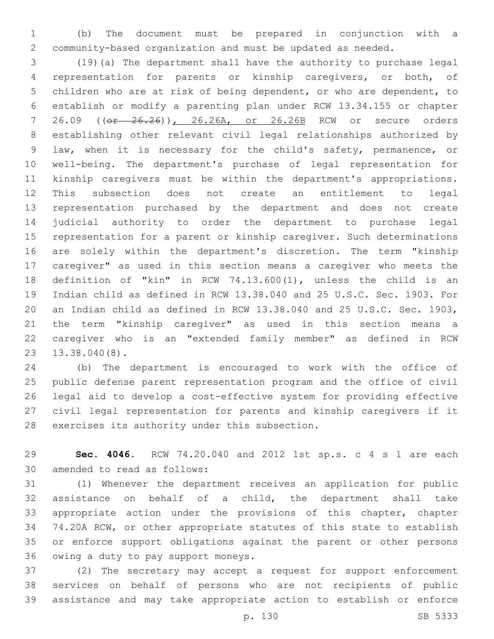(b) The document must be prepared in conjunction with a community-based organization and must be updated as needed.

 (19)(a) The department shall have the authority to purchase legal representation for parents or kinship caregivers, or both, of children who are at risk of being dependent, or who are dependent, to establish or modify a parenting plan under RCW 13.34.155 or chapter 26.09 ((or 26.26)), 26.26A, or 26.26B RCW or secure orders establishing other relevant civil legal relationships authorized by law, when it is necessary for the child's safety, permanence, or well-being. The department's purchase of legal representation for kinship caregivers must be within the department's appropriations. This subsection does not create an entitlement to legal representation purchased by the department and does not create judicial authority to order the department to purchase legal representation for a parent or kinship caregiver. Such determinations are solely within the department's discretion. The term "kinship caregiver" as used in this section means a caregiver who meets the definition of "kin" in RCW 74.13.600(1), unless the child is an Indian child as defined in RCW 13.38.040 and 25 U.S.C. Sec. 1903. For an Indian child as defined in RCW 13.38.040 and 25 U.S.C. Sec. 1903, the term "kinship caregiver" as used in this section means a caregiver who is an "extended family member" as defined in RCW 13.38.040(8).23

 (b) The department is encouraged to work with the office of public defense parent representation program and the office of civil legal aid to develop a cost-effective system for providing effective civil legal representation for parents and kinship caregivers if it 28 exercises its authority under this subsection.

 **Sec. 4046.** RCW 74.20.040 and 2012 1st sp.s. c 4 s 1 are each 30 amended to read as follows:

 (1) Whenever the department receives an application for public assistance on behalf of a child, the department shall take appropriate action under the provisions of this chapter, chapter 74.20A RCW, or other appropriate statutes of this state to establish or enforce support obligations against the parent or other persons 36 owing a duty to pay support moneys.

 (2) The secretary may accept a request for support enforcement services on behalf of persons who are not recipients of public assistance and may take appropriate action to establish or enforce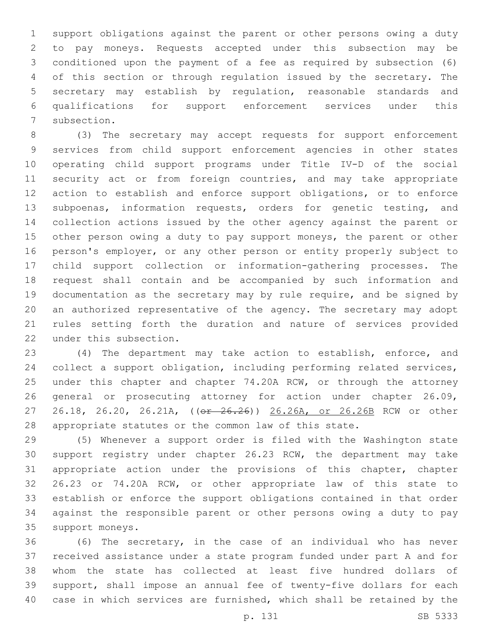support obligations against the parent or other persons owing a duty to pay moneys. Requests accepted under this subsection may be conditioned upon the payment of a fee as required by subsection (6) of this section or through regulation issued by the secretary. The secretary may establish by regulation, reasonable standards and qualifications for support enforcement services under this 7 subsection.

 (3) The secretary may accept requests for support enforcement services from child support enforcement agencies in other states operating child support programs under Title IV-D of the social 11 security act or from foreign countries, and may take appropriate action to establish and enforce support obligations, or to enforce subpoenas, information requests, orders for genetic testing, and collection actions issued by the other agency against the parent or 15 other person owing a duty to pay support moneys, the parent or other person's employer, or any other person or entity properly subject to child support collection or information-gathering processes. The request shall contain and be accompanied by such information and documentation as the secretary may by rule require, and be signed by an authorized representative of the agency. The secretary may adopt rules setting forth the duration and nature of services provided 22 under this subsection.

 (4) The department may take action to establish, enforce, and collect a support obligation, including performing related services, 25 under this chapter and chapter 74.20A RCW, or through the attorney general or prosecuting attorney for action under chapter 26.09, 27 26.18, 26.20, 26.21A, (( $\sigma$ r 26.26)) 26.26A, or 26.26B RCW or other appropriate statutes or the common law of this state.

 (5) Whenever a support order is filed with the Washington state support registry under chapter 26.23 RCW, the department may take appropriate action under the provisions of this chapter, chapter 26.23 or 74.20A RCW, or other appropriate law of this state to establish or enforce the support obligations contained in that order against the responsible parent or other persons owing a duty to pay 35 support moneys.

 (6) The secretary, in the case of an individual who has never received assistance under a state program funded under part A and for whom the state has collected at least five hundred dollars of support, shall impose an annual fee of twenty-five dollars for each case in which services are furnished, which shall be retained by the

p. 131 SB 5333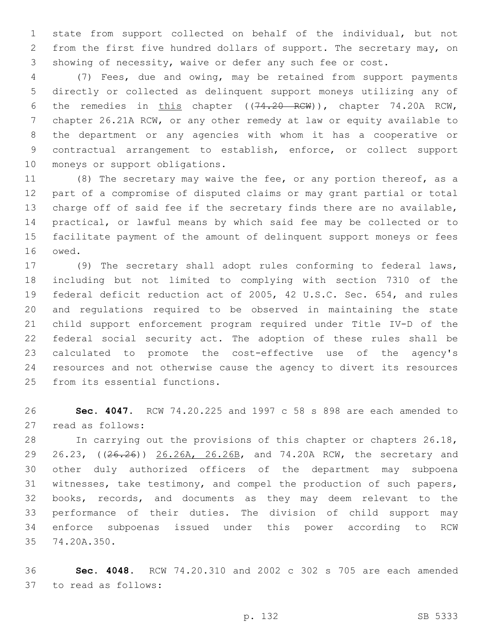state from support collected on behalf of the individual, but not from the first five hundred dollars of support. The secretary may, on showing of necessity, waive or defer any such fee or cost.

 (7) Fees, due and owing, may be retained from support payments directly or collected as delinquent support moneys utilizing any of 6 the remedies in this chapter ((74.20 RCW)), chapter 74.20A RCW, chapter 26.21A RCW, or any other remedy at law or equity available to the department or any agencies with whom it has a cooperative or contractual arrangement to establish, enforce, or collect support 10 moneys or support obligations.

11 (8) The secretary may waive the fee, or any portion thereof, as a part of a compromise of disputed claims or may grant partial or total charge off of said fee if the secretary finds there are no available, practical, or lawful means by which said fee may be collected or to facilitate payment of the amount of delinquent support moneys or fees 16 owed.

 (9) The secretary shall adopt rules conforming to federal laws, including but not limited to complying with section 7310 of the federal deficit reduction act of 2005, 42 U.S.C. Sec. 654, and rules and regulations required to be observed in maintaining the state child support enforcement program required under Title IV-D of the federal social security act. The adoption of these rules shall be calculated to promote the cost-effective use of the agency's resources and not otherwise cause the agency to divert its resources 25 from its essential functions.

 **Sec. 4047.** RCW 74.20.225 and 1997 c 58 s 898 are each amended to 27 read as follows:

 In carrying out the provisions of this chapter or chapters 26.18, 29 26.23, ((26.26)) 26.26A, 26.26B, and 74.20A RCW, the secretary and other duly authorized officers of the department may subpoena witnesses, take testimony, and compel the production of such papers, books, records, and documents as they may deem relevant to the performance of their duties. The division of child support may enforce subpoenas issued under this power according to RCW 35 74.20A.350.

 **Sec. 4048.** RCW 74.20.310 and 2002 c 302 s 705 are each amended 37 to read as follows: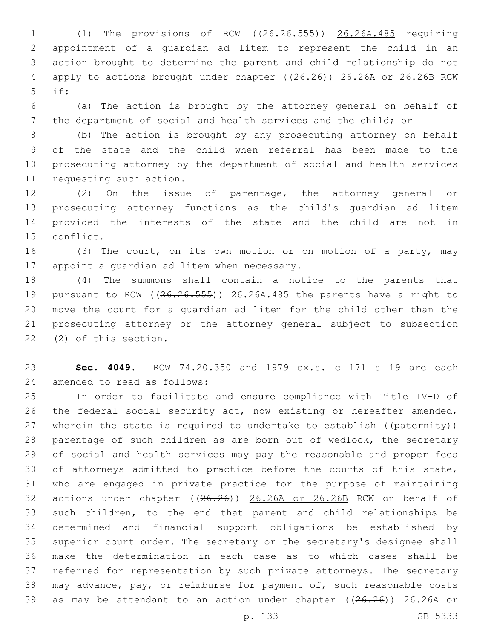(1) The provisions of RCW ((26.26.555)) 26.26A.485 requiring appointment of a guardian ad litem to represent the child in an action brought to determine the parent and child relationship do not 4 apply to actions brought under chapter ((26.26)) 26.26A or 26.26B RCW if:5

 (a) The action is brought by the attorney general on behalf of the department of social and health services and the child; or

 (b) The action is brought by any prosecuting attorney on behalf of the state and the child when referral has been made to the prosecuting attorney by the department of social and health services 11 requesting such action.

 (2) On the issue of parentage, the attorney general or prosecuting attorney functions as the child's guardian ad litem provided the interests of the state and the child are not in 15 conflict.

 (3) The court, on its own motion or on motion of a party, may 17 appoint a quardian ad litem when necessary.

 (4) The summons shall contain a notice to the parents that 19 pursuant to RCW ((26.26.555)) 26.26A.485 the parents have a right to move the court for a guardian ad litem for the child other than the prosecuting attorney or the attorney general subject to subsection 22 (2) of this section.

 **Sec. 4049.** RCW 74.20.350 and 1979 ex.s. c 171 s 19 are each 24 amended to read as follows:

 In order to facilitate and ensure compliance with Title IV-D of the federal social security act, now existing or hereafter amended, 27 wherein the state is required to undertake to establish ((paternity)) parentage of such children as are born out of wedlock, the secretary of social and health services may pay the reasonable and proper fees of attorneys admitted to practice before the courts of this state, who are engaged in private practice for the purpose of maintaining actions under chapter ((26.26)) 26.26A or 26.26B RCW on behalf of such children, to the end that parent and child relationships be determined and financial support obligations be established by superior court order. The secretary or the secretary's designee shall make the determination in each case as to which cases shall be referred for representation by such private attorneys. The secretary may advance, pay, or reimburse for payment of, such reasonable costs 39 as may be attendant to an action under chapter ((26.26)) 26.26A or

p. 133 SB 5333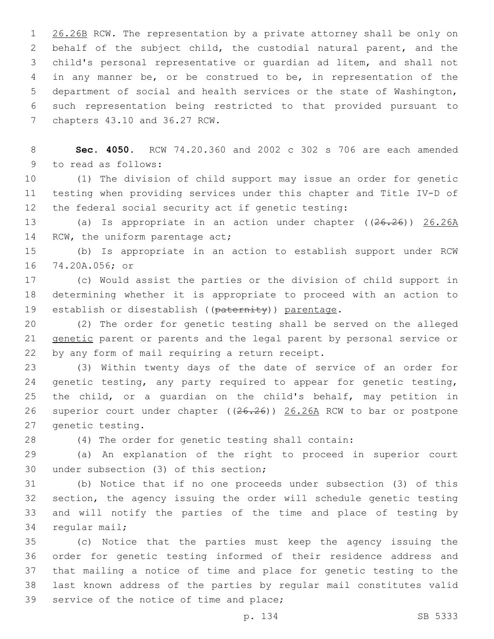1 26.26B RCW. The representation by a private attorney shall be only on behalf of the subject child, the custodial natural parent, and the child's personal representative or guardian ad litem, and shall not in any manner be, or be construed to be, in representation of the department of social and health services or the state of Washington, such representation being restricted to that provided pursuant to 7 chapters 43.10 and 36.27 RCW.

 **Sec. 4050.** RCW 74.20.360 and 2002 c 302 s 706 are each amended 9 to read as follows:

 (1) The division of child support may issue an order for genetic testing when providing services under this chapter and Title IV-D of the federal social security act if genetic testing:

 (a) Is appropriate in an action under chapter ((26.26)) 26.26A 14 RCW, the uniform parentage act;

 (b) Is appropriate in an action to establish support under RCW 74.20A.056; or16

 (c) Would assist the parties or the division of child support in determining whether it is appropriate to proceed with an action to 19 establish or disestablish ((paternity)) parentage.

 (2) The order for genetic testing shall be served on the alleged genetic parent or parents and the legal parent by personal service or 22 by any form of mail requiring a return receipt.

 (3) Within twenty days of the date of service of an order for 24 genetic testing, any party required to appear for genetic testing, the child, or a guardian on the child's behalf, may petition in superior court under chapter ((26.26)) 26.26A RCW to bar or postpone 27 genetic testing.

(4) The order for genetic testing shall contain:

 (a) An explanation of the right to proceed in superior court 30 under subsection (3) of this section;

 (b) Notice that if no one proceeds under subsection (3) of this section, the agency issuing the order will schedule genetic testing and will notify the parties of the time and place of testing by 34 regular mail;

 (c) Notice that the parties must keep the agency issuing the order for genetic testing informed of their residence address and that mailing a notice of time and place for genetic testing to the last known address of the parties by regular mail constitutes valid 39 service of the notice of time and place;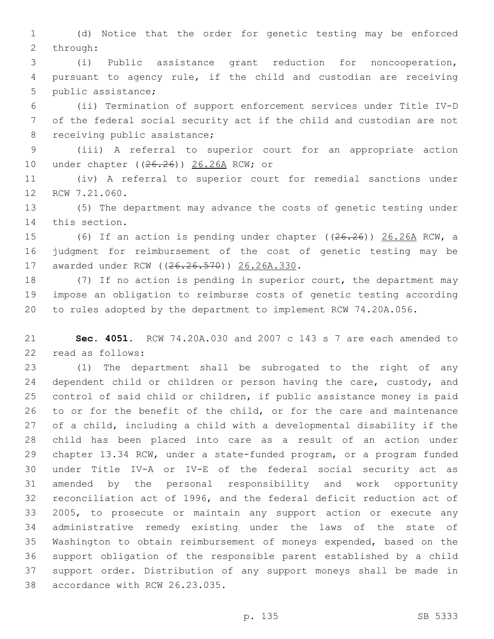(d) Notice that the order for genetic testing may be enforced 2 through:

 (i) Public assistance grant reduction for noncooperation, pursuant to agency rule, if the child and custodian are receiving 5 public assistance;

 (ii) Termination of support enforcement services under Title IV-D of the federal social security act if the child and custodian are not 8 receiving public assistance;

 (iii) A referral to superior court for an appropriate action 10 under chapter ((26.26)) 26.26A RCW; or

 (iv) A referral to superior court for remedial sanctions under 12 RCW 7.21.060.

 (5) The department may advance the costs of genetic testing under 14 this section.

 (6) If an action is pending under chapter ((26.26)) 26.26A RCW, a judgment for reimbursement of the cost of genetic testing may be 17 awarded under RCW ((26.26.570)) 26.26A.330.

 (7) If no action is pending in superior court, the department may impose an obligation to reimburse costs of genetic testing according to rules adopted by the department to implement RCW 74.20A.056.

 **Sec. 4051.** RCW 74.20A.030 and 2007 c 143 s 7 are each amended to 22 read as follows:

 (1) The department shall be subrogated to the right of any 24 dependent child or children or person having the care, custody, and control of said child or children, if public assistance money is paid to or for the benefit of the child, or for the care and maintenance of a child, including a child with a developmental disability if the child has been placed into care as a result of an action under chapter 13.34 RCW, under a state-funded program, or a program funded under Title IV-A or IV-E of the federal social security act as amended by the personal responsibility and work opportunity reconciliation act of 1996, and the federal deficit reduction act of 2005, to prosecute or maintain any support action or execute any administrative remedy existing under the laws of the state of Washington to obtain reimbursement of moneys expended, based on the support obligation of the responsible parent established by a child support order. Distribution of any support moneys shall be made in 38 accordance with RCW 26.23.035.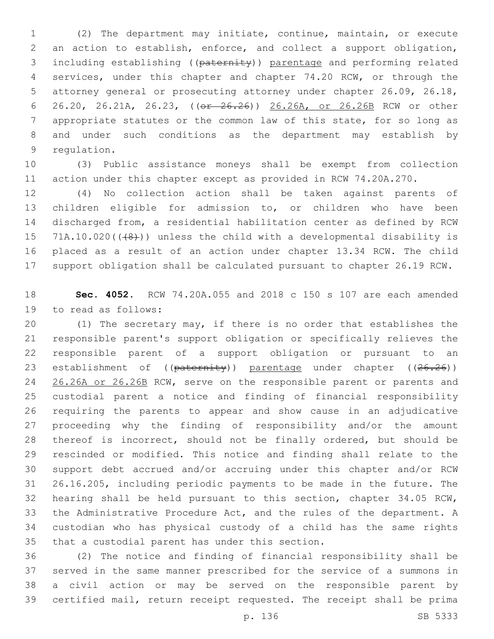(2) The department may initiate, continue, maintain, or execute an action to establish, enforce, and collect a support obligation, including establishing ((paternity)) parentage and performing related services, under this chapter and chapter 74.20 RCW, or through the attorney general or prosecuting attorney under chapter 26.09, 26.18, 26.20, 26.21A, 26.23, ((or 26.26)) 26.26A, or 26.26B RCW or other appropriate statutes or the common law of this state, for so long as and under such conditions as the department may establish by 9 requlation.

 (3) Public assistance moneys shall be exempt from collection action under this chapter except as provided in RCW 74.20A.270.

 (4) No collection action shall be taken against parents of children eligible for admission to, or children who have been discharged from, a residential habilitation center as defined by RCW 15 71A.10.020( $(48)$ )) unless the child with a developmental disability is placed as a result of an action under chapter 13.34 RCW. The child support obligation shall be calculated pursuant to chapter 26.19 RCW.

 **Sec. 4052.** RCW 74.20A.055 and 2018 c 150 s 107 are each amended 19 to read as follows:

 (1) The secretary may, if there is no order that establishes the responsible parent's support obligation or specifically relieves the responsible parent of a support obligation or pursuant to an 23 establishment of ((paternity)) parentage under chapter ((26.26)) 24 26.26A or 26.26B RCW, serve on the responsible parent or parents and custodial parent a notice and finding of financial responsibility requiring the parents to appear and show cause in an adjudicative proceeding why the finding of responsibility and/or the amount thereof is incorrect, should not be finally ordered, but should be rescinded or modified. This notice and finding shall relate to the support debt accrued and/or accruing under this chapter and/or RCW 26.16.205, including periodic payments to be made in the future. The hearing shall be held pursuant to this section, chapter 34.05 RCW, the Administrative Procedure Act, and the rules of the department. A custodian who has physical custody of a child has the same rights 35 that a custodial parent has under this section.

 (2) The notice and finding of financial responsibility shall be served in the same manner prescribed for the service of a summons in a civil action or may be served on the responsible parent by certified mail, return receipt requested. The receipt shall be prima

p. 136 SB 5333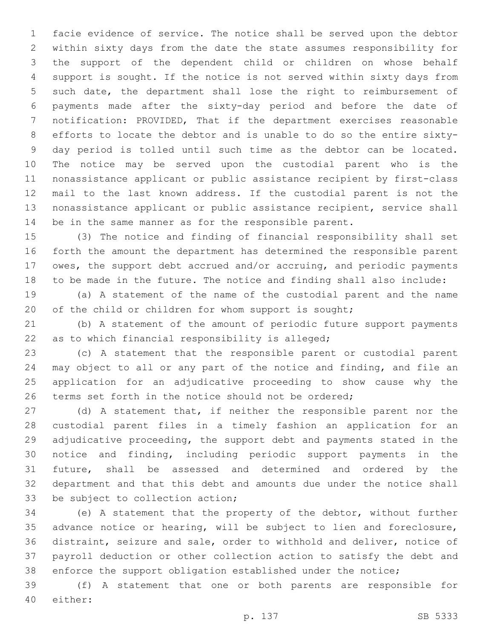facie evidence of service. The notice shall be served upon the debtor within sixty days from the date the state assumes responsibility for the support of the dependent child or children on whose behalf support is sought. If the notice is not served within sixty days from such date, the department shall lose the right to reimbursement of payments made after the sixty-day period and before the date of notification: PROVIDED, That if the department exercises reasonable efforts to locate the debtor and is unable to do so the entire sixty- day period is tolled until such time as the debtor can be located. The notice may be served upon the custodial parent who is the nonassistance applicant or public assistance recipient by first-class mail to the last known address. If the custodial parent is not the nonassistance applicant or public assistance recipient, service shall be in the same manner as for the responsible parent.

 (3) The notice and finding of financial responsibility shall set forth the amount the department has determined the responsible parent owes, the support debt accrued and/or accruing, and periodic payments to be made in the future. The notice and finding shall also include:

 (a) A statement of the name of the custodial parent and the name 20 of the child or children for whom support is sought;

 (b) A statement of the amount of periodic future support payments 22 as to which financial responsibility is alleged;

 (c) A statement that the responsible parent or custodial parent may object to all or any part of the notice and finding, and file an application for an adjudicative proceeding to show cause why the 26 terms set forth in the notice should not be ordered;

 (d) A statement that, if neither the responsible parent nor the custodial parent files in a timely fashion an application for an adjudicative proceeding, the support debt and payments stated in the notice and finding, including periodic support payments in the future, shall be assessed and determined and ordered by the department and that this debt and amounts due under the notice shall 33 be subject to collection action;

 (e) A statement that the property of the debtor, without further advance notice or hearing, will be subject to lien and foreclosure, distraint, seizure and sale, order to withhold and deliver, notice of payroll deduction or other collection action to satisfy the debt and enforce the support obligation established under the notice;

 (f) A statement that one or both parents are responsible for 40 either: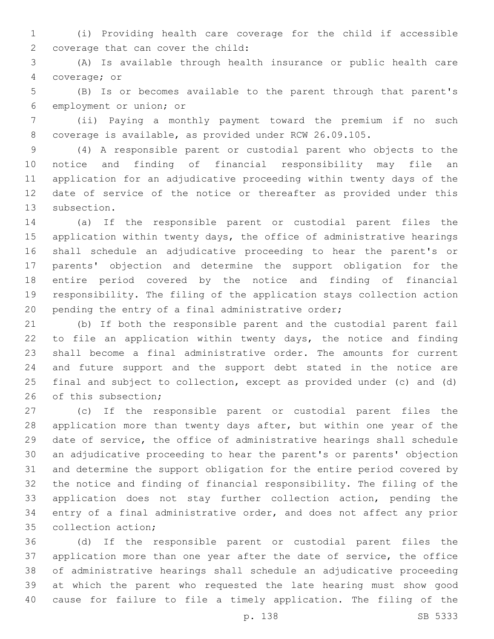(i) Providing health care coverage for the child if accessible 2 coverage that can cover the child:

 (A) Is available through health insurance or public health care 4 coverage; or

 (B) Is or becomes available to the parent through that parent's 6 employment or union; or

 (ii) Paying a monthly payment toward the premium if no such coverage is available, as provided under RCW 26.09.105.

 (4) A responsible parent or custodial parent who objects to the notice and finding of financial responsibility may file an application for an adjudicative proceeding within twenty days of the date of service of the notice or thereafter as provided under this 13 subsection.

 (a) If the responsible parent or custodial parent files the application within twenty days, the office of administrative hearings shall schedule an adjudicative proceeding to hear the parent's or parents' objection and determine the support obligation for the entire period covered by the notice and finding of financial responsibility. The filing of the application stays collection action pending the entry of a final administrative order;

 (b) If both the responsible parent and the custodial parent fail to file an application within twenty days, the notice and finding shall become a final administrative order. The amounts for current and future support and the support debt stated in the notice are final and subject to collection, except as provided under (c) and (d) 26 of this subsection;

 (c) If the responsible parent or custodial parent files the application more than twenty days after, but within one year of the date of service, the office of administrative hearings shall schedule an adjudicative proceeding to hear the parent's or parents' objection and determine the support obligation for the entire period covered by the notice and finding of financial responsibility. The filing of the application does not stay further collection action, pending the entry of a final administrative order, and does not affect any prior 35 collection action;

 (d) If the responsible parent or custodial parent files the application more than one year after the date of service, the office of administrative hearings shall schedule an adjudicative proceeding at which the parent who requested the late hearing must show good cause for failure to file a timely application. The filing of the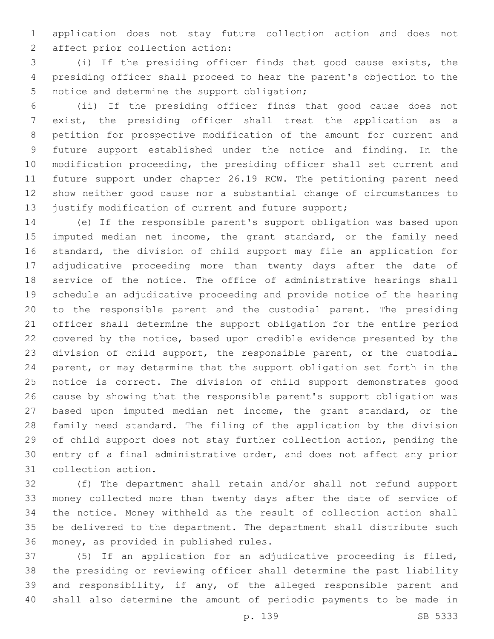application does not stay future collection action and does not 2 affect prior collection action:

 (i) If the presiding officer finds that good cause exists, the presiding officer shall proceed to hear the parent's objection to the 5 notice and determine the support obligation;

 (ii) If the presiding officer finds that good cause does not exist, the presiding officer shall treat the application as a petition for prospective modification of the amount for current and future support established under the notice and finding. In the modification proceeding, the presiding officer shall set current and future support under chapter 26.19 RCW. The petitioning parent need show neither good cause nor a substantial change of circumstances to 13 justify modification of current and future support;

 (e) If the responsible parent's support obligation was based upon 15 imputed median net income, the grant standard, or the family need standard, the division of child support may file an application for adjudicative proceeding more than twenty days after the date of service of the notice. The office of administrative hearings shall schedule an adjudicative proceeding and provide notice of the hearing to the responsible parent and the custodial parent. The presiding officer shall determine the support obligation for the entire period covered by the notice, based upon credible evidence presented by the division of child support, the responsible parent, or the custodial parent, or may determine that the support obligation set forth in the notice is correct. The division of child support demonstrates good cause by showing that the responsible parent's support obligation was based upon imputed median net income, the grant standard, or the family need standard. The filing of the application by the division of child support does not stay further collection action, pending the entry of a final administrative order, and does not affect any prior 31 collection action.

 (f) The department shall retain and/or shall not refund support money collected more than twenty days after the date of service of the notice. Money withheld as the result of collection action shall be delivered to the department. The department shall distribute such 36 money, as provided in published rules.

 (5) If an application for an adjudicative proceeding is filed, the presiding or reviewing officer shall determine the past liability and responsibility, if any, of the alleged responsible parent and shall also determine the amount of periodic payments to be made in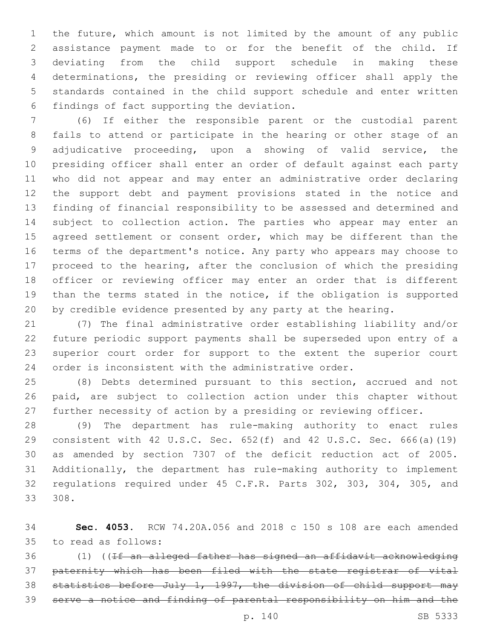the future, which amount is not limited by the amount of any public assistance payment made to or for the benefit of the child. If deviating from the child support schedule in making these determinations, the presiding or reviewing officer shall apply the standards contained in the child support schedule and enter written 6 findings of fact supporting the deviation.

 (6) If either the responsible parent or the custodial parent fails to attend or participate in the hearing or other stage of an adjudicative proceeding, upon a showing of valid service, the presiding officer shall enter an order of default against each party who did not appear and may enter an administrative order declaring the support debt and payment provisions stated in the notice and finding of financial responsibility to be assessed and determined and subject to collection action. The parties who appear may enter an 15 agreed settlement or consent order, which may be different than the terms of the department's notice. Any party who appears may choose to proceed to the hearing, after the conclusion of which the presiding officer or reviewing officer may enter an order that is different than the terms stated in the notice, if the obligation is supported by credible evidence presented by any party at the hearing.

 (7) The final administrative order establishing liability and/or future periodic support payments shall be superseded upon entry of a superior court order for support to the extent the superior court order is inconsistent with the administrative order.

 (8) Debts determined pursuant to this section, accrued and not paid, are subject to collection action under this chapter without further necessity of action by a presiding or reviewing officer.

 (9) The department has rule-making authority to enact rules consistent with 42 U.S.C. Sec. 652(f) and 42 U.S.C. Sec. 666(a)(19) as amended by section 7307 of the deficit reduction act of 2005. Additionally, the department has rule-making authority to implement regulations required under 45 C.F.R. Parts 302, 303, 304, 305, and 308.

 **Sec. 4053.** RCW 74.20A.056 and 2018 c 150 s 108 are each amended to read as follows:35

 (1) ((If an alleged father has signed an affidavit acknowledging paternity which has been filed with the state registrar of vital statistics before July 1, 1997, the division of child support may serve a notice and finding of parental responsibility on him and the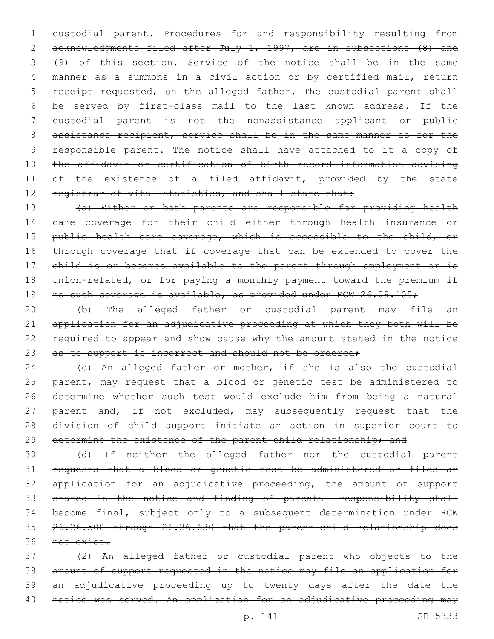1 custodial parent. Procedures for and responsibility resulting from 2 acknowledgments filed after July 1, 1997, are in subsections (8) and 3 (9) of this section. Service of the notice shall be in the same 4 manner as a summons in a civil action or by certified mail, return 5 receipt requested, on the alleged father. The custodial parent shall 6 be served by first-class mail to the last known address. If the 7 custodial parent is not the nonassistance applicant or public 8 assistance recipient, service shall be in the same manner as for the 9 responsible parent. The notice shall have attached to it a copy of 10 the affidavit or certification of birth record information advising 11 of the existence of a filed affidavit, provided by the state 12 registrar of vital statistics, and shall state that:

13 (a) Either or both parents are responsible for providing health 14 care coverage for their child either through health insurance or 15 public health care coverage, which is accessible to the child, or 16 through coverage that if coverage that can be extended to cover the 17 child is or becomes available to the parent through employment or is 18 union-related, or for paying a monthly payment toward the premium if 19 no such coverage is available, as provided under RCW 26.09.105;

20 (b) The alleged father or custodial parent may file an 21 application for an adjudicative proceeding at which they both will be 22 required to appear and show cause why the amount stated in the notice 23 as to support is incorrect and should not be ordered;

24 (c) An alleged father or mother, if she is also the custodial 25 parent, may request that a blood or genetic test be administered to 26 determine whether such test would exclude him from being a natural 27 parent and, if not excluded, may subsequently request that the 28 division of child support initiate an action in superior court to 29 determine the existence of the parent-child relationship; and

 (d) If neither the alleged father nor the custodial parent requests that a blood or genetic test be administered or files an application for an adjudicative proceeding, the amount of support stated in the notice and finding of parental responsibility shall become final, subject only to a subsequent determination under RCW 26.26.500 through 26.26.630 that the parent-child relationship does not exist.

 (2) An alleged father or custodial parent who objects to the amount of support requested in the notice may file an application for an adjudicative proceeding up to twenty days after the date the 40 notice was served. An application for an adjudicative proceeding may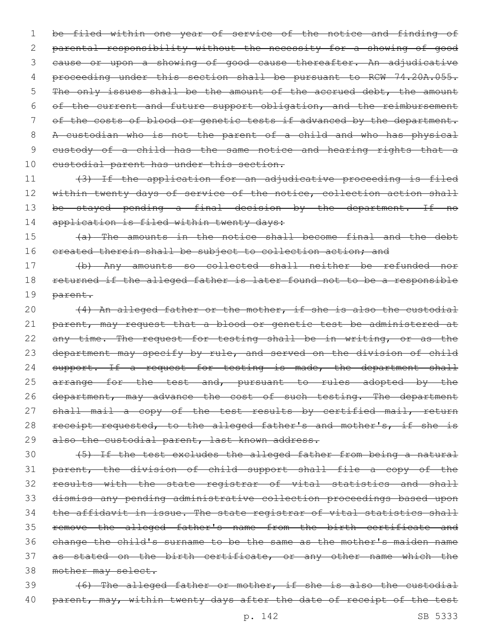1 be filed within one year of service of the notice and finding of 2 parental responsibility without the necessity for a showing of good 3 cause or upon a showing of good cause thereafter. An adjudicative 4 proceeding under this section shall be pursuant to RCW 74.20A.055. 5 The only issues shall be the amount of the accrued debt, the amount 6 of the current and future support obligation, and the reimbursement 7 of the costs of blood or genetic tests if advanced by the department. 8 A custodian who is not the parent of a child and who has physical 9 custody of a child has the same notice and hearing rights that a 10 eustodial parent has under this section.

11 (3) If the application for an adjudicative proceeding is filed 12 within twenty days of service of the notice, collection action shall 13 be stayed pending a final decision by the department. If no 14 application is filed within twenty days:

15 (a) The amounts in the notice shall become final and the debt 16 created therein shall be subject to collection action; and

17 (b) Any amounts so collected shall neither be refunded nor 18 returned if the alleged father is later found not to be a responsible 19 parent.

20 (4) An alleged father or the mother, if she is also the custodial 21 parent, may request that a blood or genetic test be administered at 22 any time. The request for testing shall be in writing, or as the 23 department may specify by rule, and served on the division of child 24 support. If a request for testing is made, the department shall 25 arrange for the test and, pursuant to rules adopted by the 26 department, may advance the cost of such testing. The department 27 shall mail a copy of the test results by certified mail, return 28 receipt requested, to the alleged father's and mother's, if she is 29 also the custodial parent, last known address.

 (5) If the test excludes the alleged father from being a natural parent, the division of child support shall file a copy of the results with the state registrar of vital statistics and shall dismiss any pending administrative collection proceedings based upon 34 the affidavit in issue. The state registrar of vital statistics shall remove the alleged father's name from the birth certificate and change the child's surname to be the same as the mother's maiden name 37 as stated on the birth certificate, or any other name which the mother may select.

39 (6) The alleged father or mother, if she is also the custodial 40 parent, may, within twenty days after the date of receipt of the test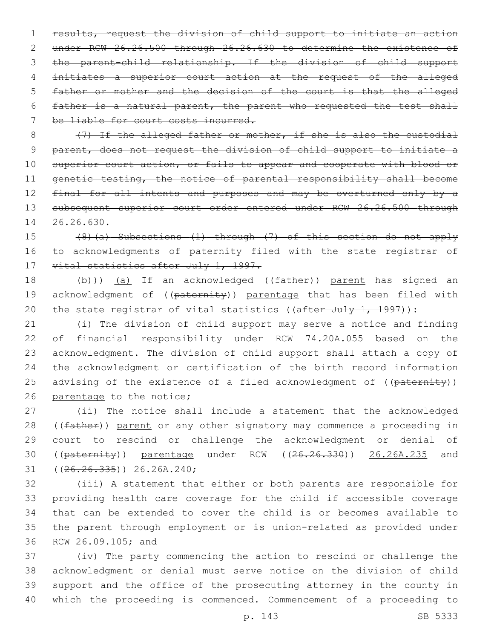results, request the division of child support to initiate an action under RCW 26.26.500 through 26.26.630 to determine the existence of the parent-child relationship. If the division of child support initiates a superior court action at the request of the alleged father or mother and the decision of the court is that the alleged father is a natural parent, the parent who requested the test shall 7 be liable for court costs incurred.

8 (7) If the alleged father or mother, if she is also the custodial 9 parent, does not request the division of child support to initiate a 10 superior court action, or fails to appear and cooperate with blood or 11 genetic testing, the notice of parental responsibility shall become 12 final for all intents and purposes and may be overturned only by a 13 subsequent superior court order entered under RCW 26.26.500 through 14 26.26.630.

15 (8)(a) Subsections (1) through (7) of this section do not apply 16 to acknowledgments of paternity filed with the state registrar of 17 vital statistics after July 1, 1997.

18 (b))) (a) If an acknowledged ((father)) parent has signed an 19 acknowledgment of ((paternity)) parentage that has been filed with 20 the state registrar of vital statistics (( $\text{after July 1, 1997}$ ):

 (i) The division of child support may serve a notice and finding of financial responsibility under RCW 74.20A.055 based on the acknowledgment. The division of child support shall attach a copy of the acknowledgment or certification of the birth record information 25 advising of the existence of a filed acknowledgment of ((paternity)) 26 parentage to the notice;

27 (ii) The notice shall include a statement that the acknowledged 28 ((father)) parent or any other signatory may commence a proceeding in 29 court to rescind or challenge the acknowledgment or denial of 30 ((paternity)) parentage under RCW ((26.26.330)) 26.26A.235 and  $(26.26.335)$ ) 26.26A.240;

 (iii) A statement that either or both parents are responsible for providing health care coverage for the child if accessible coverage that can be extended to cover the child is or becomes available to the parent through employment or is union-related as provided under 36 RCW 26.09.105; and

 (iv) The party commencing the action to rescind or challenge the acknowledgment or denial must serve notice on the division of child support and the office of the prosecuting attorney in the county in which the proceeding is commenced. Commencement of a proceeding to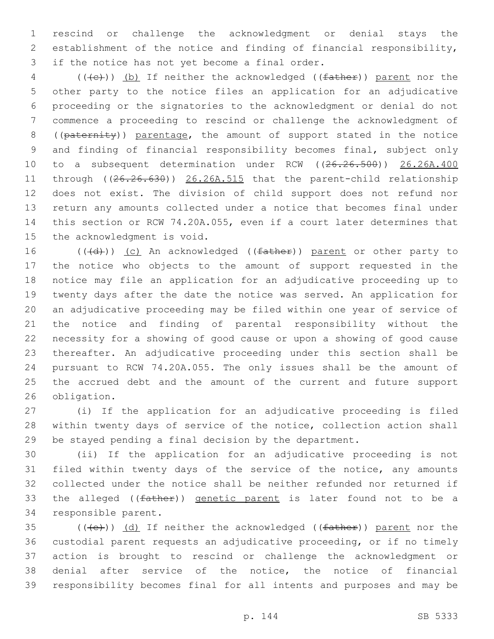rescind or challenge the acknowledgment or denial stays the establishment of the notice and finding of financial responsibility, 3 if the notice has not yet become a final order.

4 (((+e)) (b) If neither the acknowledged ((father)) parent nor the other party to the notice files an application for an adjudicative proceeding or the signatories to the acknowledgment or denial do not commence a proceeding to rescind or challenge the acknowledgment of 8 ((paternity)) parentage, the amount of support stated in the notice and finding of financial responsibility becomes final, subject only 10 to a subsequent determination under RCW ((26.26.500)) 26.26A.400 11 through ((26.26.630)) 26.26A.515 that the parent-child relationship does not exist. The division of child support does not refund nor return any amounts collected under a notice that becomes final under this section or RCW 74.20A.055, even if a court later determines that 15 the acknowledgment is void.

16 (((d))) (c) An acknowledged ((father)) parent or other party to the notice who objects to the amount of support requested in the notice may file an application for an adjudicative proceeding up to twenty days after the date the notice was served. An application for an adjudicative proceeding may be filed within one year of service of the notice and finding of parental responsibility without the necessity for a showing of good cause or upon a showing of good cause thereafter. An adjudicative proceeding under this section shall be pursuant to RCW 74.20A.055. The only issues shall be the amount of the accrued debt and the amount of the current and future support 26 obligation.

 (i) If the application for an adjudicative proceeding is filed within twenty days of service of the notice, collection action shall be stayed pending a final decision by the department.

 (ii) If the application for an adjudicative proceeding is not filed within twenty days of the service of the notice, any amounts collected under the notice shall be neither refunded nor returned if 33 the alleged ((father)) genetic parent is later found not to be a 34 responsible parent.

 $((+e))$   $(d)$  If neither the acknowledged (( $f$ ather)) parent nor the custodial parent requests an adjudicative proceeding, or if no timely action is brought to rescind or challenge the acknowledgment or denial after service of the notice, the notice of financial responsibility becomes final for all intents and purposes and may be